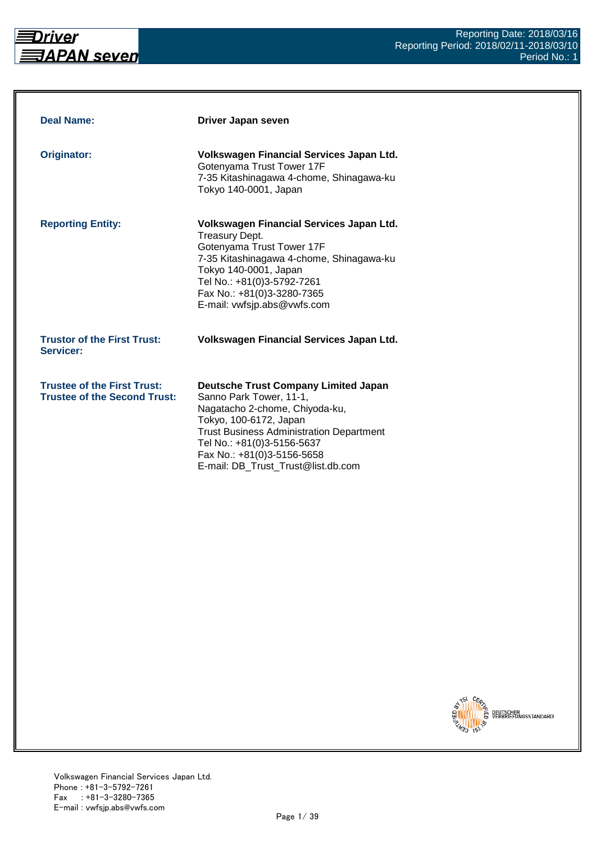<span id="page-0-0"></span>

| <b>Deal Name:</b>                                                         | Driver Japan seven                                                                                                                                                                                                                                                                      |
|---------------------------------------------------------------------------|-----------------------------------------------------------------------------------------------------------------------------------------------------------------------------------------------------------------------------------------------------------------------------------------|
| Originator:                                                               | Volkswagen Financial Services Japan Ltd.<br>Gotenyama Trust Tower 17F<br>7-35 Kitashinagawa 4-chome, Shinagawa-ku<br>Tokyo 140-0001, Japan                                                                                                                                              |
| <b>Reporting Entity:</b>                                                  | Volkswagen Financial Services Japan Ltd.<br><b>Treasury Dept.</b><br>Gotenyama Trust Tower 17F<br>7-35 Kitashinagawa 4-chome, Shinagawa-ku<br>Tokyo 140-0001, Japan<br>Tel No.: +81(0)3-5792-7261<br>Fax No.: +81(0)3-3280-7365<br>E-mail: vwfsjp.abs@vwfs.com                          |
| <b>Trustor of the First Trust:</b><br>Servicer:                           | Volkswagen Financial Services Japan Ltd.                                                                                                                                                                                                                                                |
| <b>Trustee of the First Trust:</b><br><b>Trustee of the Second Trust:</b> | <b>Deutsche Trust Company Limited Japan</b><br>Sanno Park Tower, 11-1,<br>Nagatacho 2-chome, Chiyoda-ku,<br>Tokyo, 100-6172, Japan<br><b>Trust Business Administration Department</b><br>Tel No.: +81(0)3-5156-5637<br>Fax No.: +81(0)3-5156-5658<br>E-mail: DB_Trust_Trust@list.db.com |

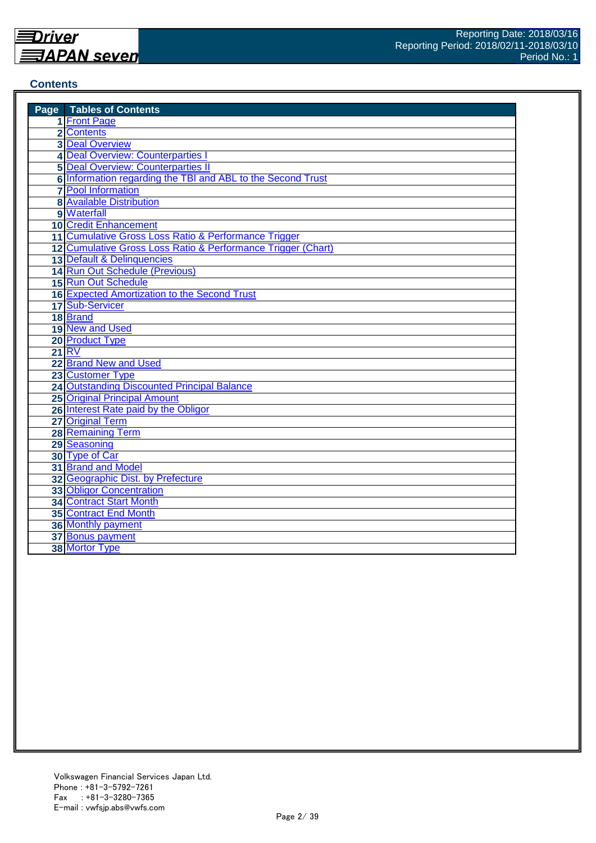## <span id="page-1-0"></span>**Contents**

| <b>Page</b> Tables of Contents                               |
|--------------------------------------------------------------|
| 1 Front Page                                                 |
| 2 Contents                                                   |
| <b>3 Deal Overview</b>                                       |
| 4 Deal Overview: Counterparties I                            |
| <b>5 Deal Overview: Counterparties II</b>                    |
| 6 Information regarding the TBI and ABL to the Second Trust  |
| <b>7</b> Pool Information                                    |
| <b>8</b> Available Distribution                              |
| 9 Waterfall                                                  |
| 10 Credit Enhancement                                        |
| 11 Cumulative Gross Loss Ratio & Performance Trigger         |
| 12 Cumulative Gross Loss Ratio & Performance Trigger (Chart) |
| 13 Default & Delinquencies                                   |
| 14 Run Out Schedule (Previous)                               |
| 15 Run Out Schedule                                          |
| 16 Expected Amortization to the Second Trust                 |
| 17 Sub-Servicer                                              |
| 18 Brand                                                     |
| 19 New and Used                                              |
| 20 Product Type                                              |
| <b>21 RV</b>                                                 |
| 22 Brand New and Used                                        |
| 23 Customer Type                                             |
| 24 Outstanding Discounted Principal Balance                  |
| 25 Original Principal Amount                                 |
| 26 Interest Rate paid by the Obligor                         |
| 27 Original Term                                             |
| <b>28 Remaining Term</b>                                     |
| 29 Seasoning                                                 |
| 30 Type of Car                                               |
| 31 Brand and Model                                           |
| 32 Geographic Dist. by Prefecture                            |
| 33 Obligor Concentration                                     |
| 34 Contract Start Month                                      |
| <b>35 Contract End Month</b>                                 |
| <b>36 Monthly payment</b>                                    |
| 37 Bonus payment                                             |
| 38 Mortor Type                                               |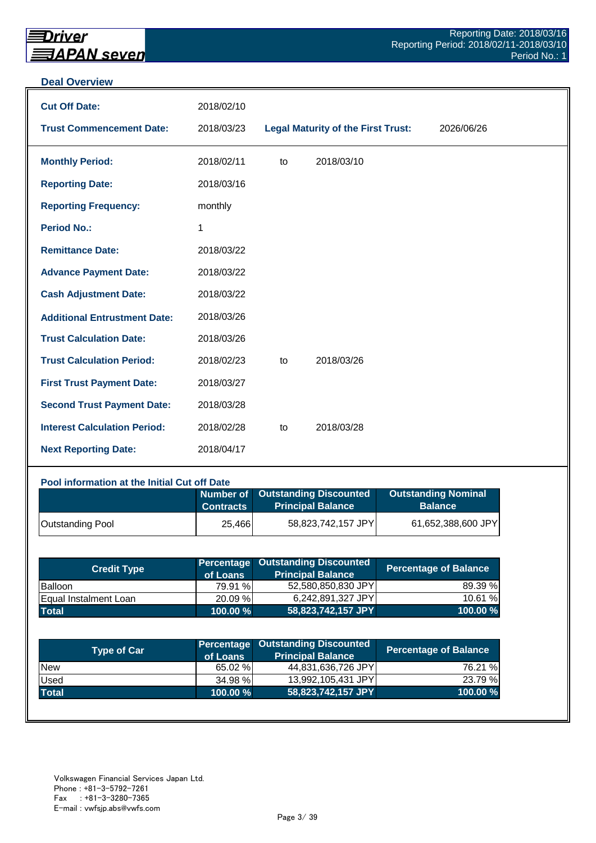#### <span id="page-2-0"></span>**Deal Overview**

| <b>Cut Off Date:</b>                | 2018/02/10 |    |                                           |            |
|-------------------------------------|------------|----|-------------------------------------------|------------|
| <b>Trust Commencement Date:</b>     | 2018/03/23 |    | <b>Legal Maturity of the First Trust:</b> | 2026/06/26 |
| <b>Monthly Period:</b>              | 2018/02/11 | to | 2018/03/10                                |            |
| <b>Reporting Date:</b>              | 2018/03/16 |    |                                           |            |
| <b>Reporting Frequency:</b>         | monthly    |    |                                           |            |
| <b>Period No.:</b>                  | 1          |    |                                           |            |
| <b>Remittance Date:</b>             | 2018/03/22 |    |                                           |            |
| <b>Advance Payment Date:</b>        | 2018/03/22 |    |                                           |            |
| <b>Cash Adjustment Date:</b>        | 2018/03/22 |    |                                           |            |
| <b>Additional Entrustment Date:</b> | 2018/03/26 |    |                                           |            |
| <b>Trust Calculation Date:</b>      | 2018/03/26 |    |                                           |            |
| <b>Trust Calculation Period:</b>    | 2018/02/23 | to | 2018/03/26                                |            |
| <b>First Trust Payment Date:</b>    | 2018/03/27 |    |                                           |            |
| <b>Second Trust Payment Date:</b>   | 2018/03/28 |    |                                           |            |
| <b>Interest Calculation Period:</b> | 2018/02/28 | to | 2018/03/28                                |            |
| <b>Next Reporting Date:</b>         | 2018/04/17 |    |                                           |            |

#### **Pool information at the Initial Cut off Date**

|                         | <b>Contracts</b> | Number of Outstanding Discounted<br><b>Principal Balance</b> | <b>Outstanding Nominal</b><br><b>Balance</b> |
|-------------------------|------------------|--------------------------------------------------------------|----------------------------------------------|
| <b>Outstanding Pool</b> | 25,466           | 58,823,742,157 JPY                                           | 61,652,388,600 JPY                           |

| <b>Credit Type</b>           | of Loans    | <b>Percentage Outstanding Discounted</b><br><b>Principal Balance</b> | Percentage of Balance |
|------------------------------|-------------|----------------------------------------------------------------------|-----------------------|
| Balloon                      | 79.91 %     | 52,580,850,830 JPY                                                   | 89.39 %               |
| <b>Equal Instalment Loan</b> | 20.09 %     | 6,242,891,327 JPY                                                    | 10.61 %               |
| <b>Total</b>                 | $100.00 \%$ | 58,823,742,157 JPY                                                   | 100.00 %              |

| <b>Type of Car</b> | of Loans    | <b>Percentage Outstanding Discounted</b><br><b>Principal Balance</b> | <b>Percentage of Balance</b> |
|--------------------|-------------|----------------------------------------------------------------------|------------------------------|
| <b>New</b>         | 65.02 %     | 44,831,636,726 JPY                                                   | 76.21 %                      |
| <b>Used</b>        | 34.98 %     | 13,992,105,431 JPY                                                   | 23.79 %                      |
| <b>Total</b>       | $100.00 \%$ | 58,823,742,157 JPY                                                   | 100.00%                      |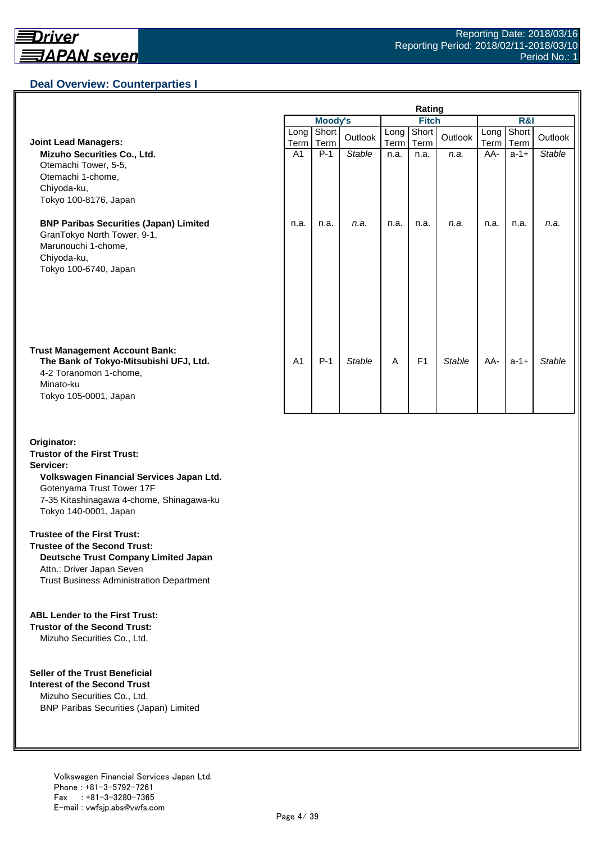<span id="page-3-0"></span>

|                                                                                                                                                 | Rating         |                |               |              |                |               |              |               |               |
|-------------------------------------------------------------------------------------------------------------------------------------------------|----------------|----------------|---------------|--------------|----------------|---------------|--------------|---------------|---------------|
|                                                                                                                                                 |                | <b>Moody's</b> |               | <b>Fitch</b> |                |               | R&I          |               |               |
| <b>Joint Lead Managers:</b>                                                                                                                     | Long<br>Term   | Short<br>Term  | Outlook       | Long<br>Term | Short<br>Term  | Outlook       | Long<br>Term | Short<br>Term | Outlook       |
| Mizuho Securities Co., Ltd.<br>Otemachi Tower, 5-5,<br>Otemachi 1-chome,<br>Chiyoda-ku,<br>Tokyo 100-8176, Japan                                | A <sub>1</sub> | $P-1$          | <b>Stable</b> | n.a.         | n.a.           | n.a.          | AA-          | $a-1+$        | <b>Stable</b> |
| <b>BNP Paribas Securities (Japan) Limited</b><br>GranTokyo North Tower, 9-1,<br>Marunouchi 1-chome,<br>Chiyoda-ku,<br>Tokyo 100-6740, Japan     | n.a.           | n.a.           | n.a.          | n.a.         | n.a.           | n.a.          | n.a.         | n.a.          | n.a.          |
| <b>Trust Management Account Bank:</b><br>The Bank of Tokyo-Mitsubishi UFJ, Ltd.<br>4-2 Toranomon 1-chome,<br>Minato-ku<br>Tokyo 105-0001, Japan | A <sub>1</sub> | $P-1$          | <b>Stable</b> | A            | F <sub>1</sub> | <b>Stable</b> | AA-          | $a-1+$        | <b>Stable</b> |

**Originator: Trustor of the First Trust: Servicer: Volkswagen Financial Services Japan Ltd.** Gotenyama Trust Tower 17F 7-35 Kitashinagawa 4-chome, Shinagawa-ku Tokyo 140-0001, Japan

#### **Trustee of the First Trust:**

**Trustee of the Second Trust: Deutsche Trust Company Limited Japan** Attn.: Driver Japan Seven Trust Business Administration Department

#### **ABL Lender to the First Trust:**

**Trustor of the Second Trust:** Mizuho Securities Co., Ltd.

#### **Seller of the Trust Beneficial**

**Interest of the Second Trust** Mizuho Securities Co., Ltd. BNP Paribas Securities (Japan) Limited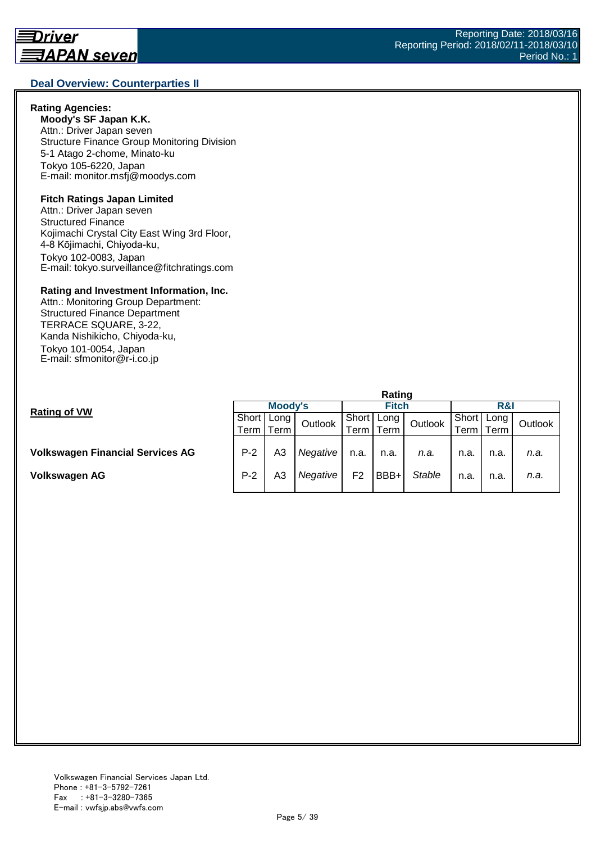#### <span id="page-4-0"></span>**Deal Overview: Counterparties II**

#### **Rating Agencies:**

**Moody's SF Japan K.K.** Attn.: Driver Japan seven Structure Finance Group Monitoring Division 5-1 Atago 2-chome, Minato-ku Tokyo 105-6220, Japan E-mail: monitor.msfj@moodys.com

#### **Fitch Ratings Japan Limited**

Attn.: Driver Japan seven Structured Finance Kojimachi Crystal City East Wing 3rd Floor, 4-8 Kōjimachi, Chiyoda-ku, Tokyo 102-0083, Japan E-mail: tokyo.surveillance@fitchratings.com

#### **Rating and Investment Information, Inc.**

Attn.: Monitoring Group Department: Structured Finance Department TERRACE SQUARE, 3-22, Kanda Nishikicho, Chiyoda-ku, Tokyo 101-0054, Japan E-mail: sfmonitor@r-i.co.jp

|                                         | naunu   |             |          |                |      |               |                  |      |         |  |
|-----------------------------------------|---------|-------------|----------|----------------|------|---------------|------------------|------|---------|--|
|                                         | Moody's |             |          | <b>Fitch</b>   |      |               | R&I              |      |         |  |
| <b>Rating of VW</b>                     | Short   | Long        | Outlook  | Short          | Long | Outlook       | I Short   Long I |      | Outlook |  |
|                                         |         | Term   Term |          | erm            | Term |               | erm I            | Term |         |  |
|                                         |         |             |          |                |      |               |                  |      |         |  |
| <b>Volkswagen Financial Services AG</b> | $P-2$   | A3          | Negative | n.a.           | n.a. | n.a.          | n.a.             | n.a. | n.a.    |  |
| Volkswagen AG                           | $P-2$   | A3          | Negative | F <sub>2</sub> | BBB+ | <b>Stable</b> | n.a.             | n.a. | n.a.    |  |

**Rating**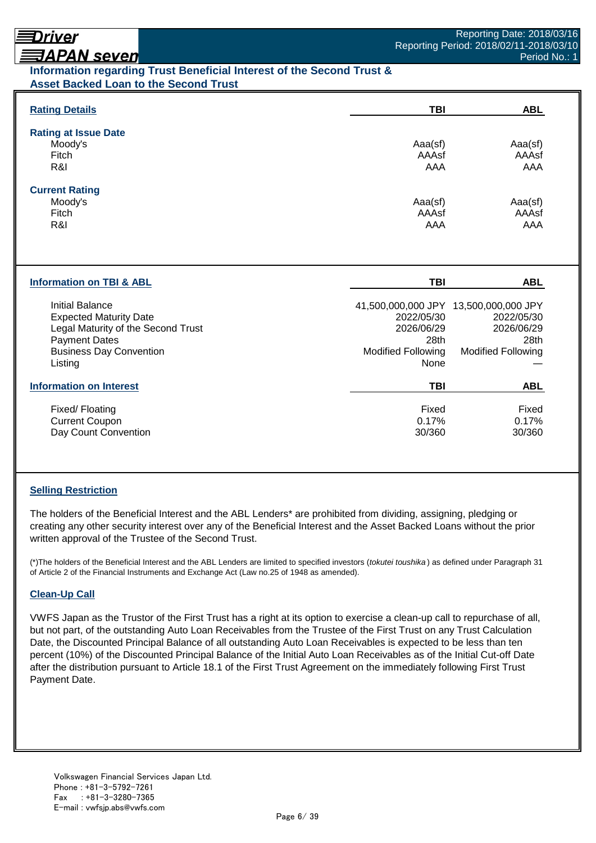# <span id="page-5-0"></span>**ヲAPAN seven**

## **Information regarding Trust Beneficial Interest of the Second Trust & Asset Backed Loan to the Second Trust**

| <b>Rating Details</b>                                                                                                                                              | TBI                                                                   | <b>ABL</b>                                                                                             |
|--------------------------------------------------------------------------------------------------------------------------------------------------------------------|-----------------------------------------------------------------------|--------------------------------------------------------------------------------------------------------|
| <b>Rating at Issue Date</b><br>Moody's<br>Fitch<br>R&I                                                                                                             | Aaa(sf)<br>AAAsf<br>AAA                                               | Aaa(sf)<br>AAAsf<br>AAA                                                                                |
| <b>Current Rating</b><br>Moody's<br>Fitch<br>R&I                                                                                                                   | Aaa(sf)<br>AAAsf<br>AAA                                               | Aaa(sf)<br>AAAsf<br>AAA                                                                                |
| <b>Information on TBI &amp; ABL</b>                                                                                                                                | <b>TBI</b>                                                            | <b>ABL</b>                                                                                             |
| <b>Initial Balance</b><br><b>Expected Maturity Date</b><br>Legal Maturity of the Second Trust<br><b>Payment Dates</b><br><b>Business Day Convention</b><br>Listing | 2022/05/30<br>2026/06/29<br>28th<br><b>Modified Following</b><br>None | 41,500,000,000 JPY 13,500,000,000 JPY<br>2022/05/30<br>2026/06/29<br>28th<br><b>Modified Following</b> |
| <b>Information on Interest</b>                                                                                                                                     | <b>TBI</b>                                                            | <b>ABL</b>                                                                                             |
| Fixed/Floating<br><b>Current Coupon</b><br>Day Count Convention                                                                                                    | Fixed<br>0.17%<br>30/360                                              | Fixed<br>0.17%<br>30/360                                                                               |

### **Selling Restriction**

The holders of the Beneficial Interest and the ABL Lenders\* are prohibited from dividing, assigning, pledging or creating any other security interest over any of the Beneficial Interest and the Asset Backed Loans without the prior written approval of the Trustee of the Second Trust.

(\*)The holders of the Beneficial Interest and the ABL Lenders are limited to specified investors (*tokutei toushika* ) as defined under Paragraph 31 of Article 2 of the Financial Instruments and Exchange Act (Law no.25 of 1948 as amended).

### **Clean-Up Call**

VWFS Japan as the Trustor of the First Trust has a right at its option to exercise a clean-up call to repurchase of all, but not part, of the outstanding Auto Loan Receivables from the Trustee of the First Trust on any Trust Calculation Date, the Discounted Principal Balance of all outstanding Auto Loan Receivables is expected to be less than ten percent (10%) of the Discounted Principal Balance of the Initial Auto Loan Receivables as of the Initial Cut-off Date after the distribution pursuant to Article 18.1 of the First Trust Agreement on the immediately following First Trust Payment Date.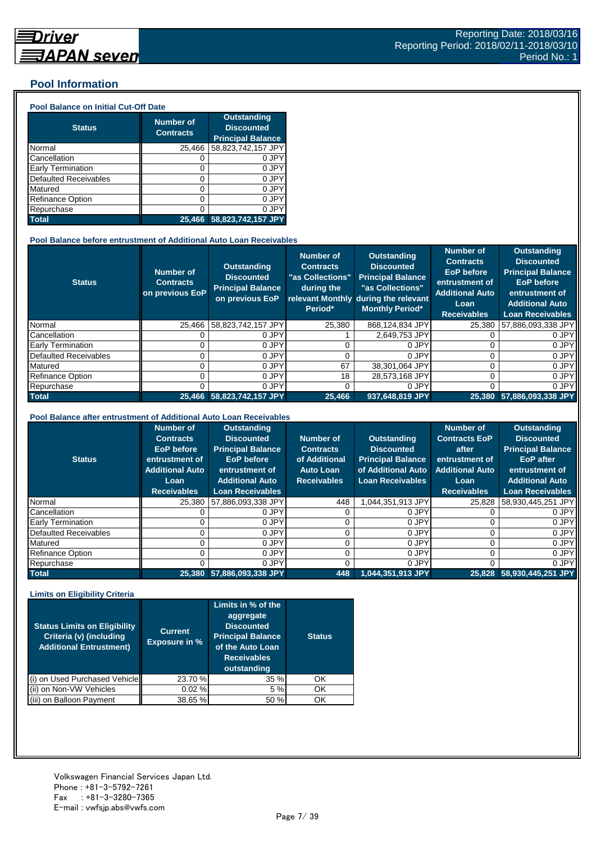## <span id="page-6-0"></span>**Pool Information**

#### **Pool Balance on Initial Cut-Off Date**

| <b>Status</b>                | <b>Number of</b><br><b>Contracts</b> | <b>Outstanding</b><br><b>Discounted</b><br><b>Principal Balance</b> |
|------------------------------|--------------------------------------|---------------------------------------------------------------------|
| Normal                       | 25,466                               | 58,823,742,157 JPY                                                  |
| Cancellation                 |                                      | 0 JPY                                                               |
| Early Termination            | 0                                    | 0 JPY                                                               |
| <b>Defaulted Receivables</b> | ი                                    | 0 JPY                                                               |
| Matured                      | 0                                    | 0 JPY                                                               |
| <b>Refinance Option</b>      | 0                                    | 0 JPY                                                               |
| Repurchase                   | Λ                                    | 0 JPነ                                                               |
| <b>Total</b>                 | 25.466                               | 58,823,742,157 JPY                                                  |

#### **Pool Balance before entrustment of Additional Auto Loan Receivables**

| <b>Status</b>            | <b>Number of</b><br><b>Contracts</b><br>on previous EoP | <b>Outstanding</b><br><b>Discounted</b><br><b>Principal Balance</b><br>on previous EoP | Number of<br><b>Contracts</b><br>"as Collections"<br>during the<br>Period* | Outstanding<br><b>Discounted</b><br><b>Principal Balance</b><br>"as Collections"<br>relevant Monthly during the relevant<br><b>Monthly Period*</b> | <b>Number of</b><br><b>Contracts</b><br><b>EoP</b> before<br>entrustment of<br><b>Additional Auto</b><br>Loan<br><b>Receivables</b> | <b>Outstanding</b><br><b>Discounted</b><br><b>Principal Balance</b><br><b>EoP</b> before<br>entrustment of<br><b>Additional Auto</b><br><b>Loan Receivables</b> |
|--------------------------|---------------------------------------------------------|----------------------------------------------------------------------------------------|----------------------------------------------------------------------------|----------------------------------------------------------------------------------------------------------------------------------------------------|-------------------------------------------------------------------------------------------------------------------------------------|-----------------------------------------------------------------------------------------------------------------------------------------------------------------|
| Normal                   | 25.466                                                  | 58,823,742,157 JPY                                                                     | 25,380                                                                     | 868,124,834 JPY                                                                                                                                    | 25,380                                                                                                                              | 57,886,093,338 JPY                                                                                                                                              |
| Cancellation             |                                                         | 0 JPY                                                                                  |                                                                            | 2.649.753 JPY                                                                                                                                      |                                                                                                                                     | 0 JPY                                                                                                                                                           |
| <b>Early Termination</b> |                                                         | 0 JPY                                                                                  |                                                                            | 0 JPY                                                                                                                                              |                                                                                                                                     | 0 JPY                                                                                                                                                           |
| Defaulted Receivables    |                                                         | 0 JPY                                                                                  |                                                                            | 0 JPY                                                                                                                                              | 0                                                                                                                                   | 0 JPY                                                                                                                                                           |
| Matured                  |                                                         | 0 JPY                                                                                  | 67                                                                         | 38.301.064 JPY                                                                                                                                     | 0                                                                                                                                   | 0 JPY                                                                                                                                                           |
| <b>Refinance Option</b>  |                                                         | 0 JPY                                                                                  | 18                                                                         | 28,573,168 JPY                                                                                                                                     | 0                                                                                                                                   | 0 JPY                                                                                                                                                           |
| Repurchase               |                                                         | 0 JPY                                                                                  |                                                                            | 0 JPY                                                                                                                                              | በ                                                                                                                                   | 0 JPY                                                                                                                                                           |
| <b>Total</b>             |                                                         | 25.466 58.823.742.157 JPY                                                              | 25,466                                                                     | 937.648.819 JPY                                                                                                                                    | 25,380                                                                                                                              | 57.886.093.338 JPY                                                                                                                                              |

#### **Pool Balance after entrustment of Additional Auto Loan Receivables**

| <b>Status</b>                | <b>Number of</b><br><b>Contracts</b><br>EoP before<br>entrustment of<br><b>Additional Auto</b><br>Loan<br><b>Receivables</b> | <b>Outstanding</b><br><b>Discounted</b><br><b>Principal Balance</b><br><b>EoP</b> before<br>entrustment of<br><b>Additional Auto</b><br><b>Loan Receivables</b> | Number of<br><b>Contracts</b><br>of Additional<br><b>Auto Loan</b><br><b>Receivables</b> | <b>Outstanding</b><br><b>Discounted</b><br><b>Principal Balance</b><br>of Additional Auto<br><b>Loan Receivables</b> | <b>Number of</b><br><b>Contracts EoP</b><br>after<br>entrustment of<br><b>Additional Auto</b><br>Loan<br><b>Receivables</b> | <b>Outstanding</b><br><b>Discounted</b><br><b>Principal Balance</b><br><b>EoP</b> after<br>entrustment of<br><b>Additional Auto</b><br><b>Loan Receivables</b> |
|------------------------------|------------------------------------------------------------------------------------------------------------------------------|-----------------------------------------------------------------------------------------------------------------------------------------------------------------|------------------------------------------------------------------------------------------|----------------------------------------------------------------------------------------------------------------------|-----------------------------------------------------------------------------------------------------------------------------|----------------------------------------------------------------------------------------------------------------------------------------------------------------|
| Normal                       | 25,380                                                                                                                       | 57,886,093,338 JPY                                                                                                                                              | 448                                                                                      | 1,044,351,913 JPY                                                                                                    | 25,828                                                                                                                      | 58,930,445,251 JPY                                                                                                                                             |
| Cancellation                 |                                                                                                                              | 0 JPY                                                                                                                                                           |                                                                                          | 0 JPY                                                                                                                |                                                                                                                             | 0 JPY                                                                                                                                                          |
| <b>Early Termination</b>     |                                                                                                                              | 0 JPY                                                                                                                                                           |                                                                                          | 0 JPY                                                                                                                |                                                                                                                             | 0 JPY                                                                                                                                                          |
| <b>Defaulted Receivables</b> |                                                                                                                              | 0 JPY                                                                                                                                                           |                                                                                          | 0 JPY                                                                                                                |                                                                                                                             | 0 JPY                                                                                                                                                          |
| Matured                      |                                                                                                                              | 0 JPY                                                                                                                                                           |                                                                                          | 0 JPY                                                                                                                |                                                                                                                             | 0 JPY                                                                                                                                                          |
| <b>Refinance Option</b>      |                                                                                                                              | 0 JPY                                                                                                                                                           |                                                                                          | 0 JPY                                                                                                                | n                                                                                                                           | 0 JPY                                                                                                                                                          |
| Repurchase                   |                                                                                                                              | 0 JPY                                                                                                                                                           |                                                                                          | 0 JPY                                                                                                                |                                                                                                                             | 0 JPY                                                                                                                                                          |
| <b>Total</b>                 | 25,380                                                                                                                       | 57,886,093,338 JPY                                                                                                                                              | 448                                                                                      | $1,044,351,913$ JPY                                                                                                  | 25.828                                                                                                                      | 58,930,445,251 JPY                                                                                                                                             |

#### **Limits on Eligibility Criteria**

| <b>Status Limits on Eligibility</b><br>Criteria (v) (including<br><b>Additional Entrustment)</b> | <b>Current</b><br><b>Exposure in %</b> | Limits in % of the<br>aggregate<br><b>Discounted</b><br><b>Principal Balance</b><br>of the Auto Loan<br><b>Receivables</b><br>outstanding | <b>Status</b> |
|--------------------------------------------------------------------------------------------------|----------------------------------------|-------------------------------------------------------------------------------------------------------------------------------------------|---------------|
| on Used Purchased Vehicle                                                                        | 23.70 %                                | 35 %                                                                                                                                      | ΟK            |
| on Non-VW Vehicles                                                                               | 0.02%                                  | 5 %                                                                                                                                       | OK            |
| on Balloon Payment                                                                               | 38.65 %                                | 50 %                                                                                                                                      | OK            |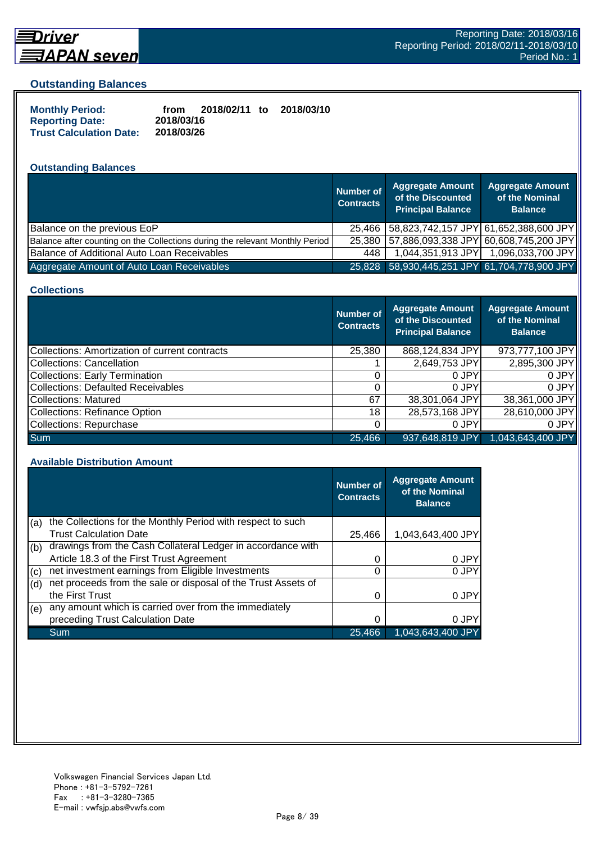

# <span id="page-7-0"></span>*<u> Driver</u>*

#### **Outstanding Balances**

| <b>Monthly Period:</b>         | from       | 2018/02/11 to | 2018/03/10 |
|--------------------------------|------------|---------------|------------|
| <b>Reporting Date:</b>         | 2018/03/16 |               |            |
| <b>Trust Calculation Date:</b> | 2018/03/26 |               |            |

# **Outstanding Balances**

|                                                                              | <b>Number of</b><br><b>Contracts</b> | <b>Aggregate Amount</b><br>of the Discounted<br><b>Principal Balance</b> | <b>Aggregate Amount</b><br>of the Nominal<br><b>Balance</b> |
|------------------------------------------------------------------------------|--------------------------------------|--------------------------------------------------------------------------|-------------------------------------------------------------|
| Balance on the previous EoP                                                  | 25.466                               | 58,823,742,157 JPY 61,652,388,600 JPY                                    |                                                             |
| Balance after counting on the Collections during the relevant Monthly Period | 25.380                               | 57,886,093,338 JPY 60,608,745,200 JPY                                    |                                                             |
| Balance of Additional Auto Loan Receivables                                  | 448                                  | 1,044,351,913 JPY                                                        | 1,096,033,700 JPY                                           |
| Aggregate Amount of Auto Loan Receivables                                    |                                      | 25,828 58,930,445,251 JPY 61,704,778,900 JPY                             |                                                             |

#### **Collections**

|                                                | <b>Number of</b><br><b>Contracts</b> | <b>Aggregate Amount</b><br>of the Discounted<br><b>Principal Balance</b> | <b>Aggregate Amount</b><br>of the Nominal<br><b>Balance</b> |
|------------------------------------------------|--------------------------------------|--------------------------------------------------------------------------|-------------------------------------------------------------|
| Collections: Amortization of current contracts | 25,380                               | 868,124,834 JPY                                                          | 973,777,100 JPY                                             |
| Collections: Cancellation                      |                                      | 2,649,753 JPY                                                            | 2,895,300 JPY                                               |
| Collections: Early Termination                 |                                      | 0 JPY                                                                    | 0 JPY                                                       |
| Collections: Defaulted Receivables             |                                      | 0 JPY                                                                    | 0 JPY                                                       |
| Collections: Matured                           | 67                                   | 38,301,064 JPY                                                           | 38,361,000 JPY                                              |
| Collections: Refinance Option                  | 18                                   | 28,573,168 JPY                                                           | 28,610,000 JPY                                              |
| Collections: Repurchase                        |                                      | 0 JPY                                                                    | 0 JPY                                                       |
| Sum                                            | 25,466                               | 937,648,819 JPY                                                          | 1,043,643,400 JPY                                           |

#### **Available Distribution Amount**

|     |                                                               | <b>Number of</b><br><b>Contracts</b> | <b>Aggregate Amount</b><br>of the Nominal<br><b>Balance</b> |
|-----|---------------------------------------------------------------|--------------------------------------|-------------------------------------------------------------|
| (a) | the Collections for the Monthly Period with respect to such   |                                      |                                                             |
|     | <b>Trust Calculation Date</b>                                 | 25,466                               | 1,043,643,400 JPY                                           |
| (b) | drawings from the Cash Collateral Ledger in accordance with   |                                      |                                                             |
|     | Article 18.3 of the First Trust Agreement                     | 0                                    | 0 JPY                                                       |
| (c) | net investment earnings from Eligible Investments             | 0                                    | 0 JPY                                                       |
| (d) | net proceeds from the sale or disposal of the Trust Assets of |                                      |                                                             |
|     | the First Trust                                               | 0                                    | 0 JPY                                                       |
| (e) | any amount which is carried over from the immediately         |                                      |                                                             |
|     | preceding Trust Calculation Date                              |                                      | 0 JPY                                                       |
|     | Sum                                                           | 25,466                               | 1,043,643,400 JPY                                           |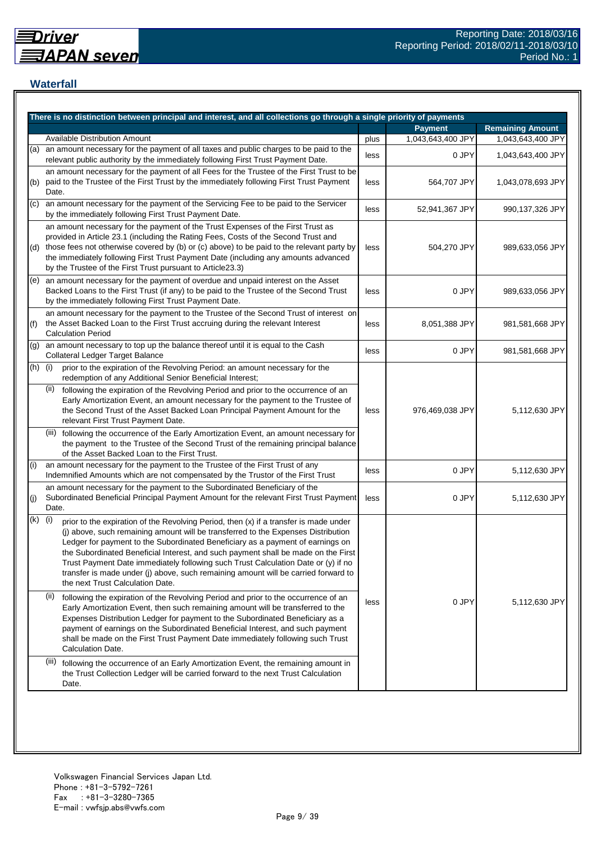## <span id="page-8-0"></span>**Waterfall**

|     | There is no distinction between principal and interest, and all collections go through a single priority of payments                                                                                                                                                                                                                                                                                                                                                                                                                                                    |      |                   |                         |
|-----|-------------------------------------------------------------------------------------------------------------------------------------------------------------------------------------------------------------------------------------------------------------------------------------------------------------------------------------------------------------------------------------------------------------------------------------------------------------------------------------------------------------------------------------------------------------------------|------|-------------------|-------------------------|
|     |                                                                                                                                                                                                                                                                                                                                                                                                                                                                                                                                                                         |      | <b>Payment</b>    | <b>Remaining Amount</b> |
|     | Available Distribution Amount                                                                                                                                                                                                                                                                                                                                                                                                                                                                                                                                           | plus | 1,043,643,400 JPY | 1,043,643,400 JPY       |
| (a) | an amount necessary for the payment of all taxes and public charges to be paid to the<br>relevant public authority by the immediately following First Trust Payment Date.                                                                                                                                                                                                                                                                                                                                                                                               | less | 0 JPY             | 1,043,643,400 JPY       |
| (b) | an amount necessary for the payment of all Fees for the Trustee of the First Trust to be<br>paid to the Trustee of the First Trust by the immediately following First Trust Payment<br>Date.                                                                                                                                                                                                                                                                                                                                                                            | less | 564,707 JPY       | 1,043,078,693 JPY       |
| (C) | an amount necessary for the payment of the Servicing Fee to be paid to the Servicer<br>by the immediately following First Trust Payment Date.                                                                                                                                                                                                                                                                                                                                                                                                                           | less | 52,941,367 JPY    | 990,137,326 JPY         |
| (d) | an amount necessary for the payment of the Trust Expenses of the First Trust as<br>provided in Article 23.1 (including the Rating Fees, Costs of the Second Trust and<br>those fees not otherwise covered by (b) or (c) above) to be paid to the relevant party by<br>the immediately following First Trust Payment Date (including any amounts advanced<br>by the Trustee of the First Trust pursuant to Article23.3)                                                                                                                                                  | less | 504,270 JPY       | 989,633,056 JPY         |
| (e) | an amount necessary for the payment of overdue and unpaid interest on the Asset<br>Backed Loans to the First Trust (if any) to be paid to the Trustee of the Second Trust<br>by the immediately following First Trust Payment Date.                                                                                                                                                                                                                                                                                                                                     | less | 0 JPY             | 989,633,056 JPY         |
| (f) | an amount necessary for the payment to the Trustee of the Second Trust of interest on<br>the Asset Backed Loan to the First Trust accruing during the relevant Interest<br><b>Calculation Period</b>                                                                                                                                                                                                                                                                                                                                                                    | less | 8,051,388 JPY     | 981,581,668 JPY         |
| (g) | an amount necessary to top up the balance thereof until it is equal to the Cash<br>Collateral Ledger Target Balance                                                                                                                                                                                                                                                                                                                                                                                                                                                     | less | 0 JPY             | 981,581,668 JPY         |
| (h) | (i)<br>prior to the expiration of the Revolving Period: an amount necessary for the<br>redemption of any Additional Senior Beneficial Interest;                                                                                                                                                                                                                                                                                                                                                                                                                         |      |                   |                         |
|     | following the expiration of the Revolving Period and prior to the occurrence of an<br>(II)<br>Early Amortization Event, an amount necessary for the payment to the Trustee of<br>the Second Trust of the Asset Backed Loan Principal Payment Amount for the<br>relevant First Trust Payment Date.                                                                                                                                                                                                                                                                       | less | 976,469,038 JPY   | 5,112,630 JPY           |
|     | (iii) following the occurrence of the Early Amortization Event, an amount necessary for<br>the payment to the Trustee of the Second Trust of the remaining principal balance<br>of the Asset Backed Loan to the First Trust.                                                                                                                                                                                                                                                                                                                                            |      |                   |                         |
| (i) | an amount necessary for the payment to the Trustee of the First Trust of any<br>Indemnified Amounts which are not compensated by the Trustor of the First Trust                                                                                                                                                                                                                                                                                                                                                                                                         | less | 0 JPY             | 5,112,630 JPY           |
| (j) | an amount necessary for the payment to the Subordinated Beneficiary of the<br>Subordinated Beneficial Principal Payment Amount for the relevant First Trust Payment<br>Date.                                                                                                                                                                                                                                                                                                                                                                                            | less | 0 JPY             | 5,112,630 JPY           |
| (k) | (i)<br>prior to the expiration of the Revolving Period, then (x) if a transfer is made under<br>(j) above, such remaining amount will be transferred to the Expenses Distribution<br>Ledger for payment to the Subordinated Beneficiary as a payment of earnings on<br>the Subordinated Beneficial Interest, and such payment shall be made on the First<br>Trust Payment Date immediately following such Trust Calculation Date or (y) if no<br>transfer is made under (j) above, such remaining amount will be carried forward to<br>the next Trust Calculation Date. |      |                   |                         |
|     | (ii)<br>following the expiration of the Revolving Period and prior to the occurrence of an<br>Early Amortization Event, then such remaining amount will be transferred to the<br>Expenses Distribution Ledger for payment to the Subordinated Beneficiary as a<br>payment of earnings on the Subordinated Beneficial Interest, and such payment<br>shall be made on the First Trust Payment Date immediately following such Trust<br>Calculation Date.                                                                                                                  | less | 0 JPY             | 5,112,630 JPY           |
|     | (III)<br>following the occurrence of an Early Amortization Event, the remaining amount in<br>the Trust Collection Ledger will be carried forward to the next Trust Calculation<br>Date.                                                                                                                                                                                                                                                                                                                                                                                 |      |                   |                         |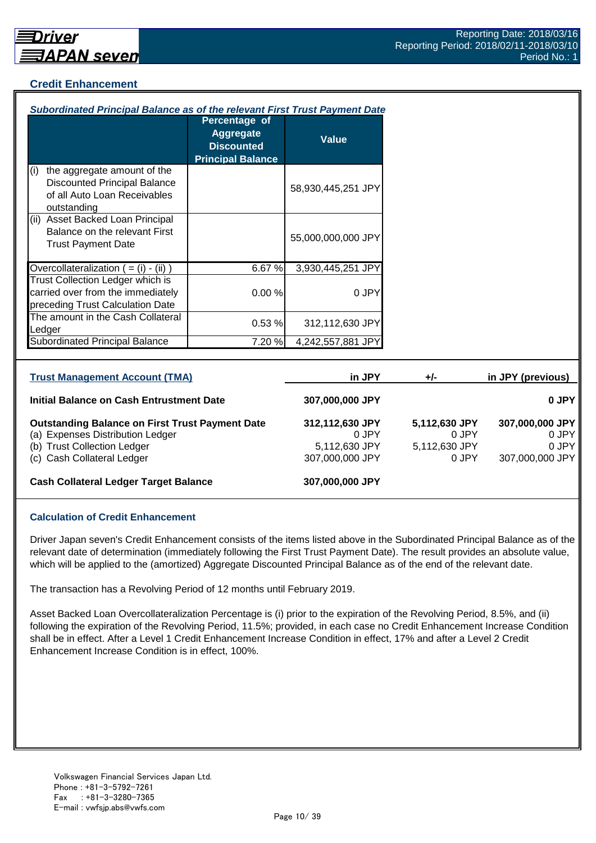## <span id="page-9-0"></span>**Credit Enhancement**

| Subordinated Principal Balance as of the relevant First Trust Payment Date                                               |                                                                                    |                          |                        |                   |
|--------------------------------------------------------------------------------------------------------------------------|------------------------------------------------------------------------------------|--------------------------|------------------------|-------------------|
|                                                                                                                          | Percentage of<br><b>Aggregate</b><br><b>Discounted</b><br><b>Principal Balance</b> | <b>Value</b>             |                        |                   |
| the aggregate amount of the<br>(i)<br><b>Discounted Principal Balance</b><br>of all Auto Loan Receivables<br>outstanding |                                                                                    | 58,930,445,251 JPY       |                        |                   |
| (ii) Asset Backed Loan Principal<br>Balance on the relevant First<br><b>Trust Payment Date</b>                           |                                                                                    | 55,000,000,000 JPY       |                        |                   |
| Overcollateralization $( = (i) - (ii))$                                                                                  | 6.67%                                                                              | 3,930,445,251 JPY        |                        |                   |
| Trust Collection Ledger which is<br>carried over from the immediately<br>preceding Trust Calculation Date                | 0.00%                                                                              | 0 JPY                    |                        |                   |
| The amount in the Cash Collateral<br>Ledger                                                                              | 0.53%                                                                              | 312,112,630 JPY          |                        |                   |
| Subordinated Principal Balance                                                                                           | 7.20 %                                                                             | 4,242,557,881 JPY        |                        |                   |
|                                                                                                                          |                                                                                    |                          |                        |                   |
| <b>Trust Management Account (TMA)</b>                                                                                    |                                                                                    | in JPY                   | +/-                    | in JPY (previous) |
| <b>Initial Balance on Cash Entrustment Date</b>                                                                          |                                                                                    | 307,000,000 JPY          |                        |                   |
| <b>Outstanding Balance on First Trust Payment Date</b><br>(a) Expenses Distribution Ledger                               |                                                                                    | 312,112,630 JPY<br>0 JPY | 5,112,630 JPY<br>0 JPY | 307,000,000 JPY   |

(b) Trust Collection Ledger 6,112,630 JPY 5,112,630 JPY 5,112,630 JPY 6 JPY 46 Collection Ledger 6 Collection Collection Collection Collection Collection Collection Collection Collection 307,000,000 JPY 5,112,630 JPY 5,112

(c) Cash Collateral Ledger

**Cash Collateral Ledger Target Balance 307,000,000 JPY**

### **Calculation of Credit Enhancement**

Driver Japan seven's Credit Enhancement consists of the items listed above in the Subordinated Principal Balance as of the relevant date of determination (immediately following the First Trust Payment Date). The result provides an absolute value, which will be applied to the (amortized) Aggregate Discounted Principal Balance as of the end of the relevant date.

The transaction has a Revolving Period of 12 months until February 2019.

Asset Backed Loan Overcollateralization Percentage is (i) prior to the expiration of the Revolving Period, 8.5%, and (ii) following the expiration of the Revolving Period, 11.5%; provided, in each case no Credit Enhancement Increase Condition shall be in effect. After a Level 1 Credit Enhancement Increase Condition in effect, 17% and after a Level 2 Credit Enhancement Increase Condition is in effect, 100%.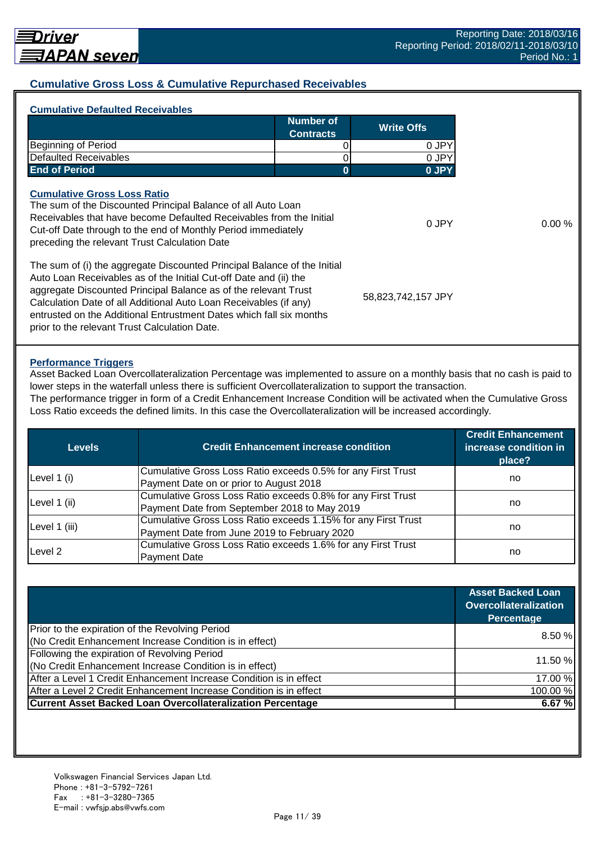## <span id="page-10-0"></span>**Cumulative Gross Loss & Cumulative Repurchased Receivables**

|                                                                                                                                                                                                                                                                                                                                                              | Number of<br><b>Contracts</b> | <b>Write Offs</b>  |
|--------------------------------------------------------------------------------------------------------------------------------------------------------------------------------------------------------------------------------------------------------------------------------------------------------------------------------------------------------------|-------------------------------|--------------------|
| <b>Beginning of Period</b>                                                                                                                                                                                                                                                                                                                                   |                               | 0 JPY              |
| <b>Defaulted Receivables</b>                                                                                                                                                                                                                                                                                                                                 |                               | 0 JPY              |
| <b>End of Period</b>                                                                                                                                                                                                                                                                                                                                         | 0                             | 0 JPY              |
| <b>Cumulative Gross Loss Ratio</b><br>The sum of the Discounted Principal Balance of all Auto Loan<br>Receivables that have become Defaulted Receivables from the Initial<br>Cut-off Date through to the end of Monthly Period immediately<br>preceding the relevant Trust Calculation Date                                                                  |                               | 0 JPY              |
| The sum of (i) the aggregate Discounted Principal Balance of the Initial<br>Auto Loan Receivables as of the Initial Cut-off Date and (ii) the<br>aggregate Discounted Principal Balance as of the relevant Trust<br>Calculation Date of all Additional Auto Loan Receivables (if any)<br>entrusted on the Additional Entrustment Dates which fall six months |                               | 58,823,742,157 JPY |

#### **Performance Triggers**

Asset Backed Loan Overcollateralization Percentage was implemented to assure on a monthly basis that no cash is paid to lower steps in the waterfall unless there is sufficient Overcollateralization to support the transaction.

The performance trigger in form of a Credit Enhancement Increase Condition will be activated when the Cumulative Gross Loss Ratio exceeds the defined limits. In this case the Overcollateralization will be increased accordingly.

| Levels        | <b>Credit Enhancement increase condition</b>                  | <b>Credit Enhancement</b><br>increase condition in<br>place? |  |
|---------------|---------------------------------------------------------------|--------------------------------------------------------------|--|
|               | Cumulative Gross Loss Ratio exceeds 0.5% for any First Trust  |                                                              |  |
| Level 1 (i)   | Payment Date on or prior to August 2018                       | no                                                           |  |
|               | Cumulative Gross Loss Ratio exceeds 0.8% for any First Trust  |                                                              |  |
| Level 1 (ii)  | Payment Date from September 2018 to May 2019                  | no                                                           |  |
|               | Cumulative Gross Loss Ratio exceeds 1.15% for any First Trust |                                                              |  |
| Level 1 (iii) | Payment Date from June 2019 to February 2020                  | no                                                           |  |
|               | Cumulative Gross Loss Ratio exceeds 1.6% for any First Trust  |                                                              |  |
| Level 2       | <b>Payment Date</b>                                           | no                                                           |  |

|                                                                    | <b>Asset Backed Loan</b><br><b>Overcollateralization</b><br>Percentage |  |
|--------------------------------------------------------------------|------------------------------------------------------------------------|--|
| Prior to the expiration of the Revolving Period                    | 8.50%                                                                  |  |
| (No Credit Enhancement Increase Condition is in effect)            |                                                                        |  |
| Following the expiration of Revolving Period                       |                                                                        |  |
| (No Credit Enhancement Increase Condition is in effect)            | 11.50 %                                                                |  |
| After a Level 1 Credit Enhancement Increase Condition is in effect | 17.00 %                                                                |  |
| After a Level 2 Credit Enhancement Increase Condition is in effect | 100.00%                                                                |  |
| <b>Current Asset Backed Loan Overcollateralization Percentage</b>  | 6.67%                                                                  |  |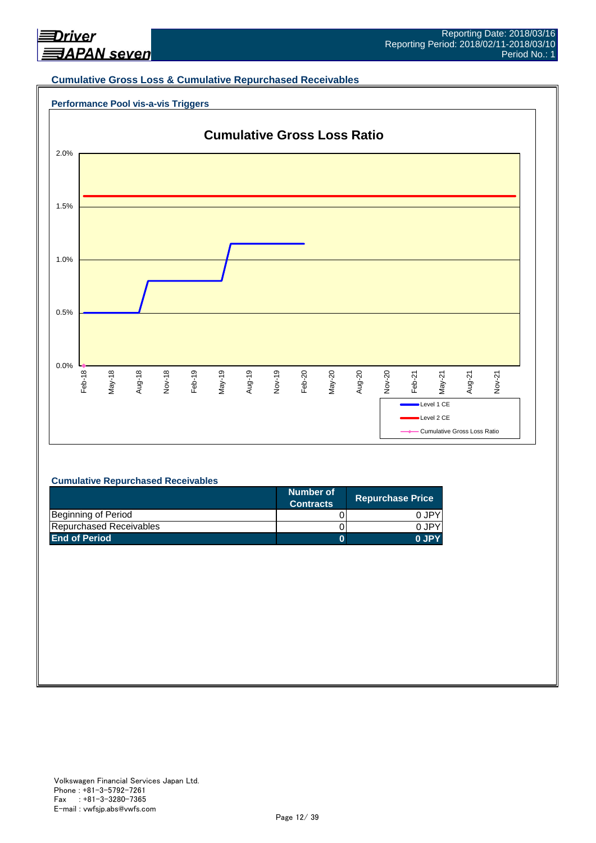<span id="page-11-0"></span>

#### **Cumulative Gross Loss & Cumulative Repurchased Receivables**

#### **Performance Pool vis-a-vis Triggers**



#### **Cumulative Repurchased Receivables**

|                         | Number of<br><b>Contracts</b> | <b>Repurchase Price</b> |
|-------------------------|-------------------------------|-------------------------|
| Beginning of Period     |                               | 0 JPY                   |
| Repurchased Receivables |                               | 0.JPY                   |
| <b>End of Period</b>    |                               | 0 JPY                   |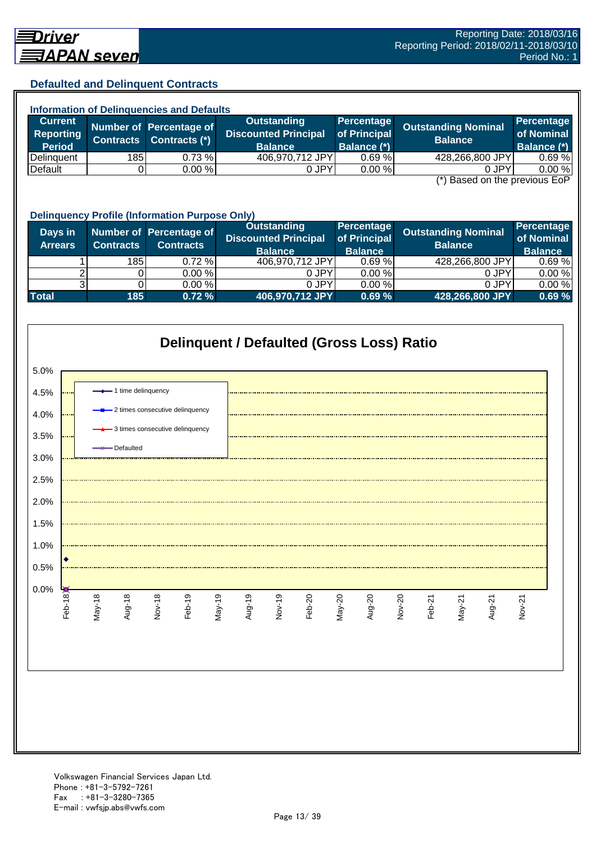## <span id="page-12-0"></span>**Defaulted and Delinquent Contracts**

| <b>Information of Delinquencies and Defaults</b> |                  |                         |                             |              |                            |                    |  |  |
|--------------------------------------------------|------------------|-------------------------|-----------------------------|--------------|----------------------------|--------------------|--|--|
| <b>Current</b>                                   |                  | Number of Percentage of | <b>Outstanding</b>          | Percentage   | <b>Outstanding Nominal</b> | Percentage         |  |  |
| <b>Reporting</b>                                 | <b>Contracts</b> | Contracts (*)           | <b>Discounted Principal</b> | of Principal | <b>Balance</b>             | of Nominal         |  |  |
| <b>Period</b>                                    |                  |                         | <b>Balance</b>              | Balance (*)  |                            | <b>Balance (*)</b> |  |  |
| Delinquent                                       | 185              | $0.73 \%$               | 406,970,712 JPY             | 0.69%        | 428,266,800 JPY            | 0.69%              |  |  |
| Default                                          |                  | $0.00 \%$               | 0 JPY                       | $0.00 \%$    | 0 JPY<br>$\sqrt{2}$        | 0.00 %<br>--       |  |  |

(\*) Based on the previous EoP

|                           | <b>Delinquency Profile (Information Purpose Only)</b> |                                             |                                                                     |                                              |                                       |                                            |  |  |
|---------------------------|-------------------------------------------------------|---------------------------------------------|---------------------------------------------------------------------|----------------------------------------------|---------------------------------------|--------------------------------------------|--|--|
| Days in<br><b>Arrears</b> | <b>Contracts</b>                                      | Number of Percentage of<br><b>Contracts</b> | <b>Outstanding</b><br><b>Discounted Principal</b><br><b>Balance</b> | Percentage<br>of Principal<br><b>Balance</b> | Outstanding Nominal<br><b>Balance</b> | Percentage<br>of Nominal<br><b>Balance</b> |  |  |
|                           | 185                                                   | $0.72 \%$                                   | 406,970,712 JPY                                                     | 0.69%                                        | 428,266,800 JPY                       | 0.69%                                      |  |  |
|                           |                                                       | 0.00 %                                      | 0 JPY                                                               | 0.00%                                        | 0 JPY                                 | 0.00%                                      |  |  |
|                           |                                                       | 0.00 %                                      | 0 JPY                                                               | 0.00%                                        | 0 JPY                                 | 0.00%                                      |  |  |
| <b>Total</b>              | 185                                                   | 0.72%                                       | 406,970,712 JPY                                                     | 0.69%                                        | 428,266,800 JPY                       | 0.69%                                      |  |  |

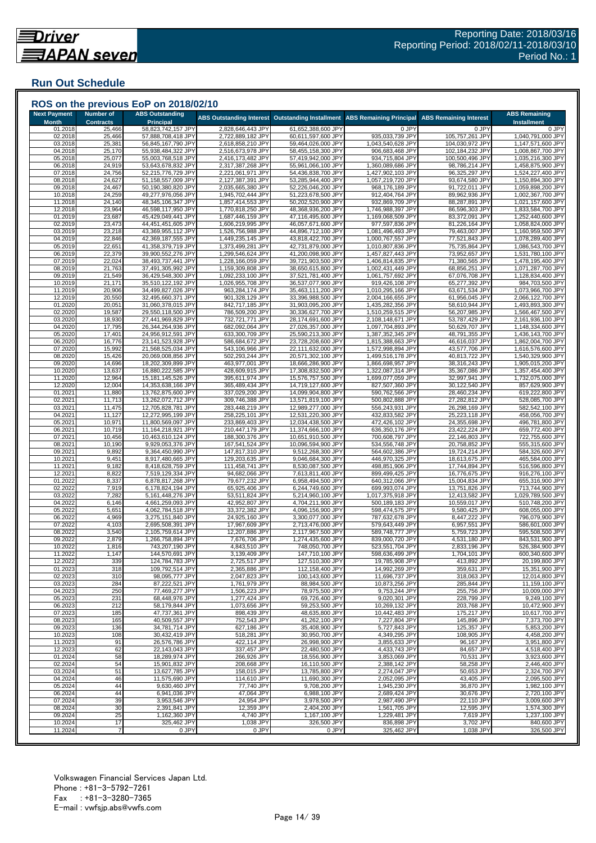# <span id="page-13-0"></span>**Run Out Schedule**

| <b>Next Payment</b><br><b>Month</b> | <b>Number of</b><br><b>Contracts</b> | <b>ABS Outstanding</b><br>Principal      | ABS Outstanding Interest Outstanding Installment |                                          | <b>ABS Remaining Principal</b>         | <b>ABS Remaining Interest</b>      | <b>ABS Remaining</b><br><b>Installment</b> |
|-------------------------------------|--------------------------------------|------------------------------------------|--------------------------------------------------|------------------------------------------|----------------------------------------|------------------------------------|--------------------------------------------|
| 01.2018                             | 25,466                               | 58,823,742,157 JPY                       | 2,828,646,443 JPY                                | 61,652,388,600 JPY                       | 0 JPY                                  | 0 JPY                              | 0 JPY                                      |
| 02.2018                             | 25,466                               | 57,888,708,418 JPY                       | 2,722,889,182 JPY                                | 60,611,597,600 JPY                       | 935,033,739 JPY                        | 105,757,261 JPY                    | 1,040,791,000 JPY                          |
| 03.2018<br>04.2018                  | 25,381<br>25,170                     | 56,845,167,790 JPY<br>55,938,484,322 JPY | 2,618,858,210 JPY<br>2,516,673,978 JPY           | 59,464,026,000 JPY<br>58,455,158,300 JPY | 1,043,540,628 JPY<br>906,683,468 JPY   | 104,030,972 JPY<br>102,184,232 JPY | 1,147,571,600 JPY<br>1,008,867,700 JPY     |
| 05.2018                             | 25,077                               | 55,003,768,518 JPY                       | 2,416,173,482 JP\                                | 57,419,942,000 JPY                       | 934,715,804 JPY                        | 100,500,496 JPY                    | 1,035,216,300 JPY                          |
| 06.2018                             | 24,919                               | 53,643,678,832 JPY                       | 2,317,387,268 JPY                                | 55,961,066,100 JPY                       | 1,360,089,686 JPY                      | 98,786,214 JPY                     | 1,458,875,900 JPY                          |
| 07.2018                             | 24,756                               | 52,215,776,729 JPY                       | 2,221,061,971 JPY                                | 54,436,838,700 JPY                       | 1,427,902,103 JPY                      | 96,325,297 JPY                     | 1,524,227,400 JPY                          |
| 08.2018                             | 24,627                               | 51,158,557,009 JPY                       | 2,127,387,391 JPY                                | 53,285,944,400 JPY                       | 1,057,219,720 JPY                      | 93,674,580 JPY                     | 1,150,894,300 JPY                          |
| 09.2018                             | 24,467                               | 50,190,380,820 JPY                       | 2,035,665,380 JPY                                | 52,226,046,200 JPY                       | 968,176,189 JPY                        | 91,722,011 JPY                     | 1,059,898,200 JPY                          |
| 10.2018<br>11.2018                  | 24,259<br>24,140                     | 49,277,976,056 JPY<br>48,345,106,347 JPY | 1,945,702,444 JPY<br>1,857,414,553 JPY           | 51,223,678,500 JPY<br>50,202,520,900 JPY | 912,404,764 JPY<br>932,869,709 JPY     | 89,962,936 JPY<br>88,287,891 JPY   | 1,002,367,700 JPY<br>1,021,157,600 JPY     |
| 12.2018                             | 23,964                               | 46,598,117,950 JPY                       | 1,770,818,250 JPY                                | 48,368,936,200 JPY                       | 1,746,988,397 JPY                      | 86,596,303 JPY                     | 1,833,584,700 JPY                          |
| 01.2019                             | 23,687                               | 45,429,049,441 JPY                       | 1,687,446,159 JP\                                | 47,116,495,600 JPY                       | 1,169,068,509 JPY                      | 83,372,091 JPY                     | 1,252,440,600 JPY                          |
| 02.2019                             | 23,473                               | 44,451,451,605 JPY                       | 1,606,219,995 JPY                                | 46,057,671,600 JPY                       | 977,597,836 JPY                        | 81,226,164 JPY                     | 1,058,824,000 JPY                          |
| 03.2019                             | 23,218                               | 43,369,955,112 JPY                       | 1,526,756,988 JPY                                | 44,896,712,100 JPY                       | 1,081,496,493 JPY                      | 79,463,007 JPY                     | 1,160,959,500 JPY                          |
| 04.2019                             | 22,846                               | 42,369,187,555 JPY                       | 1,449,235,145 JPY                                | 43,818,422,700 JPY                       | 1,000,767,557 JPY                      | 77,521,843 JPY                     | 1,078,289,400 JPY                          |
| 05.2019<br>06.2019                  | 22,651<br>22,379                     | 41,358,379,719 JPY<br>39,900,552,276 JPY | 1,373,499,281 JPY<br>1,299,546,624 JPY           | 42,731,879,000 JPY<br>41,200,098,900 JPY | 1,010,807,836 JPY<br>1,457,827,443 JPY | 75,735,864 JPY<br>73,952,657 JPY   | 1,086,543,700 JPY<br>1,531,780,100 JPY     |
| 07.2019                             | 22,024                               | 38,493,737,441 JPY                       | 1,228,166,059 JPY                                | 39,721,903,500 JPY                       | 1,406,814,835 JPY                      | 71,380,565 JPY                     | 1,478,195,400 JPY                          |
| 08.2019                             | 21,763                               | 37,491,305,992 JPY                       | 1,159,309,808 JPY                                | 38,650,615,800 JPY                       | 1,002,431,449 JPY                      | 68,856,251 JPY                     | 1,071,287,700 JPY                          |
| 09.2019                             | 21,549                               | 36,429,548,300 JPY                       | 1,092,233,100 JPY                                | 37,521,781,400 JPY                       | 1,061,757,692 JPY                      | 67,076,708 JPY                     | 1,128,834,400 JPY                          |
| 10.2019                             | 21,171                               | 35,510,122,192 JPY                       | 1,026,955,708 JPY                                | 36,537,077,900 JPY                       | 919,426,108 JPY                        | 65,277,392 JPY                     | 984,703,500 JPY                            |
| 11.2019                             | 20,906                               | 34,499,827,026 JPY                       | 963,284,174 JPY                                  | 35,463,111,200 JPY                       | 1,010,295,166 JPY                      | 63,671,534 JPY                     | 1,073,966,700 JPY                          |
| 12.2019                             | 20,550                               | 32,495,660,371 JPY                       | 901,328,129 JPY                                  | 33,396,988,500 JPY                       | 2,004,166,655 JPY                      | 61,956,045 JPY                     | 2,066,122,700 JPY                          |
| 01.2020                             | 20,051                               | 31,060,378,015 JPY                       | 842,717,185 JPY                                  | 31,903,095,200 JPY                       | 1,435,282,356 JPY                      | 58,610,944 JPY                     | 1,493,893,300 JPY                          |
| 02.2020<br>03.2020                  | 19,587<br>18,930                     | 29,550,118,500 JPY<br>27,441,969,829 JPY | 786,509,200 JPY<br>732,721,771 JPY               | 30,336,627,700 JPY<br>28,174,691,600 JPY | 1,510,259,515 JPY<br>2,108,148,671 JPY | 56,207,985 JPY<br>53,787,429 JPY   | 1,566,467,500 JPY<br>2,161,936,100 JPY     |
| 04.2020                             | 17,795                               | 26,344,264,936 JPY                       | 682,092,064 JPY                                  | 27,026,357,000 JPY                       | 1,097,704,893 JPY                      | 50,629,707 JPY                     | 1,148,334,600 JPY                          |
| 05.2020                             | 17,401                               | 24,956,912,591 JPY                       | 633,300,709 JPY                                  | 25,590,213,300 JPY                       | 1,387,352,345 JPY                      | 48,791,355 JPY                     | 1,436,143,700 JPY                          |
| 06.2020                             | 16,776                               | 23,141,523,928 JPY                       | 586,684,672 JPY                                  | 23,728,208,600 JPY                       | 1,815,388,663 JPY                      | 46,616,037 JPY                     | 1,862,004,700 JPY                          |
| 07.2020                             | 15,992                               | 21,568,525,034 JPY                       | 543,106,966 JPY                                  | 22,111,632,000 JPY                       | 1,572,998,894 JPY                      | 43,577,706 JPY                     | 1,616,576,600 JPY                          |
| 08.2020                             | 15,426                               | 20,069,008,856 JPY                       | 502,293,244 JPY                                  | 20,571,302,100 JPY                       | 1,499,516,178 JPY                      | 40,813,722 JPY                     | 1,540,329,900 JPY                          |
| 09.2020                             | 14,696                               | 18,202,309,899 JPY                       | 463,977,001 JPY                                  | 18,666,286,900 JPY                       | 1,866,698,957 JPY                      | 38,316,243 JPY                     | 1,905,015,200 JPY                          |
| 10.2020<br>11.2020                  | 13,637<br>12,964                     | 16,880,222,585 JPY<br>15,181,145,526 JPY | 428,609,915 JPY<br>395,611,974 JPY               | 17,308,832,500 JPY<br>15,576,757,500 JPY | 1,322,087,314 JPY<br>1,699,077,059 JPY | 35,367,086 JPY<br>32,997,941 JPY   | 1,357,454,400 JPY<br>1,732,075,000 JPY     |
| 12.2020                             | 12,004                               | 14,353,638,166 JPY                       | 365,489,434 JPY                                  | 14,719,127,600 JPY                       | 827,507,360 JPY                        | 30,122,540 JPY                     | 857,629,900 JPY                            |
| 01.2021                             | 11,880                               | 13,762,875,600 JPY                       | 337,029,200 JPY                                  | 14,099,904,800 JPY                       | 590,762,566 JPY                        | 28,460,234 JPY                     | 619,222,800 JPY                            |
| 02.2021                             | 11,713                               | 13,262,072,712 JPY                       | 309,746,388 JPY                                  | 13,571,819,100 JPY                       | 500,802,888 JPY                        | 27,282,812 JPY                     | 528,085,700 JPY                            |
| 03.2021                             | 11,475                               | 12,705,828,781 JPY                       | 283,448,219 JPY                                  | 12,989,277,000 JPY                       | 556,243,931 JPY                        | 26,298,169 JPY                     | 582,542,100 JPY                            |
| 04.2021                             | 11,127                               | 12,272,995,199 JPY                       | 258,225,101 JPY                                  | 12,531,220,300 JPY                       | 432,833,582 JPY                        | 25,223,118 JPY                     | 458,056,700 JPY                            |
| 05.2021<br>06.2021                  | 10,971<br>10,719                     | 11,800,569,097 JPY<br>11,164,218,921 JPY | 233,869,403 JPY<br>210,447,179 JPY               | 12,034,438,500 JPY<br>11,374,666,100 JPY | 472,426,102 JPY<br>636,350,176 JPY     | 24,355,698 JPY<br>23,422,224 JPY   | 496,781,800 JPY<br>659,772,400 JPY         |
| 07.2021                             | 10,456                               | 10,463,610,124 JPY                       | 188,300,376 JPY                                  | 10,651,910,500 JPY                       | 700,608,797 JPY                        | 22,146,803 JPY                     | 722,755,600 JPY                            |
| 08.2021                             | 10,190                               | 9,929,053,376 JPY                        | 167,541,524 JPY                                  | 10,096,594,900 JPY                       | 534,556,748 JPY                        | 20,758,852 JPY                     | 555,315,600 JPY                            |
| 09.2021                             | 9,892                                | 9,364,450,990 JPY                        | 147,817,310 JPY                                  | 9,512,268,300 JPY                        | 564,602,386 JPY                        | 19,724,214 JPY                     | 584,326,600 JPY                            |
| 10.2021                             | 9,451                                | 8,917,480,665 JPY                        | 129,203,635 JPY                                  | 9,046,684,300 JPY                        | 446,970,325 JPY                        | 18,613,675 JPY                     | 465,584,000 JPY                            |
| 11.2021                             | 9,182                                | 8,418,628,759 JPY                        | 111,458,741 JPY                                  | 8,530,087,500 JPY                        | 498,851,906 JPY                        | 17,744,894 JPY                     | 516,596,800 JPY                            |
| 12.2021                             | 8,822                                | 7,519,129,334 JPY                        | 94,682,066 JPY                                   | 7,613,811,400 JPY                        | 899,499,425 JPY                        | 16,776,675 JPY                     | 916,276,100 JPY                            |
| 01.2022<br>02.2022                  | 8,337<br>7,919                       | 6,878,817,268 JPY<br>6,178,824,194 JPY   | 79,677,232 JPY<br>65,925,406 JPY                 | 6,958,494,500 JPY<br>6,244,749,600 JPY   | 640,312,066 JPY<br>699,993,074 JPY     | 15,004,834 JPY<br>13,751,826 JPY   | 655,316,900 JPY<br>713,744,900 JPY         |
| 03.2022                             | 7,282                                | 5,161,448,276 JPY                        | 53,511,824 JPY                                   | 5,214,960,100 JPY                        | 1,017,375,918 JPY                      | 12,413,582 JPY                     | 1,029,789,500 JPY                          |
| 04.202                              | 6,146                                | 4,661,259,093 JPY                        | 42,952,807 JPY                                   | 4,704,211,900 JPY                        | 500,189,183 JPY                        | 10,559,017 JPY                     | 510,748,200 JPY                            |
| 05.202                              | 5,651                                | 4,062,784,518 JPY                        | 33,372,382 JPY                                   | 4,096,156,900 JPY                        | 598,474,575 JPY                        | 9,580,425 JPY                      | 608,055,000 JPY                            |
| 06.2022                             | 4,969                                | 3,275,151,840 JPY                        | 24,925,160 JPY                                   | 3,300,077,000 JPY                        | 787,632,678 JPY                        | 8,447,222 JPY                      | 796,079,900 JPY                            |
| 07.2022                             | 4,103                                | 2,695,508,391 JPY                        | 17,967,609 JPY                                   | 2,713,476,000 JPY                        | 579,643,449 JPY                        | 6,957,551 JPY                      | 586,601,000 JPY                            |
| 08.2022                             | 3,540                                | 2,105,759,614 JPY                        | 12,207,886 JPY                                   | 2,117,967,500 JPY                        | 589,748,777 JPY                        | 5,759,723 JPY                      | 595,508,500 JPY                            |
| 09.2022<br>10.2022                  | 2,879<br>1,816                       | 1,266,758,894 JPY<br>743,207,190 JPY     | 7,676,706 JPY<br>4,843,510 JPY                   | 1,274,435,600 JPY<br>748,050,700 JPY     | 839,000,720 JPY<br>523,551,704 JPY     | 4,531,180 JPY<br>2,833,196 JPY     | 843,531,900 JPY<br>526,384,900 JPY         |
| 11.2022                             | 1,147                                | 144,570,691 JPY                          | 3,139,409 JPY                                    | 147,710,100 JPY                          | 598,636,499 JPY                        | 1,704,101 JPY                      | 600,340,600 JPY                            |
| 12.2022                             | 339                                  | 124,784,783 JPY                          | 2,725,517 JPY                                    | 127,510,300 JPY                          | 19,785,908 JPY                         | 413,892 JPY                        | 20,199,800 JPY                             |
| 01.2023                             | 318                                  | 109,792,514 JPY                          | 2,365,886 JPY                                    | 112,158,400 JPY                          | 14,992,269 JPY                         | 359,631 JPY                        | 15.351.900 JPY                             |
| 02.2023                             | 310                                  | 98,095,777 JPY                           | 2,047,823 JPY                                    | 100,143,600 JPY                          | 11,696,737 JPY                         | 318,063 JPY                        | 12,014,800 JPY                             |
| 03.2023                             | 284                                  | 87,222,521 JPY                           | 1,761,979 JPY                                    | 88,984,500 JPY                           | 10,873,256 JPY                         | 285,844 JPY                        | 11,159,100 JPY                             |
| 04.2023                             | 250                                  | 77,469,277 JPY                           | 1,506,223 JPY                                    | 78,975,500 JPY                           | 9,753,244 JPY<br>9,020,301 JPY         | 255,756 JPY                        | 10,009,000 JPY                             |
| 05.2023<br>06.2023                  | 231<br>212                           | 68,448,976 JPY<br>58,179,844 JPY         | 1,277,424 JPY<br>1,073,656 JPY                   | 69,726,400 JPY<br>59,253,500 JPY         | 10,269,132 JPY                         | 228,799 JPY<br>203,768 JPY         | 9,249,100 JPY<br>10,472,900 JPY            |
| 07.2023                             | 185                                  | 47,737,361 JPY                           | 898,439 JPY                                      | 48,635,800 JPY                           | 10,442,483 JPY                         | 175,217 JPY                        | 10,617,700 JPY                             |
| 08.2023                             | 165                                  | 40,509,557 JPY                           | 752,543 JPY                                      | 41,262,100 JPY                           | 7,227,804 JPY                          | 145,896 JPY                        | 7,373,700 JPY                              |
| 09.2023                             | 136                                  | 34,781,714 JPY                           | 627,186 JPY                                      | 35,408,900 JPY                           | 5,727,843 JPY                          | 125,357 JPY                        | 5.853.200 JPY                              |
| 10.2023                             | 108                                  | 30,432,419 JPY                           | 518,281 JPY                                      | 30,950,700 JPY                           | 4,349,295 JPY                          | 108,905 JPY                        | 4,458,200 JPY                              |
| 11.2023                             | 91                                   | 26,576,786 JPY                           | 422,114 JPY                                      | 26,998,900 JPY                           | 3,855,633 JPY                          | 96,167 JPY                         | 3,951,800 JPY                              |
| 12.2023                             | 62                                   | 22,143,043 JPY                           | 337,457 JPY                                      | 22,480,500 JPY                           | 4,433,743 JPY                          | 84,657 JPY                         | 4,518,400 JPY                              |
| 01.2024<br>02.2024                  | 58<br>54                             | 18,289,974 JPY<br>15,901,832 JPY         | 266,926 JPY<br>208,668 JPY                       | 18,556,900 JPY<br>16,110,500 JPY         | 3,853,069 JPY<br>2,388,142 JPY         | 70,531 JPY<br>58,258 JPY           | 3,923,600 JPY<br>2,446,400 JPY             |
| 03.2024                             | 51                                   | 13,627,785 JPY                           | 158,015 JPY                                      | 13,785,800 JPY                           | 2,274,047 JPY                          | 50,653 JPY                         | 2,324,700 JPY                              |
| 04.2024                             | 46                                   | 11,575,690 JPY                           | 114,610 JPY                                      | 11,690,300 JPY                           | 2,052,095 JPY                          | 43,405 JPY                         | 2,095,500 JPY                              |
| 05.2024                             | 44                                   | 9,630,460 JPY                            | 77,740 JPY                                       | 9,708,200 JPY                            | 1,945,230 JPY                          | 36,870 JPY                         | 1,982,100 JPY                              |
| 06.2024                             | 44                                   | 6,941,036 JPY                            | 47,064 JPY                                       | 6,988,100 JPY                            | 2,689,424 JPY                          | 30,676 JPY                         | 2,720,100 JPY                              |
| 07.2024                             | 39                                   | 3,953,546 JPY                            | 24,954 JPY                                       | 3,978,500 JPY                            | 2,987,490 JPY                          | 22,110 JPY                         | 3,009,600 JPY                              |
| 08.2024                             | 30                                   | 2,391,841 JPY                            | 12,359 JPY                                       | 2,404,200 JPY                            | 1,561,705 JPY                          | 12,595 JPY                         | 1,574,300 JPY                              |
| 09.2024                             | 25<br>17                             | 1,162,360 JPY<br>325,462 JPY             | 4,740 JPY<br>1,038 JPY                           | 1,167,100 JPY<br>326,500 JPY             | 1,229,481 JPY                          | 7,619 JPY                          | 1,237,100 JPY                              |
| 10.2024                             |                                      |                                          |                                                  |                                          | 836,898 JPY                            | 3,702 JPY                          | 840,600 JPY                                |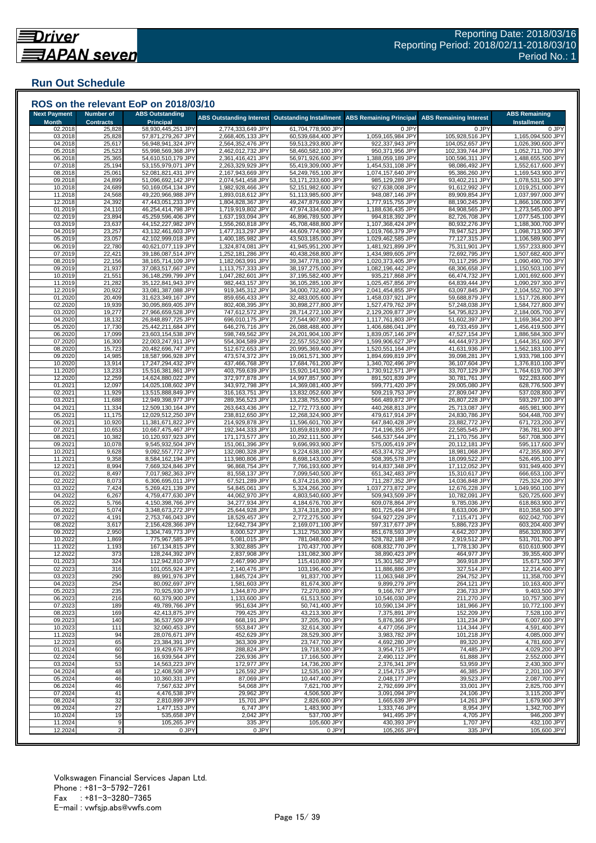## <span id="page-14-0"></span>**Run Out Schedule**

|                                     |                                      | ROS on the relevant EoP on 2018/03/10    |                                        |                                          |                                        |                                    |                                            |
|-------------------------------------|--------------------------------------|------------------------------------------|----------------------------------------|------------------------------------------|----------------------------------------|------------------------------------|--------------------------------------------|
| <b>Next Payment</b><br><b>Month</b> | <b>Number of</b><br><b>Contracts</b> | <b>ABS Outstanding</b><br>Principal      | <b>ABS Outstanding Interest</b>        | <b>Outstanding Installment</b>           | <b>ABS Remaining Principal</b>         | <b>ABS Remaining Interest</b>      | <b>ABS Remaining</b><br><b>Installment</b> |
| 02.2018                             | 25,828                               | 58,930,445,251 JPY                       | 2,774,333,649 JPY                      | 61,704,778,900 JPY                       | 0 JPY                                  | 0 JPY                              | 0 JPY                                      |
| 03.2018<br>04.2018                  | 25,828<br>25,617                     | 57,871,279,267 JPY<br>56,948,941,324 JPY | 2,668,405,133 JPY<br>2,564,352,476 JPY | 60,539,684,400 JPY<br>59,513,293,800 JPY | 1,059,165,984 JPY<br>922,337,943 JPY   | 105,928,516 JPY<br>104,052,657 JPY | 1,165,094,500 JPY<br>1,026,390,600 JPY     |
| 05.2018                             | 25,523                               | 55,998,569,368 JPY                       | 2,462,012,732 JPY                      | 58,460,582,100 JPY                       | 950,371,956 JPY                        | 102,339,744 JPY                    | 1,052,711,700 JPY                          |
| 06.2018                             | 25,365                               | 54,610,510,179 JPY                       | 2,361,416,421 JPY                      | 56,971,926,600 JPY                       | 1,388,059,189 JPY                      | 100,596,311 JPY                    | 1,488,655,500 JPY                          |
| 07.2018<br>08.2018                  | 25,194<br>25,061                     | 53,155,979,071 JPY<br>52,081,821,431 JPY | 2,263,329,929 JPY<br>2,167,943,669 JP\ | 55,419,309,000 JPY<br>54,249,765,100 JPY | 1,454,531,108 JPY<br>1,074,157,640 JPY | 98,086,492 JPY<br>95,386,260 JPY   | 1,552,617,600 JPY<br>1,169,543,900 JPY     |
| 09.2018                             | 24,899                               | 51,096,692,142 JPY                       | 2,074,541,458 JPY                      | 53,171,233,600 JPY                       | 985,129,289 JPY                        | 93,402,211 JPY                     | 1,078,531,500 JPY                          |
| 10.2018                             | 24,689                               | 50,169,054,134 JPY                       | 1,982,928,466 JPY                      | 52,151,982,600 JPY                       | 927,638,008 JPY                        | 91,612,992 JPY                     | 1,019,251,000 JPY                          |
| 11.2018<br>12.2018                  | 24,568<br>24,392                     | 49,220,966,988 JPY<br>47,443,051,233 JPY | 1,893,018,612 JPY<br>1,804,828,367 JPY | 51,113,985,600 JPY<br>49,247,879,600 JPY | 948,087,146 JPY<br>1,777,915,755 JPY   | 89,909,854 JPY<br>88,190,245 JPY   | 1,037,997,000 JPY<br>1,866,106,000 JPY     |
| 01.2019                             | 24,110                               | 46,254,414,798 JPY                       | 1,719,919,802 JPY                      | 47,974,334,600 JPY                       | 1,188,636,435 JPY                      | 84,908,565 JPY                     | 1,273,545,000 JPY                          |
| 02.2019                             | 23,894                               | 45,259,596,406 JPY                       | 1,637,193,094 JPY                      | 46,896,789,500 JPY                       | 994,818,392 JPY                        | 82,726,708 JPY                     | 1,077,545,100 JPY                          |
| 03.2019<br>04.2019                  | 23,637<br>23,257                     | 44,152,227,982 JPY<br>43,132,461,603 JPY | 1,556,260,818 JPY<br>1,477,313,297 JPY | 45,708,488,800 JPY<br>44,609,774,900 JPY | 1,107,368,424 JPY<br>1,019,766,379 JPY | 80,932,276 JPY<br>78,947,521 JPY   | 1,188,300,700 JPY<br>1,098,713,900 JPY     |
| 05.2019                             | 23,057                               | 42,102,999,018 JPY                       | 1,400,185,982 JPY                      | 43,503,185,000 JPY                       | 1,029,462,585 JPY                      | 77,127,315 JPY                     | 1,106,589,900 JPY                          |
| 06.2019                             | 22,780                               | 40,621,077,119 JPY                       | 1,324,874,081 JPY                      | 41.945.951.200 JPY                       | 1,481,921,899 JPY                      | 75,311,901 JPY                     | 1,557,233,800 JPY                          |
| 07.2019<br>08.2019                  | 22,421<br>22,156                     | 39,186,087,514 JPY<br>38,165,714,109 JPY | 1,252,181,286 JPY<br>1,182,063,991 JPY | 40,438,268,800 JPY<br>39,347,778,100 JPY | 1,434,989,605 JPY<br>1,020,373,405 JPY | 72,692,795 JPY<br>70,117,295 JPY   | 1,507,682,400 JPY<br>1,090,490,700 JPY     |
| 09.2019                             | 21,937                               | 37,083,517,667 JPY                       | 1,113,757,333 JPY                      | 38,197,275,000 JPY                       | 1,082,196,442 JPY                      | 68,306,658 JPY                     | 1,150,503,100 JPY                          |
| 10.2019                             | 21,551                               | 36,148,299,799 JPY                       | 1,047,282,601 JPY                      | 37,195,582,400 JPY                       | 935,217,868 JPY                        | 66,474,732 JPY                     | 1,001,692,600 JPY                          |
| 11.2019<br>12.2019                  | 21,282<br>20,922                     | 35,122,841,943 JPY<br>33,081,387,088 JPY | 982,443,157 JPY<br>919,345,312 JPY     | 36,105,285,100 JPY<br>34,000,732,400 JPY | 1,025,457,856 JPY<br>2,041,454,855 JPY | 64,839,444 JPY<br>63,097,845 JPY   | 1,090,297,300 JPY<br>2,104,552,700 JPY     |
| 01.2020                             | 20,409                               | 31,623,349,167 JPY                       | 859,656,433 JPY                        | 32,483,005,600 JPY                       | 1,458,037,921 JPY                      | 59,688,879 JPY                     | 1,517,726,800 JPY                          |
| 02.2020                             | 19,939                               | 30,095,869,405 JPY                       | 802,408,395 JPY                        | 30,898,277,800 JPY                       | 1,527,479,762 JPY                      | 57,248,038 JPY                     | 1,584,727,800 JPY                          |
| 03.2020<br>04.2020                  | 19,277<br>18,132                     | 27,966,659,528 JPY<br>26,848,897,725 JPY | 747,612,572 JPY<br>696,010,175 JPY     | 28,714,272,100 JPY<br>27,544,907,900 JPY | 2,129,209,877 JPY<br>1,117,761,803 JPY | 54,795,823 JPY<br>51,602,397 JPY   | 2,184,005,700 JPY<br>1,169,364,200 JPY     |
| 05.2020                             | 17,730                               | 25,442,211,684 JPY                       | 646,276,716 JPY                        | 26,088,488,400 JPY                       | 1,406,686,041 JPY                      | 49,733,459 JPY                     | 1,456,419,500 JPY                          |
| 06.2020                             | 17,099                               | 23,603,154,538 JPY                       | 598,749,562 JPY                        | 24,201,904,100 JPY                       | 1,839,057,146 JPY                      | 47,527,154 JPY                     | 1,886,584,300 JPY                          |
| 07.2020<br>08.2020                  | 16,300<br>15,723                     | 22,003,247,911 JPY<br>20,482,696,747 JPY | 554,304,589 JPY<br>512,672,653 JPY     | 22,557,552,500 JPY<br>20,995,369,400 JPY | 1,599,906,627 JPY<br>1,520,551,164 JPY | 44,444,973 JPY<br>41,631,936 JPY   | 1,644,351,600 JPY<br>1,562,183,100 JPY     |
| 09.2020                             | 14,985                               | 18,587,996,928 JPY                       | 473,574,372 JPY                        | 19,061,571,300 JPY                       | 1,894,699,819 JPY                      | 39,098,281 JPY                     | 1,933,798,100 JPY                          |
| 10.2020                             | 13,914                               | 17,247,294,432 JPY                       | 437,466,768 JPY                        | 17,684,761,200 JPY                       | 1,340,702,496 JPY                      | 36,107,604 JPY                     | 1,376,810,100 JPY                          |
| 11.2020<br>12.2020                  | 13,233<br>12,259                     | 15,516,381,861 JPY<br>14,624,880,022 JPY | 403,759,639 JPY<br>372,977,878 JPY     | 15,920,141,500 JPY<br>14,997,857,900 JPY | 1,730,912,571 JPY<br>891,501,839 JPY   | 33,707,129 JPY<br>30,781,761 JPY   | 1,764,619,700 JPY<br>922,283,600 JPY       |
| 01.202                              | 12,097                               | 14,025,108,602 JPY                       | 343,972,798 JPY                        | 14,369,081,400 JPY                       | 599,771,420 JPY                        | 29,005,080 JPY                     | 628,776,500 JPY                            |
| 02.2021                             | 11,929                               | 13,515,888,849 JPY                       | 316,163,751 JPY                        | 13,832,052,600 JPY                       | 509,219,753 JPY                        | 27,809,047 JPY                     | 537,028,800 JPY                            |
| 03.2021<br>04.2021                  | 11,688<br>11,334                     | 12,949,398,977 JPY<br>12,509,130,164 JPY | 289,356,523 JPY<br>263,643,436 JPY     | 13,238,755,500 JPY<br>12,772,773,600 JPY | 566,489,872 JPY<br>440,268,813 JPY     | 26,807,228 JPY<br>25,713,087 JPY   | 593,297,100 JPY<br>465,981,900 JPY         |
| 05.2021                             | 11,175                               | 12,029,512,250 JPY                       | 238,812,650 JPY                        | 12,268,324,900 JPY                       | 479,617,914 JPY                        | 24,830,786 JPY                     | 504,448,700 JPY                            |
| 06.2021                             | 10,920                               | 11,381,671,822 JPY                       | 214,929,878 JPY                        | 11,596,601,700 JPY                       | 647,840,428 JPY                        | 23,882,772 JPY                     | 671,723,200 JPY                            |
| 07.2021<br>08.2021                  | 10,653<br>10,382                     | 10,667,475,467 JPY<br>10,120,937,923 JPY | 192,344,333 JPY<br>171,173,577 JPY     | 10,859,819,800 JPY<br>10,292,111,500 JPY | 714,196,355 JPY<br>546,537,544 JPY     | 22,585,545 JPY<br>21,170,756 JPY   | 736,781,900 JPY<br>567,708,300 JPY         |
| 09.2021                             | 10,078                               | 9,545,932,504 JPY                        | 151,061,396 JPY                        | 9,696,993,900 JPY                        | 575,005,419 JPY                        | 20,112,181 JPY                     | 595,117,600 JPY                            |
| 10.2021                             | 9,628                                | 9,092,557,772 JP\                        | 132,080,328 JPY                        | 9,224,638,100 JPY                        | 453,374,732 JPY                        | 18,981,068 JPY                     | 472,355,800 JPY                            |
| 11.2021<br>12.2021                  | 9,358<br>8,994                       | 8,584,162,194 JPY<br>7,669,324,846 JPY   | 113,980,806 JPY<br>96,868,754 JPY      | 8,698,143,000 JPY<br>7,766,193,600 JPY   | 508,395,578 JPY<br>914,837,348 JPY     | 18,099,522 JPY<br>17,112,052 JPY   | 526,495,100 JPY<br>931,949,400 JPY         |
| 01.2022                             | 8,497                                | 7,017,982,363 JPY                        | 81,558,137 JPY                         | 7,099,540,500 JPY                        | 651,342,483 JPY                        | 15,310,617 JPY                     | 666,653,100 JPY                            |
| 02.2022<br>03.2022                  | 8,073<br>7,424                       | 6,306,695,011 JPY<br>5,269,421,139 JPY   | 67,521,289 JPY<br>54,845,061 JPY       | 6,374,216,300 JPY<br>5,324,266,200 JPY   | 711,287,352 JPY<br>1,037,273,872 JPY   | 14,036,848 JPY<br>12,676,228 JPY   | 725,324,200 JPY<br>1,049,950,100 JPY       |
| 04.2022                             | 6,267                                | 4,759,477,630 JPY                        | 44,062,970 JPY                         | 4,803,540,600 JPY                        | 509,943,509 JPY                        | 10,782,091 JPY                     | 520,725,600 JPY                            |
| 05.2022                             | 5,766                                | 4,150,398,766 JPY                        | 34,277,934 JPY                         | 4,184,676,700 JPY                        | 609,078,864 JPY                        | 9,785,036 JPY                      | 618,863,900 JPY                            |
| 06.2022<br>07.2022                  | 5,074<br>4,191                       | 3,348,673,272 JPY<br>2,753,746,043 JPY   | 25,644,928 JPY<br>18,529,457 JPY       | 3,374,318,200 JPY<br>2,772,275,500 JPY   | 801,725,494 JPY<br>594,927,229 JPY     | 8,633,006 JPY<br>7,115,471 JPY     | 810,358,500 JPY<br>602,042,700 JPY         |
| 08.2022                             | 3,617                                | 2,156,428,366 JPY                        | 12,642,734 JPY                         | 2,169,071,100 JPY                        | 597,317,677 JPY                        | 5,886,723 JPY                      | 603,204,400 JPY                            |
| 09.2022                             | 2,950                                | 1,304,749,773 JPY                        | 8,000,527 JPY                          | 1,312,750,300 JPY                        | 851,678,593 JPY                        | 4,642,207 JPY                      | 856,320,800 JPY                            |
| 10.2022<br>11.2022                  | 1,869<br>1,193                       | 775,967,585 JPY<br>167,134,815 JPY       | 5,081,015 JPY<br>3,302,885 JPY         | 781,048,600 JPY<br>170,437,700 JPY       | 528,782,188 JPY<br>608,832,770 JPY     | 2,919,512 JPY<br>1,778,130 JPY     | 531,701,700 JPY<br>610,610,900 JPY         |
| 12.2022                             | 373                                  | 128,244,392 JPY                          | 2,837,908 JPY                          | 131,082,300 JPY                          | 38,890,423 JPY                         | 464,977 JPY                        | 39,355,400 JPY                             |
| 01.2023                             | 324                                  | 112,942,810 JPY                          | 2,467,990 JPY                          | 115,410,800 JPY                          | 15,301,582 JPY                         | 369,918 JPY                        | 15,671,500 JPY                             |
| 02.2023<br>03.2023                  | 316<br>290                           | 101,055,924 JPY<br>89,991,976 JPY        | 2,140,476 JPY<br>1,845,724 JPY         | 103,196,400 JPY<br>91,837,700 JPY        | 11,886,886 JPY<br>11,063,948 JPY       | 327,514 JPY<br>294,752 JPY         | 12,214,400 JPY<br>11,358,700 JPY           |
| 04.2023                             | 254                                  | 80,092,697 JPY                           | 1,581,603 JPY                          | 81,674,300 JPY                           | 9,899,279 JPY                          | 264,121 JPY                        | 10,163,400 JPY                             |
| 05.2023                             | 235                                  | 70,925,930 JPY                           | 1,344,870 JPY                          | 72,270,800 JPY                           | 9.166.767 JPY                          | 236,733 JPY                        | 9,403,500 JPY<br>10,757,300 JPY            |
| 06.2023<br>07.2023                  | 216<br>189                           | 60,379,900 JPY<br>49,789,766 JPY         | 1,133,600 JPY<br>951,634 JPY           | 61,513,500 JPY<br>50,741,400 JPY         | 10,546,030 JPY<br>10,590,134 JPY       | 211,270 JPY<br>181,966 JPY         | 10,772,100 JPY                             |
| 08.2023                             | 169                                  | 42,413,875 JPY                           | 799,425 JPY                            | 43,213,300 JPY                           | 7,375,891 JPY                          | 152,209 JPY                        | 7,528,100 JPY                              |
| 09.2023                             | 140                                  | 36,537,509 JPY<br>32,060,453 JPY         | 668,191 JPY<br>553,847 JPY             | 37,205,700 JPY                           | 5,876,366 JPY                          | 131,234 JPY                        | 6,007,600 JPY                              |
| 10.2023<br>11.2023                  | 111<br>94                            | 28,076,671 JPY                           | 452,629 JPY                            | 32,614,300 JPY<br>28,529,300 JPY         | 4,477,056 JPY<br>3,983,782 JPY         | 114,344 JPY<br>101,218 JPY         | 4,591,400 JPY<br>4,085,000 JPY             |
| 12.2023                             | 65                                   | 23,384,391 JPY                           | 363,309 JPY                            | 23,747,700 JPY                           | 4,692,280 JPY                          | 89,320 JPY                         | 4,781,600 JPY                              |
| 01.2024<br>02.2024                  | 60<br>56                             | 19,429,676 JPY<br>16,939,564 JPY         | 288,824 JPY<br>226,936 JPY             | 19,718,500 JPY<br>17,166,500 JPY         | 3,954,715 JPY<br>2,490,112 JPY         | 74,485 JPY<br>61,888 JPY           | 4,029,200 JPY<br>2,552,000 JPY             |
| 03.2024                             | 53                                   | 14,563,223 JPY                           | 172,977 JPY                            | 14,736,200 JPY                           | 2,376,341 JPY                          | 53,959 JPY                         | 2,430,300 JPY                              |
| 04.2024                             | 48                                   | 12,408,508 JPY                           | 126,592 JPY                            | 12,535,100 JPY                           | 2,154,715 JPY                          | 46,385 JPY                         | 2,201,100 JPY                              |
| 05.2024<br>06.2024                  | 46<br>46                             | 10,360,331 JPY<br>7,567,632 JPY          | 87,069 JPY<br>54,068 JPY               | 10,447,400 JPY<br>7,621,700 JPY          | 2,048,177 JPY<br>2,792,699 JPY         | 39,523 JPY<br>33,001 JPY           | 2,087,700 JPY<br>2,825,700 JPY             |
| 07.2024                             | 41                                   | 4,476,538 JPY                            | 29,962 JPY                             | 4,506,500 JPY                            | 3,091,094 JPY                          | 24,106 JPY                         | 3,115,200 JPY                              |
| 08.2024                             | 32                                   | 2,810,899 JPY                            | 15,701 JPY                             | 2,826,600 JPY                            | 1,665,639 JPY                          | 14,261 JPY                         | 1,679,900 JPY                              |
| 09.2024<br>10.2024                  | 27<br>19                             | 1,477,153 JPY<br>535,658 JPY             | 6,747 JPY<br>2,042 JPY                 | 1,483,900 JPY<br>537,700 JPY             | 1,333,746 JPY<br>941,495 JPY           | 8,954 JPY<br>4,705 JPY             | 1,342,700 JPY<br>946,200 JPY               |
| 11.2024                             | 9                                    | 105,265 JPY                              | 335 JPY                                | 105,600 JPY                              | 430,393 JPY                            | 1,707 JPY                          | 432,100 JPY                                |
| 12.2024                             | $\overline{2}$                       | 0 JPY                                    | 0 JPY                                  | 0 JPY                                    | 105,265 JPY                            | 335 JPY                            | 105,600 JPY                                |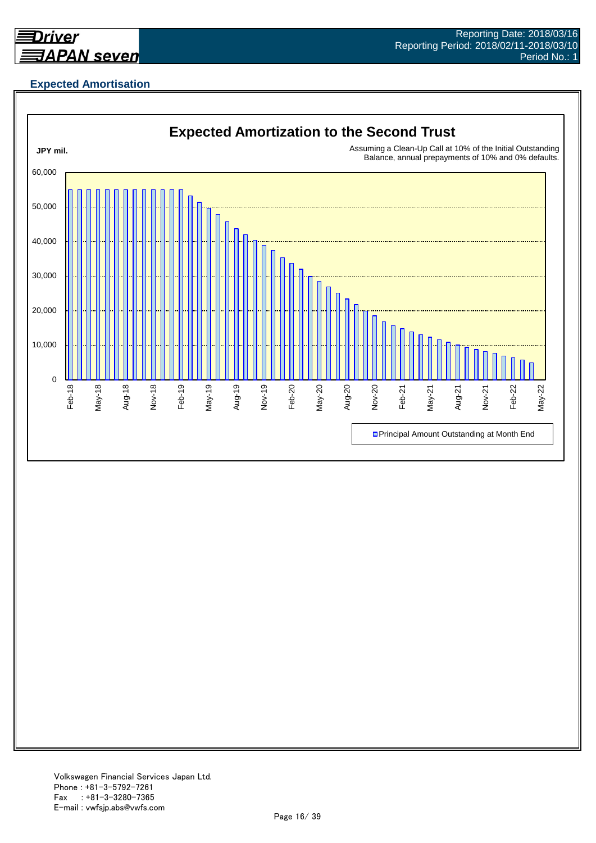<span id="page-15-0"></span>

## **Expected Amortisation**

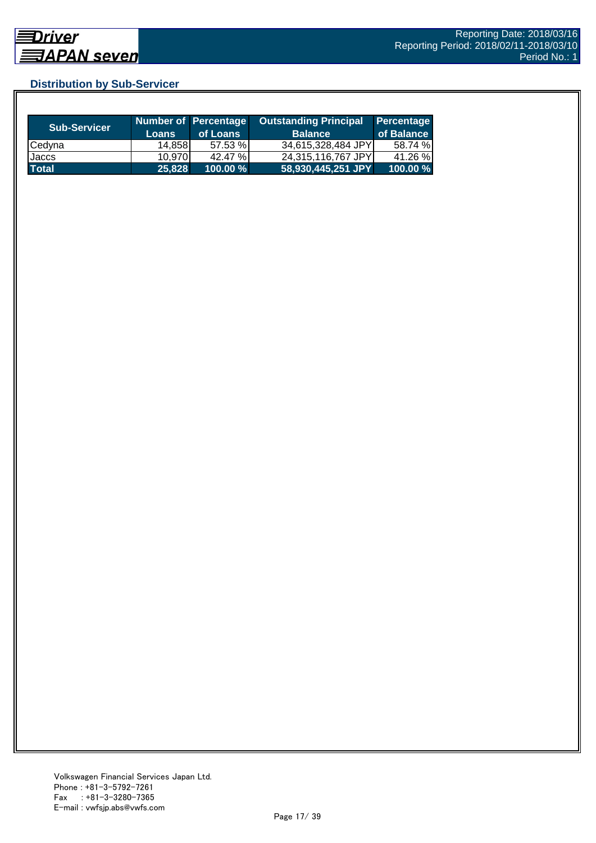## <span id="page-16-0"></span>**Distribution by Sub-Servicer**

| <b>Sub-Servicer</b> | <b>Loans</b> | Number of Percentage<br>of Loans | <b>Outstanding Principal</b><br><b>Balance</b> | <b>Percentage</b><br>of Balance I |
|---------------------|--------------|----------------------------------|------------------------------------------------|-----------------------------------|
| Cedyna              | 14.858       | 57.53 %                          | 34,615,328,484 JPY                             | 58.74 %                           |
| Jaccs               | 10.970       | 42.47 %                          | 24.315.116.767 JPYI                            | 41.26 %                           |
| <b>Total</b>        | 25,828       | $100.00 \%$                      | 58,930,445,251 JPY                             | 100.00 %                          |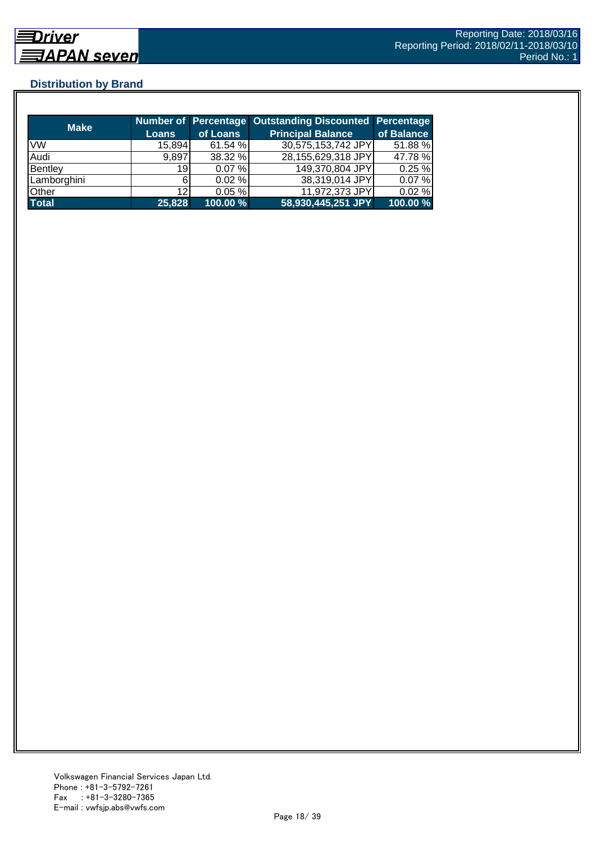## <span id="page-17-0"></span>**Distribution by Brand**

| <b>Make</b>  |                 |          | Number of Percentage Outstanding Discounted Percentage |            |
|--------------|-----------------|----------|--------------------------------------------------------|------------|
|              | <b>Loans</b>    | of Loans | <b>Principal Balance</b>                               | of Balance |
| <b>VW</b>    | 15,894          | 61.54 %  | 30,575,153,742 JPY                                     | 51.88 %    |
| Audi         | 9,897           | 38.32 %  | 28,155,629,318 JPY                                     | 47.78 %    |
| Bentley      | 19              | 0.07%    | 149,370,804 JPY                                        | 0.25%      |
| Lamborghini  |                 | 0.02%    | 38,319,014 JPY                                         | 0.07%      |
| Other        | 12 <sub>l</sub> | 0.05%    | 11,972,373 JPY                                         | 0.02%      |
| <b>Total</b> | 25,828          | 100.00 % | 58,930,445,251 JPY                                     | 100.00 %   |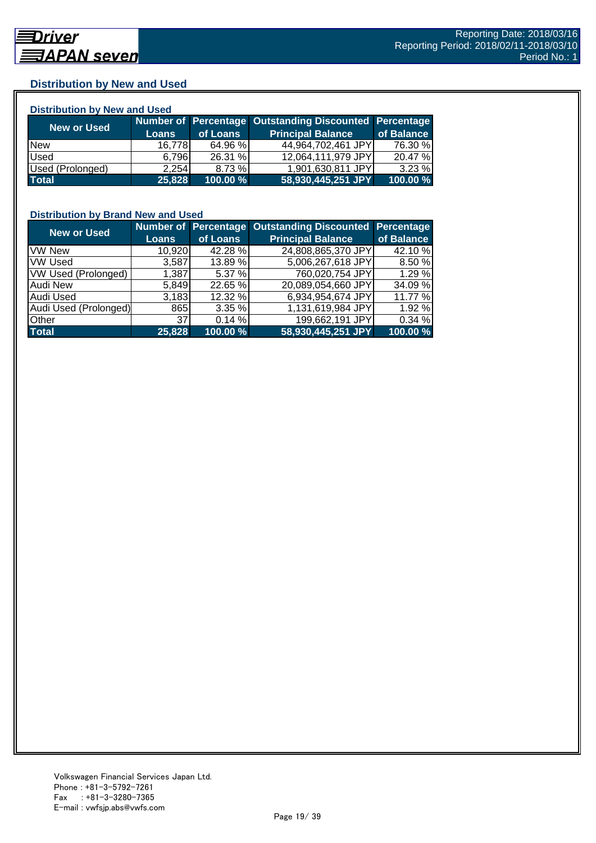## <span id="page-18-0"></span>**Distribution by New and Used**

| <b>Distribution by New and Used</b> |              |          |                                                        |            |  |  |
|-------------------------------------|--------------|----------|--------------------------------------------------------|------------|--|--|
| New or Used                         |              |          | Number of Percentage Outstanding Discounted Percentage |            |  |  |
|                                     | <b>Loans</b> | of Loans | <b>Principal Balance</b>                               | of Balance |  |  |
| <b>New</b>                          | 16.778       | 64.96 %  | 44,964,702,461 JPY                                     | 76.30 %    |  |  |
| Used                                | 6.796        | 26.31 %  | 12,064,111,979 JPY                                     | 20.47 %    |  |  |
| Used (Prolonged)                    | 2.254        | 8.73 %   | 1,901,630,811 JPY                                      | $3.23 \%$  |  |  |
| <b>Total</b>                        | 25,828       | 100.00 % | 58,930,445,251 JPY                                     | 100.00 %   |  |  |

## **Distribution by Brand New and Used**

| <b>New or Used</b>    |              |          | Number of Percentage Outstanding Discounted Percentage |            |
|-----------------------|--------------|----------|--------------------------------------------------------|------------|
|                       | <b>Loans</b> | of Loans | <b>Principal Balance</b>                               | of Balance |
| <b>VW New</b>         | 10,920       | 42.28 %  | 24,808,865,370 JPY                                     | 42.10 %    |
| <b>VW Used</b>        | 3,587        | 13.89 %  | 5,006,267,618 JPY                                      | 8.50 %     |
| VW Used (Prolonged)   | 1,387        | 5.37 %   | 760,020,754 JPY                                        | 1.29%      |
| <b>Audi New</b>       | 5,849        | 22.65 %  | 20,089,054,660 JPY                                     | 34.09 %    |
| Audi Used             | 3,183        | 12.32 %  | 6,934,954,674 JPY                                      | 11.77 %    |
| Audi Used (Prolonged) | 865          | 3.35 %   | 1,131,619,984 JPY                                      | 1.92 %     |
| <b>Other</b>          | 37           | 0.14%    | 199,662,191 JPY                                        | 0.34%      |
| <b>Total</b>          | 25,828       | 100.00 % | 58,930,445,251 JPY                                     | 100.00 %   |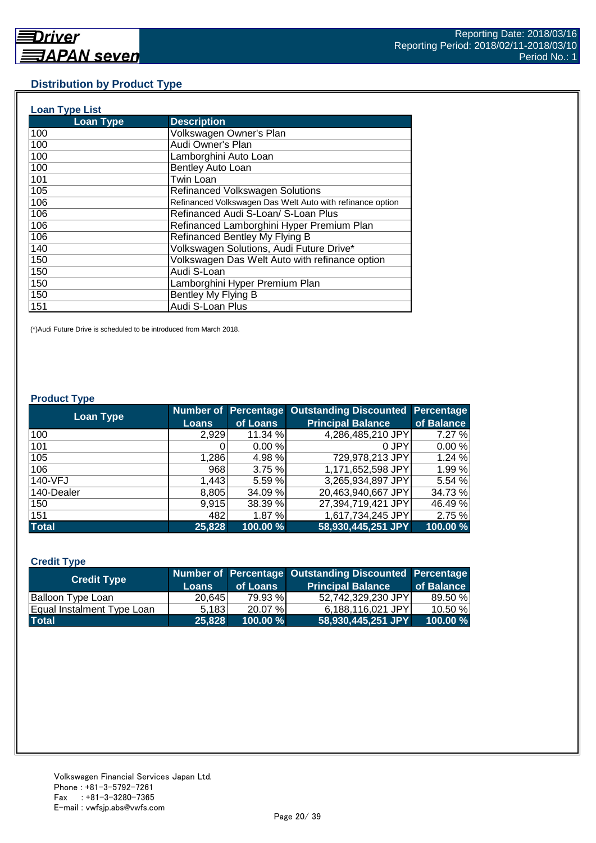## <span id="page-19-0"></span>**Distribution by Product Type**

| <b>Loan Type List</b> |                                                           |
|-----------------------|-----------------------------------------------------------|
| <b>Loan Type</b>      | <b>Description</b>                                        |
| 100                   | Volkswagen Owner's Plan                                   |
| 100                   | Audi Owner's Plan                                         |
| 100                   | Lamborghini Auto Loan                                     |
| 100                   | Bentley Auto Loan                                         |
| 101                   | <b>Twin Loan</b>                                          |
| 105                   | <b>Refinanced Volkswagen Solutions</b>                    |
| 106                   | Refinanced Volkswagen Das Welt Auto with refinance option |
| 106                   | Refinanced Audi S-Loan/ S-Loan Plus                       |
| 106                   | Refinanced Lamborghini Hyper Premium Plan                 |
| 106                   | Refinanced Bentley My Flying B                            |
| 140                   | Volkswagen Solutions, Audi Future Drive*                  |
| 150                   | Volkswagen Das Welt Auto with refinance option            |
| 150                   | Audi S-Loan                                               |
| 150                   | Lamborghini Hyper Premium Plan                            |
| 150                   | Bentley My Flying B                                       |
| 151                   | Audi S-Loan Plus                                          |

(\*)Audi Future Drive is scheduled to be introduced from March 2018.

#### **Product Type**

| <b>Loan Type</b> |              |          | Number of Percentage Outstanding Discounted Percentage |            |
|------------------|--------------|----------|--------------------------------------------------------|------------|
|                  | <b>Loans</b> | of Loans | <b>Principal Balance</b>                               | of Balance |
| 100              | 2.929        | 11.34 %  | 4,286,485,210 JPY                                      | 7.27 %     |
| 101              |              | 0.00%    | 0 JPY                                                  | 0.00%      |
| 105              | 1,286        | 4.98%    | 729,978,213 JPY                                        | 1.24 %     |
| 106              | 968          | 3.75 %   | 1,171,652,598 JPY                                      | 1.99%      |
| 140-VFJ          | 1,443        | 5.59 %   | 3,265,934,897 JPY                                      | 5.54 %     |
| 140-Dealer       | 8,805        | 34.09 %  | 20,463,940,667 JPY                                     | 34.73 %    |
| 150              | 9,915        | 38.39 %  | 27,394,719,421 JPY                                     | 46.49 %    |
| 151              | 482          | 1.87%    | 1,617,734,245 JPY                                      | 2.75 %     |
| <b>Total</b>     | 25,828       | 100.00 % | 58,930,445,251 JPY                                     | 100.00 %   |

#### **Credit Type**

| <b>Credit Type</b>         |        |             | Number of Percentage Outstanding Discounted Percentage |            |
|----------------------------|--------|-------------|--------------------------------------------------------|------------|
|                            | Loans  | of Loans    | <b>Principal Balance</b>                               | of Balance |
| Balloon Type Loan          | 20,645 | 79.93 %     | 52,742,329,230 JPY                                     | 89.50 %    |
| Equal Instalment Type Loan | 5.183  | $20.07\%$   | 6,188,116,021 JPY                                      | 10.50%     |
| <b>Total</b>               | 25.828 | $100.00 \%$ | 58,930,445,251 JPY                                     | 100.00%    |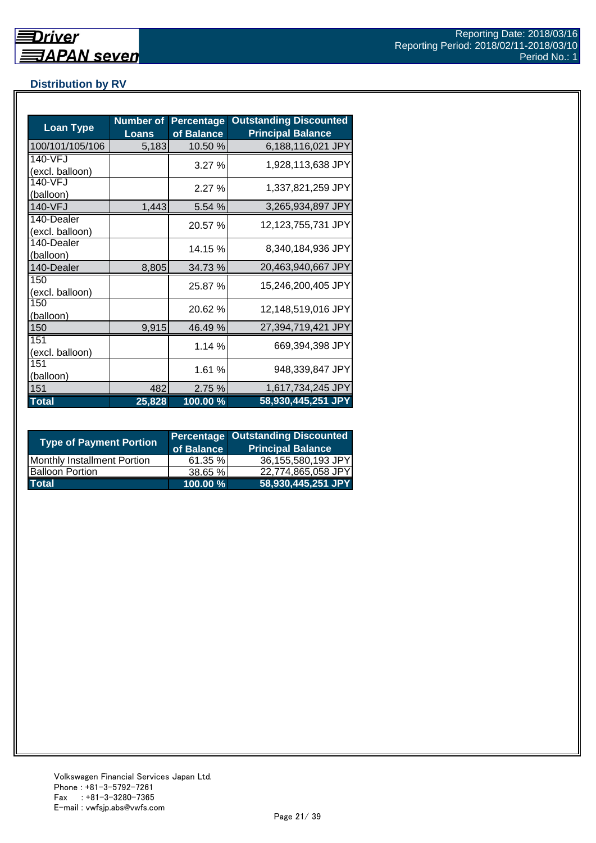## <span id="page-20-0"></span>**Distribution by RV**

| <b>Loan Type</b>              | <b>Number of</b><br><b>Loans</b> | <b>Percentage</b><br>of Balance | <b>Outstanding Discounted</b><br><b>Principal Balance</b> |
|-------------------------------|----------------------------------|---------------------------------|-----------------------------------------------------------|
| 100/101/105/106               | 5,183                            | 10.50 %                         | 6,188,116,021 JPY                                         |
| 140-VFJ<br>(excl. balloon)    |                                  | 3.27%                           | 1,928,113,638 JPY                                         |
| 140-VFJ<br>(balloon)          |                                  | 2.27%                           | 1,337,821,259 JPY                                         |
| 140-VFJ                       | 1,443                            | 5.54%                           | 3,265,934,897 JPY                                         |
| 140-Dealer<br>(excl. balloon) |                                  | 20.57 %                         | 12,123,755,731 JPY                                        |
| 140-Dealer<br>(balloon)       |                                  | 14.15 %                         | 8,340,184,936 JPY                                         |
| 140-Dealer                    | 8,805                            | 34.73 %                         | 20,463,940,667 JPY                                        |
| 150<br>(excl. balloon)        |                                  | 25.87 %                         | 15,246,200,405 JPY                                        |
| 150<br>(balloon)              |                                  | 20.62 %                         | 12,148,519,016 JPY                                        |
| 150                           | 9,915                            | 46.49 %                         | 27,394,719,421 JPY                                        |
| 151<br>(excl. balloon)        |                                  | 1.14 %                          | 669,394,398 JPY                                           |
| 151<br>(balloon)              |                                  | 1.61%                           | 948,339,847 JPY                                           |
| 151                           | 482                              | 2.75 %                          | 1,617,734,245 JPY                                         |
| <b>Total</b>                  | 25,828                           | 100.00 %                        | 58,930,445,251 JPY                                        |

| <b>Type of Payment Portion</b>     | of Balance | <b>Percentage Outstanding Discounted</b><br><b>Principal Balance</b> |
|------------------------------------|------------|----------------------------------------------------------------------|
| <b>Monthly Installment Portion</b> | 61.35 %    | 36,155,580,193 JPY                                                   |
| <b>Balloon Portion</b>             | 38.65 %    | 22,774,865,058 JPY                                                   |
| <b>Total</b>                       | 100.00 %   | 58,930,445,251 JPY                                                   |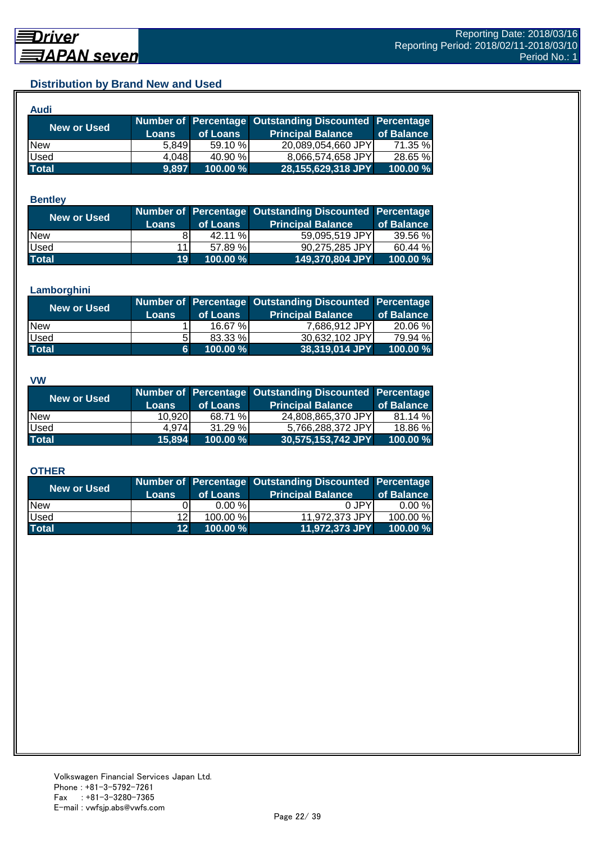## <span id="page-21-0"></span>**Distribution by Brand New and Used**

| Audi         |              |          |                                                        |            |
|--------------|--------------|----------|--------------------------------------------------------|------------|
| New or Used  |              |          | Number of Percentage Outstanding Discounted Percentage |            |
|              | <b>Loans</b> | of Loans | <b>Principal Balance</b>                               | of Balance |
| <b>New</b>   | 5.849        | 59.10 %  | 20,089,054,660 JPY                                     | 71.35 %    |
| Used         | 4,048        | 40.90 %  | 8.066.574.658 JPY                                      | 28.65 %    |
| <b>Total</b> | 9,897        | 100.00 % | 28,155,629,318 JPY                                     | 100.00 %   |

#### **Bentley**

| New or Used  | <b>Loans</b>    | of Loans | Number of Percentage Outstanding Discounted Percentage<br><b>Principal Balance</b> | of Balance |
|--------------|-----------------|----------|------------------------------------------------------------------------------------|------------|
| <b>New</b>   |                 | 42.11 %  | 59,095,519 JPY                                                                     | 39.56 %    |
| <b>Used</b>  | 11              | 57.89 %  | 90,275,285 JPY                                                                     | 60.44 %    |
| <b>Total</b> | 19 <sup>1</sup> | 100.00 % | 149,370,804 JPY                                                                    | 100.00 %   |

#### **Lamborghini**

| New or Used  | <b>Loans</b> | of Loans | Number of Percentage Outstanding Discounted Percentage<br><b>Principal Balance</b> | of Balance |
|--------------|--------------|----------|------------------------------------------------------------------------------------|------------|
| <b>New</b>   |              | 16.67 %  | 7,686,912 JPY                                                                      | 20.06 %    |
| <b>Used</b>  | 51           | 83.33 %  | 30,632,102 JPY                                                                     | 79.94 %    |
| <b>Total</b> | 6            | 100.00 % | 38,319,014 JPY                                                                     | 100.00 %   |

#### **VW**

| <b>New or Used</b> |              |          | Number of Percentage Outstanding Discounted Percentage |            |
|--------------------|--------------|----------|--------------------------------------------------------|------------|
|                    | <b>Loans</b> | of Loans | <b>Principal Balance</b>                               | of Balance |
| <b>New</b>         | 10.920       | 68.71 %  | 24,808,865,370 JPY                                     | 81.14 %    |
| <b>Used</b>        | 4.974        | 31.29%   | 5,766,288,372 JPY                                      | 18.86 %    |
| <b>Total</b>       | 15,894       | 100.00 % | 30,575,153,742 JPY                                     | 100.00 %   |

#### **OTHER**

| <b>Principal Balance</b> | of Balance                       |
|--------------------------|----------------------------------|
| 0 JPY                    | $0.00 \%$                        |
|                          | 100.00 %                         |
|                          | 100.00 %                         |
|                          | 11,972,373 JPY<br>11,972,373 JPY |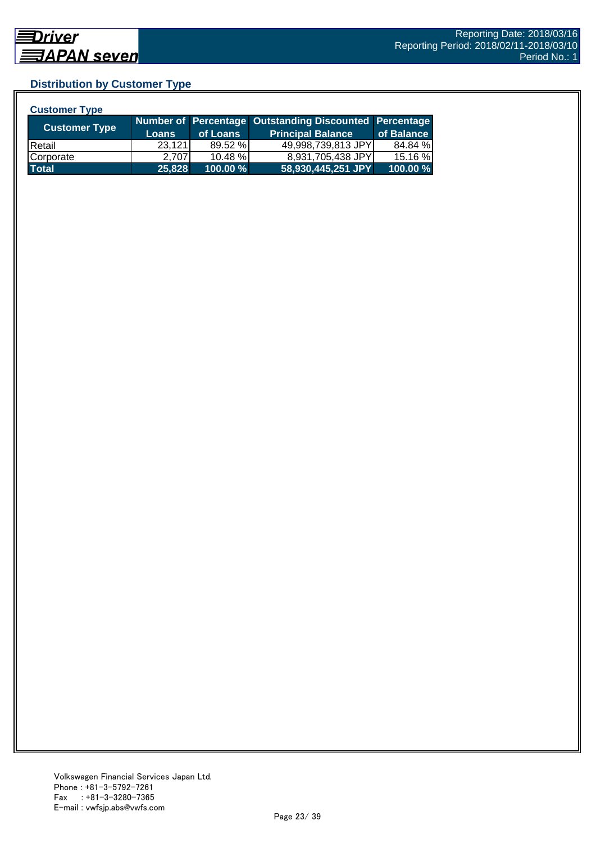## <span id="page-22-0"></span>**Distribution by Customer Type**

| <b>Customer Type</b> |              |          |                                                        |            |
|----------------------|--------------|----------|--------------------------------------------------------|------------|
|                      |              |          | Number of Percentage Outstanding Discounted Percentage |            |
| <b>Customer Type</b> | <b>Loans</b> | of Loans | <b>Principal Balance</b>                               | of Balance |
| Retail               | 23,121       | 89.52 %  | 49,998,739,813 JPY                                     | 84.84 %    |
| Corporate            | 2.707        | 10.48%   | 8,931,705,438 JPY                                      | 15.16 %    |
| <b>Total</b>         | 25,828       | 100.00 % | 58,930,445,251 JPY                                     | 100.00 %   |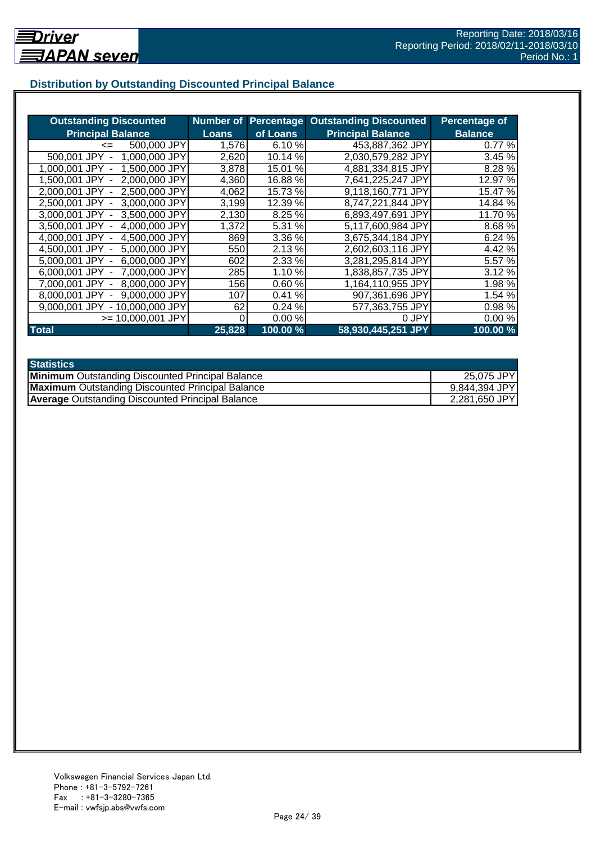## <span id="page-23-0"></span>**Distribution by Outstanding Discounted Principal Balance**

| <b>Outstanding Discounted</b>      | Number of    | <b>Percentage</b> | <b>Outstanding Discounted</b> | <b>Percentage of</b> |
|------------------------------------|--------------|-------------------|-------------------------------|----------------------|
| <b>Principal Balance</b>           | <b>Loans</b> | of Loans          | <b>Principal Balance</b>      | <b>Balance</b>       |
| 500,000 JPY<br>$\leq$              | 1,576        | 6.10 %            | 453,887,362 JPY               | 0.77%                |
| 500,001 JPY<br>1,000,000 JPY       | 2,620        | 10.14 %           | 2,030,579,282 JPY             | 3.45 %               |
| 1,500,000 JPY<br>1.000.001 JPY -   | 3,878        | 15.01 %           | 4,881,334,815 JPY             | 8.28%                |
| 2,000,000 JPY<br>1.500.001 JPY -   | 4,360        | 16.88%            | 7,641,225,247 JPY             | 12.97 %              |
| 2.000.001 JPY -<br>2.500,000 JPY   | 4,062        | 15.73 %           | 9,118,160,771 JPY             | 15.47 %              |
| 3,000,000 JPY<br>2,500,001 JPY -   | 3,199        | 12.39 %           | 8,747,221,844 JPY             | 14.84 %              |
| 3,500,000 JPY<br>3,000,001 JPY -   | 2,130        | 8.25 %            | 6,893,497,691 JPY             | 11.70 %              |
| 4,000,000 JPY<br>3.500.001 JPY -   | 1,372        | 5.31 %            | 5,117,600,984 JPY             | 8.68%                |
| 4,000,001 JPY -<br>4,500,000 JPY   | 869          | 3.36 %            | 3,675,344,184 JPY             | 6.24 %               |
| 5,000,000 JPY<br>4,500,001 JPY -   | 550          | 2.13%             | 2,602,603,116 JPY             | 4.42%                |
| 5,000,001 JPY -<br>6,000,000 JPY   | 602          | 2.33 %            | 3,281,295,814 JPY             | 5.57 %               |
| 7,000,000 JPY<br>$6.000.001$ JPY - | 285          | 1.10%             | 1,838,857,735 JPY             | 3.12 %               |
| 8,000,000 JPY<br>7.000.001 JPY -   | 156          | 0.60%             | 1,164,110,955 JPY             | 1.98%                |
| 9,000,000 JPY<br>8.000.001 JPY     | 107          | 0.41%             | 907,361,696 JPY               | 1.54 %               |
| 9,000,001 JPY - 10,000,000 JPY     | 62           | 0.24%             | 577,363,755 JPY               | 0.98%                |
| $>= 10,000,001$ JPY                | 0            | 0.00%             | 0 JPY                         | 0.00%                |
| <b>Total</b>                       | 25,828       | 100.00 %          | 58,930,445,251 JPY            | 100.00 %             |

| <b>Statistics</b>                                       |               |
|---------------------------------------------------------|---------------|
| <b>Minimum</b> Outstanding Discounted Principal Balance | 25,075 JPY    |
| <b>Maximum</b> Outstanding Discounted Principal Balance | 9,844,394 JPY |
| <b>Average Outstanding Discounted Principal Balance</b> | 2,281,650 JPY |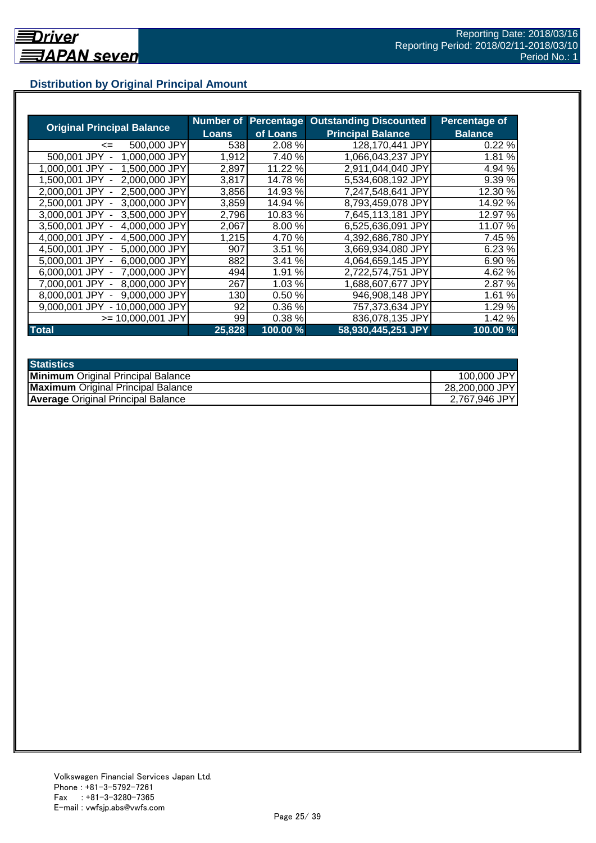## <span id="page-24-0"></span>**Distribution by Original Principal Amount**

|                                    | <b>Number of</b> |           | <b>Percentage Outstanding Discounted</b> | Percentage of  |
|------------------------------------|------------------|-----------|------------------------------------------|----------------|
| <b>Original Principal Balance</b>  | <b>Loans</b>     | of Loans  | <b>Principal Balance</b>                 | <b>Balance</b> |
| 500,000 JPY<br>$\leq$              | 538              | 2.08 %    | 128.170.441 JPY                          | 0.22%          |
| 1,000,000 JPY<br>500,001 JPY       | 1,912            | 7.40 %    | 1,066,043,237 JPY                        | 1.81 %         |
| 1,500,000 JPY<br>1.000.001 JPY     | 2,897            | 11.22 %   | 2,911,044,040 JPY                        | 4.94 %         |
| 2,000,000 JPY<br>1.500.001 JPY     | 3,817            | 14.78 %   | 5,534,608,192 JPY                        | 9.39%          |
| 2,500,000 JPY<br>2.000.001 JPY     | 3,856            | 14.93 %   | 7,247,548,641 JPY                        | 12.30 %        |
| 2,500,001 JPY<br>3,000,000 JPY     | 3,859            | 14.94 %   | 8,793,459,078 JPY                        | 14.92 %        |
| 3,000,001 JPY -<br>3,500,000 JPY   | 2,796            | 10.83%    | 7,645,113,181 JPY                        | 12.97 %        |
| 4,000,000 JPY<br>3,500,001 JPY -   | 2,067            | 8.00 %    | 6,525,636,091 JPY                        | 11.07 %        |
| 4,500,000 JPY<br>4,000,001 JPY -   | 1,215            | 4.70 %    | 4,392,686,780 JPY                        | 7.45 %         |
| 5,000,000 JPY<br>4,500,001 JPY -   | 907              | 3.51%     | 3,669,934,080 JPY                        | 6.23 %         |
| 6,000,000 JPY<br>5.000.001 JPY -   | 882              | %<br>3.41 | 4,064,659,145 JPY                        | 6.90%          |
| 7,000,000 JPY<br>$6.000.001$ JPY - | 494              | %<br>1.91 | 2,722,574,751 JPY                        | 4.62%          |
| 8,000,000 JPY<br>7,000,001 JPY     | 267              | 1.03 %    | 1,688,607,677 JPY                        | 2.87 %         |
| 9,000,000 JPY<br>8.000.001 JPY     | 130              | 0.50%     | 946,908,148 JPY                          | 1.61%          |
| $-10,000,000$ JPY<br>9.000.001 JPY | 92               | 0.36%     | 757,373,634 JPY                          | 1.29%          |
| $>= 10.000.001$ JPY                | 99               | 0.38%     | 836,078,135 JPY                          | 1.42 %         |
| <b>Total</b>                       | 25,828           | 100.00 %  | 58,930,445,251 JPY                       | 100.00 %       |

| <b>Statistics</b>                         |                |
|-------------------------------------------|----------------|
| <b>Minimum</b> Original Principal Balance | 100,000 JPY    |
| <b>Maximum</b> Original Principal Balance | 28,200,000 JPY |
| <b>Average Original Principal Balance</b> | 2,767,946 JPY  |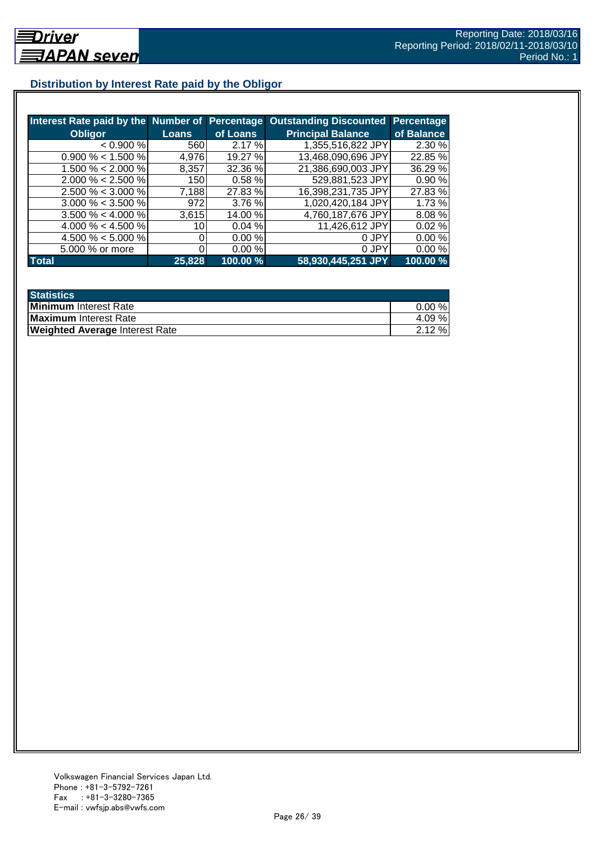## <span id="page-25-0"></span>**Distribution by Interest Rate paid by the Obligor**

| Interest Rate paid by the Number of Percentage |        |          | <b>Outstanding Discounted</b> | Percentage |
|------------------------------------------------|--------|----------|-------------------------------|------------|
| <b>Obligor</b>                                 | Loans  | of Loans | <b>Principal Balance</b>      | of Balance |
| < 0.900 %                                      | 560    | 2.17%    | 1,355,516,822 JPY             | 2.30 %     |
| $0.900\% < 1.500\%$                            | 4,976  | 19.27 %  | 13,468,090,696 JPY            | 22.85 %    |
| 1.500 % $<$ 2.000 %                            | 8,357  | 32.36 %  | 21,386,690,003 JPY            | 36.29 %    |
| $2.000\% < 2.500\%$                            | 150    | 0.58%    | 529,881,523 JPY               | 0.90%      |
| $2.500 \% < 3.000 \%$                          | 7,188  | 27.83 %  | 16,398,231,735 JPY            | 27.83%     |
| $3.000\% < 3.500\%$                            | 972    | 3.76%    | 1,020,420,184 JPY             | 1.73 %     |
| $3.500\% < 4.000\%$                            | 3,615  | 14.00 %  | 4,760,187,676 JPY             | 8.08%      |
| 4.000 % $<$ 4.500 %                            | 10.    | 0.04%    | 11,426,612 JPY                | 0.02%      |
| 4.500 % $<$ 5.000 %                            |        | 0.00%    | 0 JPY                         | 0.00%      |
| 5.000 % or more                                |        | 0.00%    | 0 JPY                         | 0.00%      |
| <b>Total</b>                                   | 25,828 | 100.00 % | 58,930,445,251 JPY            | 100.00 %   |

| <b>Statistics</b>                     |           |
|---------------------------------------|-----------|
| <b>Minimum</b> Interest Rate          | $0.00 \%$ |
| <b>Maximum</b> Interest Rate          | 4.09 %    |
| <b>Weighted Average Interest Rate</b> | 2.12%     |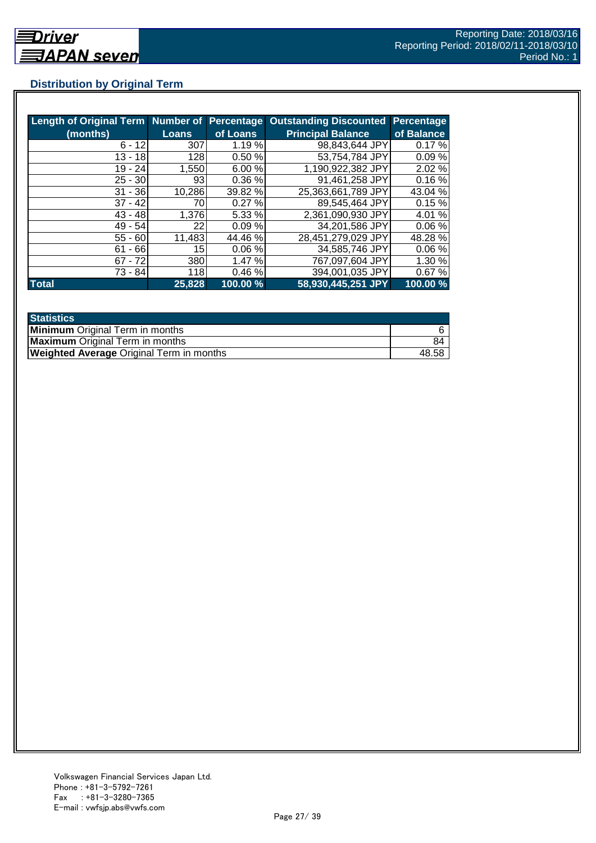# <span id="page-26-0"></span>**Distribution by Original Term**

| Length of Original Term Number of Percentage |              |          | <b>Outstanding Discounted</b> | <b>Percentage</b> |
|----------------------------------------------|--------------|----------|-------------------------------|-------------------|
| (months)                                     | <b>Loans</b> | of Loans | <b>Principal Balance</b>      | of Balance        |
| $6 - 12$                                     | 307          | 1.19 %   | 98.843,644 JPY                | 0.17%             |
| $13 - 18$                                    | 128          | 0.50 %   | 53,754,784 JPY                | 0.09%             |
| 19 - 24                                      | 1,550        | 6.00 %   | 1,190,922,382 JPY             | 2.02 %            |
| $25 - 30$                                    | 93           | 0.36%    | 91,461,258 JPY                | 0.16%             |
| $31 - 36$                                    | 10,286       | 39.82 %  | 25,363,661,789 JPY            | 43.04 %           |
| $37 - 42$                                    | 70           | 0.27%    | 89,545,464 JPY                | 0.15%             |
| $43 - 48$                                    | 1,376        | 5.33 %   | 2,361,090,930 JPY             | 4.01 %            |
| $49 - 54$                                    | 22           | 0.09%    | 34,201,586 JPY                | 0.06%             |
| $55 - 60$                                    | 11,483       | 44.46 %  | 28,451,279,029 JPY            | 48.28 %           |
| $61 - 66$                                    | 15           | 0.06%    | 34,585,746 JPY                | 0.06%             |
| $67 - 72$                                    | 380          | 1.47%    | 767,097,604 JPY               | 1.30 %            |
| 73 - 84                                      | 118          | 0.46%    | 394,001,035 JPY               | 0.67%             |
| <b>Total</b>                                 | 25,828       | 100.00 % | 58,930,445,251 JPY            | 100.00 %          |

| <b>Statistics</b>                               |       |
|-------------------------------------------------|-------|
| <b>Minimum</b> Original Term in months          |       |
| <b>Maximum</b> Original Term in months          | 84    |
| <b>Weighted Average Original Term in months</b> | 48.58 |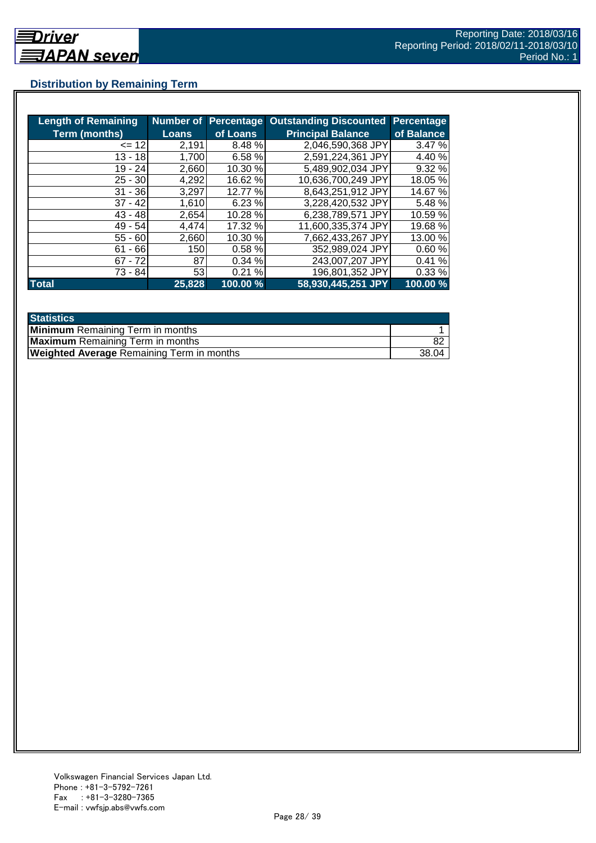## <span id="page-27-0"></span>**Distribution by Remaining Term**

| <b>Length of Remaining</b> | Number of    |          | <b>Percentage Outstanding Discounted</b> | Percentage |
|----------------------------|--------------|----------|------------------------------------------|------------|
| <b>Term (months)</b>       | <b>Loans</b> | of Loans | <b>Principal Balance</b>                 | of Balance |
| $= 12$                     | 2,191        | 8.48%    | 2,046,590,368 JPY                        | 3.47%      |
| $13 - 18$                  | 1,700        | 6.58 %   | 2,591,224,361 JPY                        | 4.40 %     |
| $19 - 24$                  | 2,660        | 10.30 %  | 5,489,902,034 JPY                        | 9.32 %     |
| $25 - 30$                  | 4,292        | 16.62 %  | 10,636,700,249 JPY                       | 18.05%     |
| $31 - 36$                  | 3,297        | 12.77 %  | 8,643,251,912 JPY                        | 14.67%     |
| $37 - 42$                  | 1,610        | 6.23%    | 3,228,420,532 JPY                        | 5.48 %     |
| $43 - 48$                  | 2,654        | 10.28 %  | 6,238,789,571 JPY                        | 10.59 %    |
| 49 - 54                    | 4.474        | 17.32 %  | 11,600,335,374 JPY                       | 19.68%     |
| $55 - 60$                  | 2,660        | 10.30 %  | 7,662,433,267 JPY                        | 13.00 %    |
| $-66$<br>61                | 150          | 0.58%    | 352,989,024 JPY                          | 0.60%      |
| $67 - 72$                  | 87           | 0.34%    | 243,007,207 JPY                          | 0.41%      |
| 73 - 84                    | 53           | 0.21%    | 196,801,352 JPY                          | 0.33%      |
| <b>Total</b>               | 25,828       | 100.00 % | 58,930,445,251 JPY                       | 100.00 %   |

| <b>Statistics</b>                                |       |
|--------------------------------------------------|-------|
| <b>Minimum</b> Remaining Term in months          |       |
| <b>Maximum</b> Remaining Term in months          |       |
| <b>Weighted Average Remaining Term in months</b> | 38.04 |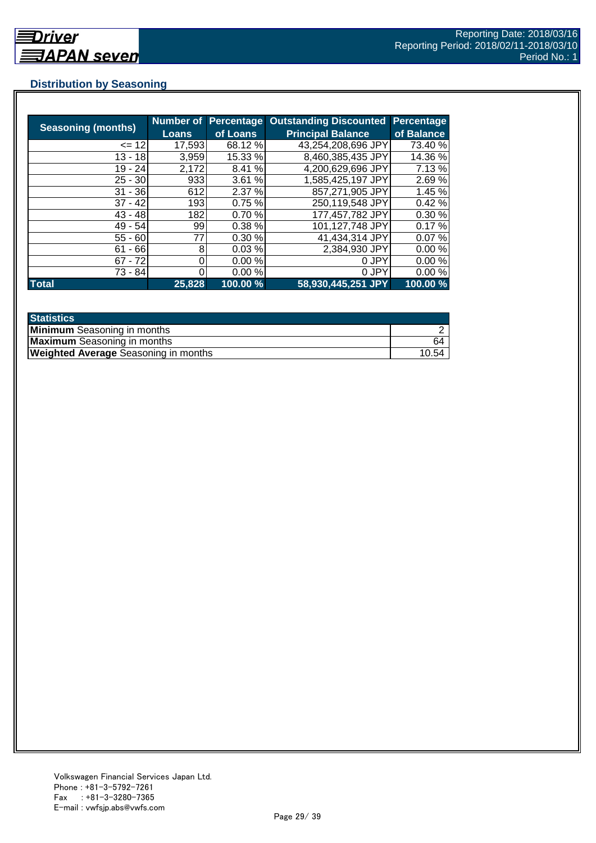## <span id="page-28-0"></span>**Distribution by Seasoning**

|                           |              |          | Number of Percentage Outstanding Discounted | <b>Percentage</b> |
|---------------------------|--------------|----------|---------------------------------------------|-------------------|
| <b>Seasoning (months)</b> | <b>Loans</b> | of Loans | <b>Principal Balance</b>                    | of Balance        |
| $= 121$                   | 17,593       | 68.12 %  | 43,254,208,696 JPY                          | 73.40 %           |
| $13 - 18$                 | 3,959        | 15.33 %  | 8,460,385,435 JPY                           | 14.36 %           |
| 19 - 24                   | 2,172        | 8.41 %   | 4,200,629,696 JPY                           | 7.13 %            |
| $25 - 30$                 | 933          | 3.61 %   | 1,585,425,197 JPY                           | 2.69%             |
| $31 - 36$                 | 612          | 2.37%    | 857,271,905 JPY                             | 1.45 %            |
| $37 - 42$                 | 193          | 0.75%    | 250,119,548 JPY                             | 0.42%             |
| $43 - 48$                 | 182          | 0.70%    | 177,457,782 JPY                             | 0.30%             |
| $49 - 54$                 | 99           | 0.38 %   | 101,127,748 JPY                             | 0.17%             |
| $55 - 60$                 | 77           | 0.30 %   | 41,434,314 JPY                              | 0.07%             |
| $61 - 66$                 | 8            | 0.03%    | 2,384,930 JPY                               | 0.00%             |
| $67 - 72$                 | 0            | 0.00%    | 0 JPY                                       | 0.00%             |
| 73 - 84                   |              | 0.00%    | 0 JPY                                       | 0.00%             |
| <b>Total</b>              | 25,828       | 100.00 % | 58,930,445,251 JPY                          | 100.00 %          |

| <b>Statistics</b>                           |       |
|---------------------------------------------|-------|
| <b>Minimum</b> Seasoning in months          |       |
| <b>Maximum</b> Seasoning in months          | 64    |
| <b>Weighted Average Seasoning in months</b> | 10.54 |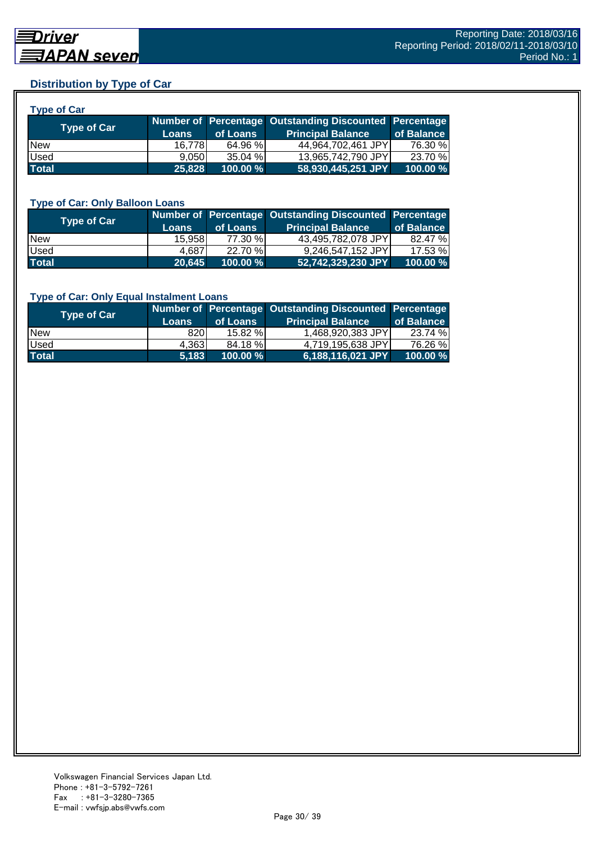## <span id="page-29-0"></span>**Distribution by Type of Car**

| <b>Type of Car</b> |              |          |                                                        |            |
|--------------------|--------------|----------|--------------------------------------------------------|------------|
|                    |              |          | Number of Percentage Outstanding Discounted Percentage |            |
| <b>Type of Car</b> | <b>Loans</b> | of Loans | <b>Principal Balance</b>                               | of Balance |
| <b>New</b>         | 16,778       | 64.96 %  | 44,964,702,461 JPY                                     | 76.30 %    |
| Used               | 9.050        | 35.04 %  | 13,965,742,790 JPY                                     | 23.70 %    |
| <b>Total</b>       | 25,828       | 100.00 % | 58,930,445,251 JPY                                     | 100.00 %   |

#### **Type of Car: Only Balloon Loans**

| Type of Car  | <b>Loans</b> | of Loans | Number of Percentage Outstanding Discounted Percentage<br><b>Principal Balance</b> | of Balance |
|--------------|--------------|----------|------------------------------------------------------------------------------------|------------|
| <b>New</b>   | 15.958       | 77.30 %  | 43.495.782.078 JPYI                                                                | 82.47 %    |
| <b>Used</b>  | 4.687        | 22.70%   | 9,246,547,152 JPY                                                                  | 17.53%     |
| <b>Total</b> | 20,645       | 100.00 % | 52,742,329,230 JPY                                                                 | 100.00 %   |

#### **Type of Car: Only Equal Instalment Loans**

| <b>Type of Car</b> |              |             | Number of Percentage Outstanding Discounted Percentage |            |
|--------------------|--------------|-------------|--------------------------------------------------------|------------|
|                    | <b>Loans</b> | of Loans    | <b>Principal Balance</b>                               | of Balance |
| <b>New</b>         | 8201         | $15.82\%$   | 1,468,920,383 JPY                                      | 23.74 %    |
| Used               | 4,363        | 84.18 %     | 4,719,195,638 JPY                                      | 76.26 %    |
| <b>Total</b>       | 5.183        | $100.00 \%$ | 6,188,116,021 JPY                                      | 100.00 %   |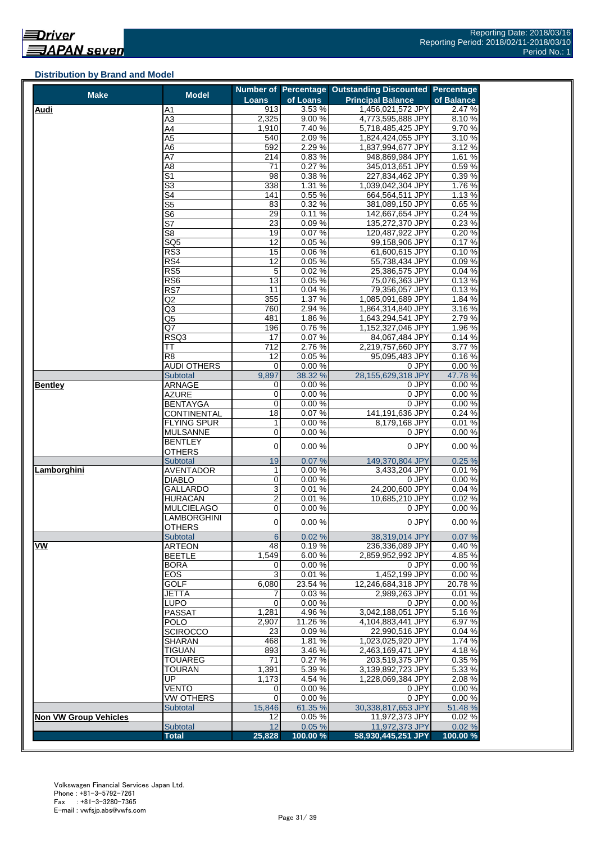#### <span id="page-30-0"></span>**Distribution by Brand and Model**

| <b>Make</b>                  | <b>Model</b>                     |                     |                 | Number of Percentage Outstanding Discounted Percentage |                 |
|------------------------------|----------------------------------|---------------------|-----------------|--------------------------------------------------------|-----------------|
|                              |                                  | Loans               | of Loans        | <b>Principal Balance</b>                               | of Balance      |
| <b>Audi</b>                  | A1                               | 913                 | 3.53%           | 1,456,021,572 JPY                                      | 2.47%           |
|                              | $\overline{A3}$                  | 2,325               | 9.00%           | 4,773,595,888 JPY                                      | 8.10%           |
|                              | A4                               | 1,910               | 7.40%           | 5,718,485,425 JPY                                      | 9.70%           |
|                              | A5                               | 540                 | 2.09%           | 1,824,424,055 JPY                                      | 3.10%           |
|                              | A6                               | 592                 | 2.29%           | 1,837,994,677 JPY                                      | 3.12%           |
|                              | Α7                               | 214<br>71           | 0.83%<br>0.27%  | 948,869,984 JPY<br>345,013,651 JPY                     | 1.61 %<br>0.59% |
|                              | A8<br>$\overline{\mathsf{S}^1}$  | 98                  | 0.38%           | 227,834,462 JPY                                        | 0.39%           |
|                              | $\overline{\mathbb{S}^3}$        | 338                 | 1.31 %          | 1,039,042,304 JPY                                      | 1.76 %          |
|                              | S4                               | 141                 | 0.55 %          | 664,564,511 JPY                                        | 1.13 %          |
|                              | S5                               | 83                  | 0.32%           | 381.089.150 JPY                                        | 0.65%           |
|                              | S6                               | 29                  | 0.11%           | 142,667,654 JPY                                        | 0.24%           |
|                              | S7                               | 23                  | 0.09%           | 135,272,370 JPY                                        | 0.23%           |
|                              | S8                               | 19                  | 0.07%           | 120,487,922 JPY                                        | 0.20%           |
|                              | $\overline{\text{SQ}5}$          | $\overline{12}$     | 0.05%           | 99,158,906 JPY                                         | 0.17%           |
|                              | RS3                              | 15                  | 0.06%           | 61,600,615 JPY                                         | 0.10%           |
|                              | RS4                              | 12                  | 0.05%           | 55,738,434 JPY                                         | 0.09%           |
|                              | RS5                              | 5                   | 0.02%           | 25,386,575 JPY                                         | 0.04%           |
|                              | RS <sub>6</sub>                  | 13                  | 0.05%           | 75,076,363 JPY                                         | 0.13%           |
|                              | RS7                              | 11                  | 0.04%           | 79,356,057 JPY                                         | 0.13%           |
|                              | Q2                               | 355                 | 1.37%           | 1,085,091,689 JPY                                      | 1.84%           |
|                              | Q3                               | 760                 | 2.94 %          | 1,864,314,840 JPY                                      | 3.16%           |
|                              | Q5<br>Q7                         | 481                 | 1.86%           | 1,643,294,541 JPY                                      | 2.79%           |
|                              | RSQ3                             | 196<br>17           | 0.76%<br>0.07%  | 1,152,327,046 JPY<br>84,067,484 JPY                    | 1.96 %<br>0.14% |
|                              | ТT                               | 712                 | 2.76%           | 2,219,757,660 JPY                                      | 3.77 %          |
|                              | R <sub>8</sub>                   | 12                  | 0.05%           | 95,095,483 JPY                                         | 0.16%           |
|                              | <b>AUDI OTHERS</b>               | 0                   | 0.00 %          | 0 JPY                                                  | 0.00%           |
|                              | <b>Subtotal</b>                  | 9,897               | 38.32 %         | 28,155,629,318 JPY                                     | 47.78 %         |
| Bentley                      | ARNAGE                           | 0                   | 0.00%           | 0 JPY                                                  | 0.00%           |
|                              | AZURE                            | 0                   | 0.00%           | 0 JPY                                                  | 0.00%           |
|                              | <b>BENTAYGA</b>                  | $\overline{0}$      | 0.00%           | 0 JPY                                                  | 0.00%           |
|                              | CONTINENTAL                      | 18                  | 0.07%           | 141,191,636 JPY                                        | 0.24%           |
|                              | <b>FLYING SPUR</b>               | 1                   | 0.00%           | 8,179,168 JPY                                          | 0.01%           |
|                              | <b>MULSANNE</b>                  | 0                   | 0.00%           | 0 JPY                                                  | 0.00%           |
|                              | BENTLEY                          | $\overline{0}$      | 0.00%           | 0 JPY                                                  | 0.00%           |
|                              | <b>OTHERS</b>                    |                     |                 |                                                        |                 |
|                              | Subtotal                         | 19                  | 0.07%           | 149,370,804 JPY                                        | 0.25%           |
| Lamborghini                  | <b>AVENTADOR</b>                 | 1                   | 0.00%           | 3,433,204 JPY                                          | 0.01%           |
|                              | <b>DIABLO</b><br><b>GALLARDO</b> | 0<br>3              | 0.00%<br>0.01%  | 0 JPY<br>24,200,600 JPY                                | 0.00%<br>0.04%  |
|                              | HURACÁN                          | $\overline{2}$      | 0.01%           | 10,685,210 JPY                                         | 0.02%           |
|                              | <b>MULCIELAGO</b>                | 0                   | 0.00%           | 0 JPY                                                  | 0.00%           |
|                              | LAMBORGHINI                      |                     |                 |                                                        |                 |
|                              | <b>OTHERS</b>                    | $\mathsf{O}\xspace$ | 0.00%           | 0 JPY                                                  | 0.00%           |
|                              | <b>Subtotal</b>                  | $6\phantom{1}6$     | 0.02%           | 38,319,014 JPY                                         | 0.07%           |
| VW                           | <b>ARTEON</b>                    | 48                  | 0.19%           | 236,336,089 JPY                                        | 0.40%           |
|                              | <b>BEETLE</b>                    | 1,549               | 6.00%           | 2,859,952,992 JPY                                      | 4.85 %          |
|                              | <b>BORA</b>                      | 0                   | 0.00%           | 0 JPY                                                  | 0.00%           |
|                              | EOS                              | 3                   | 0.01%           | 1,452,199 JPY                                          | 0.00%           |
|                              | <b>GOLF</b>                      | 6,080               | 23.54 %         | 12,246,684,318 JPY                                     | 20.78%          |
|                              | <b>JETTA</b>                     | 7                   | 0.03%           | 2,989,263 JPY                                          | 0.01%           |
|                              | LUPO                             | 0                   | 0.00%           | 0 JPY                                                  | 0.00%           |
|                              | <b>PASSAT</b>                    | 1,281               | 4.96%           | 3.042.188.051 JPY                                      | 5.16%           |
|                              | <b>POLO</b><br><b>SCIROCCO</b>   | 2,907<br>23         | 11.26%<br>0.09% | 4,104,883,441 JPY<br>22,990,516 JPY                    | 6.97%<br>0.04 % |
|                              | <b>SHARAN</b>                    | 468                 | 1.81%           | 1,023,025,920 JPY                                      | 1.74 %          |
|                              | <b>TIGUAN</b>                    | 893                 | 3.46%           | 2,463,169,471 JPY                                      | 4.18%           |
|                              | <b>TOUAREG</b>                   | 71                  | 0.27%           | 203,519,375 JPY                                        | 0.35 %          |
|                              | <b>TOURAN</b>                    | 1,391               | 5.39%           | 3,139,892,723 JPY                                      | 5.33 %          |
|                              | UP                               | 1,173               | 4.54%           | 1,228,069,384 JPY                                      | 2.08%           |
|                              | VENTO                            | 0                   | 0.00%           | 0 JPY                                                  | 0.00%           |
|                              | VW OTHERS                        | 0                   | 0.00%           | 0 JPY                                                  | 0.00%           |
|                              | Subtotal                         | 15,846              | 61.35 %         | 30,338,817,653 JPY                                     | 51.48 %         |
| <b>Non VW Group Vehicles</b> |                                  | 12                  | 0.05%           | 11,972,373 JPY                                         | 0.02%           |
|                              | Subtotal                         | 12                  | 0.05%           | 11,972,373 JPY                                         | 0.02%           |
|                              | <b>Total</b>                     | 25,828              | 100.00 %        | 58,930,445,251 JPY                                     | 100.00 %        |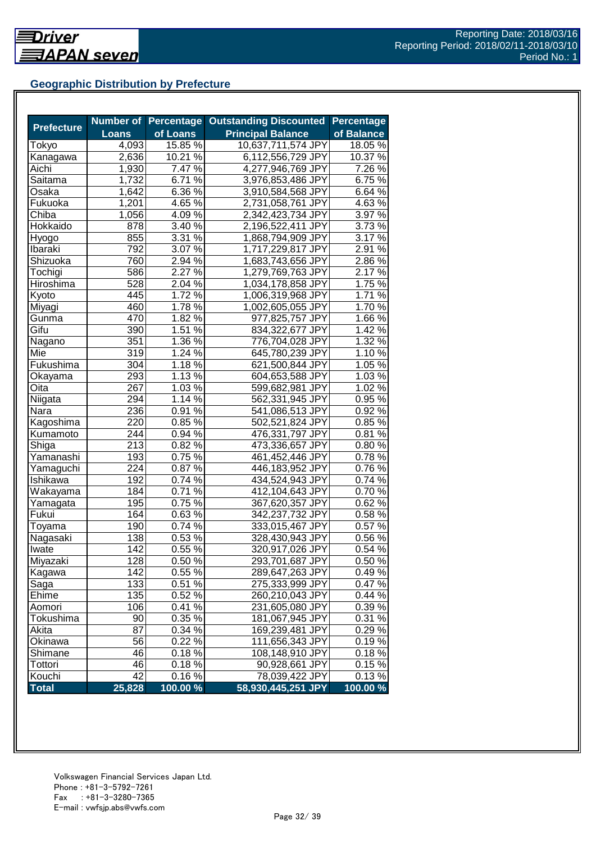## <span id="page-31-0"></span>**Geographic Distribution by Prefecture**

|                   |              | <b>Number of Percentage</b> | <b>Outstanding Discounted</b> | <b>Percentage</b> |
|-------------------|--------------|-----------------------------|-------------------------------|-------------------|
| <b>Prefecture</b> | <b>Loans</b> | of Loans                    | <b>Principal Balance</b>      | of Balance        |
| Tokyo             | 4,093        | 15.85 %                     | 10,637,711,574 JPY            | 18.05%            |
| Kanagawa          | 2,636        | 10.21 %                     | 6,112,556,729 JPY             | 10.37 %           |
| Aichi             | 1,930        | 7.47 %                      | 4,277,946,769 JPY             | 7.26 %            |
| Saitama           | 1,732        | 6.71 %                      | 3,976,853,486 JPY             | 6.75%             |
| Osaka             | 1,642        | 6.36 %                      | 3,910,584,568 JPY             | 6.64 %            |
| Fukuoka           | 1,201        | $4.65\%$                    | 2,731,058,761 JPY             | 4.63%             |
| Chiba             | 1,056        | 4.09 $\sqrt{2}$             | 2,342,423,734 JPY             | 3.97 %            |
| Hokkaido          | 878          | 3.40%                       | 2,196,522,411 JPY             | 3.73 %            |
| Hyogo             | 855          | 3.31 $\sqrt{8}$             | 1,868,794,909 JPY             | 3.17%             |
| Ibaraki           | 792          | $3.07\%$                    | 1,717,229,817 JPY             | $2.91\%$          |
| Shizuoka          | 760          | 2.94 %                      | 1,683,743,656 JPY             | $2.86\,\sqrt{2}$  |
| Tochigi           | 586          | 2.27 %                      | 1,279,769,763 JPY             | 2.17%             |
| Hiroshima         | 528          | 2.04 %                      | 1,034,178,858 JPY             | 1.75 %            |
| Kyoto             | 445          | $1.72\%$                    | 1,006,319,968 JPY             | 1.71 %            |
| Miyagi            | 460          | $1.78\%$                    | 1,002,605,055 JPY             | 1.70%             |
| Gunma             | 470          | 1.82 %                      | 977,825,757 JPY               | 1.66 %            |
| Gifu              | 390          | 1.51 %                      | 834,322,677 JPY               | 1.42 %            |
| Nagano            | 351          | 1.36 %                      | 776,704,028 JPY               | 1.32 %            |
| Mie               | 319          | 1.24 %                      | 645,780,239 JPY               | 1.10 %            |
| Fukushima         | 304          | 1.18 $\frac{1}{\%}$         | 621,500,844 JPY               | 1.05 %            |
| Okayama           | 293          | $1.13\%$                    | 604,653,588 JPY               | 1.03 %            |
| Oita              | 267          | $1.03\%$                    | 599,682,981 JPY               | 1.02 %            |
| Niigata           | 294          | 1.14%                       | 562,331,945 JPY               | 0.95%             |
| Nara              | 236          | 0.91%                       | 541,086,513 JPY               | 0.92%             |
| Kagoshima         | 220          | 0.85 %                      | 502,521,824 JPY               | 0.85%             |
| Kumamoto          | 244          | $0.94\%$                    | 476,331,797 JPY               | 0.81%             |
| Shiga             | 213          | 0.82 %                      | 473,336,657 JPY               | 0.80%             |
| Yamanashi         | 193          | 0.75%                       | 461,452,446 JPY               | 0.78%             |
| Yamaguchi         | 224          | 0.87%                       | 446,183,952 JPY               | 0.76%             |
| Ishikawa          | 192          | 0.74 %                      | 434,524,943 JPY               | 0.74 %            |
| Wakayama          | 184          | 0.71%                       | 412,104,643 JPY               | 0.70%             |
| Yamagata          | 195          | $0.75\,\sqrt{2}$            | 367,620,357 JPY               | 0.62%             |
| Fukui             | 164          | $0.63\%$                    | 342,237,732 JPY               | 0.58%             |
| Toyama            | 190          | $0.74\sqrt[6]{ }$           | 333,015,467 JPY               | 0.57%             |
| Nagasaki          | 138          | 0.53%                       | 328,430,943 JPY               | 0.56%             |
| Iwate             | 142          | 0.55%                       | 320,917,026 JPY               | 0.54%             |
| Miyazaki          | 128          | 0.50 %                      | 293,701,687 JPY               | 0.50%             |
| Kagawa            | 142          | 0.55 %                      | 289,647,263 JPY               | 0.49%             |
| Saga              | 133          | 0.51%                       | 275,333,999 JPY               | 0.47%             |
| Ehime             | 135          | 0.52 %                      | 260,210,043 JPY               | 0.44%             |
| Aomori            | 106          | 0.41%                       | 231,605,080 JPY               | 0.39%             |
| Tokushima         | 90           | 0.35 %                      | 181,067,945 JPY               | 0.31 %            |
| Akita             | 87           | 0.34 %                      | 169,239,481 JPY               | 0.29%             |
| Okinawa           | 56           | 0.22%                       | 111,656,343 JPY               | 0.19%             |
| Shimane           | 46           | $0.18\%$                    | 108,148,910 JPY               | 0.18%             |
| Tottori           | 46           | 0.18%                       | 90,928,661 JPY                | 0.15%             |
| Kouchi            | 42           | 0.16%                       | 78,039,422 JPY                | 0.13%             |
| <b>Total</b>      | 25,828       | 100.00 %                    | 58,930,445,251 JPY            | 100.00 %          |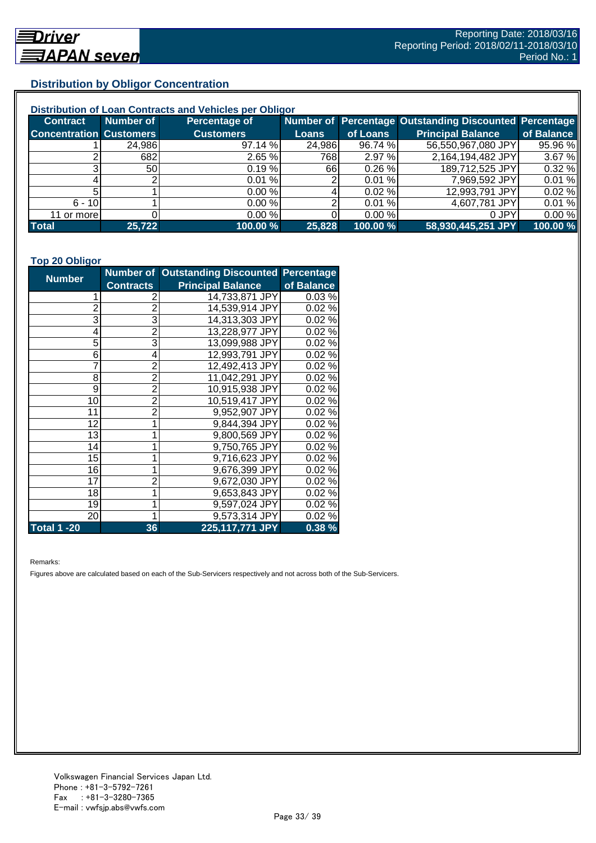## <span id="page-32-0"></span>**Distribution by Obligor Concentration**

| Distribution of Loan Contracts and Vehicles per Obligor |           |                  |        |           |                                                        |            |  |
|---------------------------------------------------------|-----------|------------------|--------|-----------|--------------------------------------------------------|------------|--|
| <b>Contract</b>                                         | Number of | Percentage of    |        |           | Number of Percentage Outstanding Discounted Percentage |            |  |
| <b>Concentration Customers</b>                          |           | <b>Customers</b> | Loans  | of Loans  | <b>Principal Balance</b>                               | of Balance |  |
|                                                         | 24,986    | 97.14 %          | 24,986 | 96.74 %   | 56,550,967,080 JPY                                     | 95.96 %    |  |
|                                                         | 682       | 2.65%            | 768    | 2.97%     | 2,164,194,482 JPY                                      | 3.67 %     |  |
|                                                         | <b>50</b> | 0.19%            | 66 I   | 0.26%     | 189,712,525 JPY                                        | 0.32%      |  |
|                                                         |           | 0.01%            |        | 0.01%     | 7,969,592 JPY                                          | 0.01%      |  |
|                                                         |           | 0.00%            |        | 0.02%     | 12,993,791 JPY                                         | 0.02%      |  |
| $6 - 10$                                                |           | 0.00%            |        | 0.01%     | 4,607,781 JPY                                          | 0.01%      |  |
| 11 or morel                                             |           | 0.00%            |        | $0.00 \%$ | 0 JPY                                                  | 0.00%      |  |
| <b>Total</b>                                            | 25,722    | 100.00 %         | 25,828 | 100.00 %  | 58,930,445,251 JPY                                     | 100.00 %   |  |

#### **Top 20 Obligor**

| <b>Number</b>      |                  | Number of Outstanding Discounted Percentage |            |
|--------------------|------------------|---------------------------------------------|------------|
|                    | <b>Contracts</b> | <b>Principal Balance</b>                    | of Balance |
|                    | 2                | 14,733,871 JPY                              | 0.03%      |
| $\overline{c}$     | $\overline{2}$   | 14,539,914 JPY                              | 0.02%      |
| $\overline{3}$     | $\overline{3}$   | 14,313,303 JPY                              | 0.02%      |
| 4                  | $\overline{2}$   | 13,228,977 JPY                              | 0.02%      |
| 5                  | 3                | 13,099,988 JPY                              | 0.02%      |
| 6                  | 4                | 12,993,791 JPY                              | 0.02%      |
|                    | $\overline{c}$   | 12,492,413 JPY                              | 0.02%      |
| 8                  | $\overline{2}$   | 11,042,291 JPY                              | 0.02%      |
| 9                  | $\overline{2}$   | 10,915,938 JPY                              | 0.02%      |
| 10                 | $\overline{2}$   | 10,519,417 JPY                              | 0.02%      |
| 11                 | $\overline{2}$   | 9,952,907 JPY                               | 0.02%      |
| 12                 |                  | 9,844,394 JPY                               | 0.02%      |
| 13                 | 1                | 9,800,569 JPY                               | 0.02%      |
| 14                 |                  | 9,750,765 JPY                               | 0.02%      |
| 15                 |                  | 9,716,623 JPY                               | 0.02%      |
| 16                 | 1                | 9,676,399 JPY                               | 0.02%      |
| 17                 | $\overline{2}$   | 9,672,030 JPY                               | 0.02%      |
| 18                 | 1                | 9,653,843 JPY                               | 0.02%      |
| 19                 |                  | 9,597,024 JPY                               | 0.02%      |
| 20                 | 1                | 9,573,314 JPY                               | 0.02%      |
| <b>Total 1 -20</b> | 36               | 225,117,771 JPY                             | 0.38%      |

Remarks:

Figures above are calculated based on each of the Sub-Servicers respectively and not across both of the Sub-Servicers.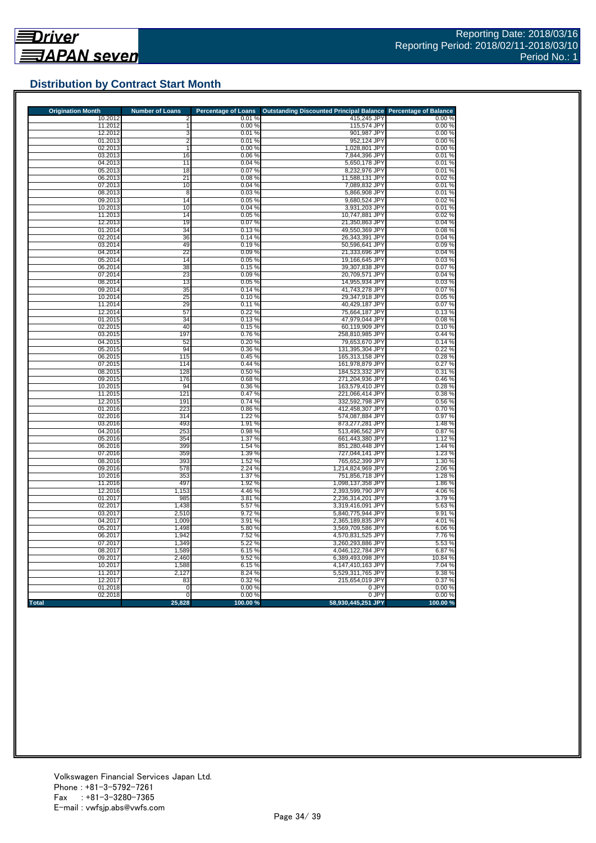## <span id="page-33-0"></span>**Distribution by Contract Start Month**

| <b>Origination Month</b> | <b>Number of Loans</b> | <b>Percentage of Loans</b> | <b>Outstanding Discounted Principal Balance</b> | <b>Percentage of Balance</b> |
|--------------------------|------------------------|----------------------------|-------------------------------------------------|------------------------------|
| 10.2012                  | 2                      | 0.01%                      | 415,245 JPY                                     | 0.00%                        |
| 11.2012<br>12.2012       | 1<br>3                 | 0.00%<br>0.01%             | 115,574 JPY                                     | 0.00%                        |
| 01.2013                  | $\overline{2}$         | 0.01%                      | 901,987 JPY<br>952,124 JPY                      | 0.00%<br>0.00%               |
| 02.2013                  | $\mathbf{1}$           | 0.00%                      | 1,028,801 JPY                                   | 0.00%                        |
| 03.2013                  | 16                     | 0.06%                      | 7,844,396 JPY                                   | 0.01%                        |
| 04.2013                  | 11                     | 0.04%                      | 5,650,178 JPY                                   | 0.01%                        |
| 05.2013                  | 18                     | 0.07%                      | 8,232,976 JPY                                   | 0.01%                        |
| 06.2013                  | 21                     | 0.08%                      | 11,588,131 JPY                                  | 0.02%                        |
| 07.2013                  | 10                     | 0.04%                      | 7,089,832 JPY                                   | 0.01%                        |
| 08.2013                  | $\overline{8}$         | 0.03%                      | 5.866.908 JPY                                   | 0.01%                        |
| 09.2013                  | 14                     | 0.05%                      | 9,680,524 JPY                                   | 0.02%                        |
| 10.2013                  | 10                     | 0.04%                      | 3,931,203 JPY                                   | 0.01%                        |
| 11.2013                  | 14                     | 0.05%                      | 10,747,881 JPY                                  | 0.02%                        |
| 12.2013<br>01.2014       | 19<br>34               | 0.07%<br>0.13%             | 21,350,863 JPY                                  | 0.04%                        |
| 02.2014                  | 36                     | 0.14%                      | 49,550,369 JPY<br>26,343,391 JPY                | 0.08%<br>0.04%               |
| 03.2014                  | 49                     | 0.19%                      | 50,596,641 JPY                                  | 0.09%                        |
| 04.2014                  | 22                     | 0.09%                      | 21,333,696 JPY                                  | 0.04%                        |
| 05.2014                  | 14                     | 0.05%                      | 19,166,645 JPY                                  | 0.03%                        |
| 06.2014                  | 38                     | 0.15%                      | 39,307,838 JPY                                  | 0.07%                        |
| 07.2014                  | 23                     | 0.09%                      | 20,709,571 JPY                                  | 0.04%                        |
| 08.2014                  | 13                     | 0.05%                      | 14,955,934 JPY                                  | 0.03%                        |
| 09.2014                  | 35                     | 0.14%                      | 41,743,278 JPY                                  | 0.07%                        |
| 10.2014                  | 25                     | 0.10%                      | 29,347,918 JPY                                  | 0.05%                        |
| 11.2014                  | 29                     | 0.11%                      | 40,429,187 JPY                                  | 0.07%                        |
| 12.2014                  | 57                     | 0.22%                      | 75,664,187 JPY                                  | 0.13%                        |
| 01.2015                  | 34                     | 0.13%                      | 47,979,044 JPY                                  | 0.08%                        |
| 02.2015                  | 40                     | 0.15%                      | 60,119,909 JPY                                  | 0.10%                        |
| 03.2015<br>04.2015       | 197<br>52              | 0.76%                      | 258,810,985 JPY<br>79,653,670 JPY               | 0.44%<br>0.14%               |
| 05.2015                  | 94                     | 0.20%<br>0.36%             | 131,395,304 JPY                                 | 0.22%                        |
| 06.2015                  | 115                    | 0.45%                      | 165,313,158 JPY                                 | 0.28%                        |
| 07.2015                  | 114                    | 0.44%                      | 161,978,879 JPY                                 | 0.27%                        |
| 08.2015                  | 128                    | 0.50%                      | 184,523,332 JPY                                 | 0.31%                        |
| 09.2015                  | 176                    | 0.68%                      | 271,204,936 JPY                                 | 0.46%                        |
| 10.2015                  | 94                     | 0.36%                      | 163,579,410 JPY                                 | 0.28%                        |
| 11.2015                  | 121                    | 0.47%                      | 221,066,414 JPY                                 | 0.38%                        |
| 12.2015                  | 191                    | 0.74%                      | 332,592,798 JPY                                 | 0.56 %                       |
| 01.2016                  | 223                    | 0.86%                      | 412,458,307 JPY                                 | 0.70%                        |
| 02.2016                  | 314                    | 1.22 %                     | 574,087,884 JPY                                 | 0.97%                        |
| 03.2016                  | 493                    | 1.91%                      | 873,277,281 JPY                                 | 1.48%                        |
| 04.2016<br>05.2016       | 253<br>354             | 0.98%<br>1.37 %            | 513,496,562 JPY<br>661,443,380 JPY              | 0.87%<br>1.12 %              |
| 06.2016                  | 399                    | 1.54 %                     | 851,280,448 JPY                                 | 1.44 %                       |
| 07.2016                  | 359                    | 1.39 %                     | 727,044,141 JPY                                 | 1.23 %                       |
| 08.2016                  | 393                    | 1.52%                      | 765,652,399 JPY                                 | 1.30%                        |
| 09.2016                  | 578                    | 2.24 %                     | 1,214,824,969 JPY                               | 2.06 %                       |
| 10.2016                  | 353                    | 1.37%                      | 751,856,718 JPY                                 | 1.28 %                       |
| 11.2016                  | 497                    | 1.92 %                     | 1,098,137,358 JPY                               | 1.86%                        |
| 12.2016                  | 1,153                  | 4.46 %                     | 2,393,599,790 JPY                               | 4.06 %                       |
| 01.2017                  | 985                    | 3.81%                      | 2,236,314,201 JPY                               | 3.79%                        |
| 02.2017                  | 1,438                  | 5.57 %                     | 3,319,416,091 JPY                               | 5.63 %                       |
| 03.2017                  | 2,510                  | 9.72%                      | 5,840,775,944 JPY                               | 9.91%                        |
| 04.2017                  | 1,009                  | 3.91 %                     | 2,365,189,835 JPY                               | 4.01%                        |
| 05.2017<br>06.2017       | 1,498<br>1,942         | 5.80%<br>7.52 %            | 3,569,709,586 JPY<br>4,570,831,525 JPY          | 6.06%                        |
| 07.2017                  | 1,349                  | 5.22 %                     | 3,260,293,886 JPY                               | 7.76 %<br>5.53 %             |
| 08.2017                  | 1,589                  | 6.15%                      | 4,046,122,784 JPY                               | 6.87%                        |
| 09.2017                  | 2,460                  | 9.52%                      | 6,389,493,098 JPY                               | 10.84 %                      |
| 10.2017                  | 1,588                  | 6.15%                      | 4,147,410,163 JPY                               | 7.04 %                       |
| 11.2017                  | 2,127                  | 8.24 %                     | 5,529,311,765 JPY                               | 9.38%                        |
| 12.2017                  | 83                     | 0.32%                      | 215,654,019 JPY                                 | 0.37 %                       |
| 01.2018                  | $\mathbf 0$            | 0.00%                      | 0 JPY                                           | 0.00%                        |
| 02.2018                  | $\mathbf 0$            | 0.00%                      | 0 JPY                                           | 0.00%                        |
| <b>Total</b>             | 25,828                 | 100.00%                    | 58,930,445,251 JPY                              | 100.00%                      |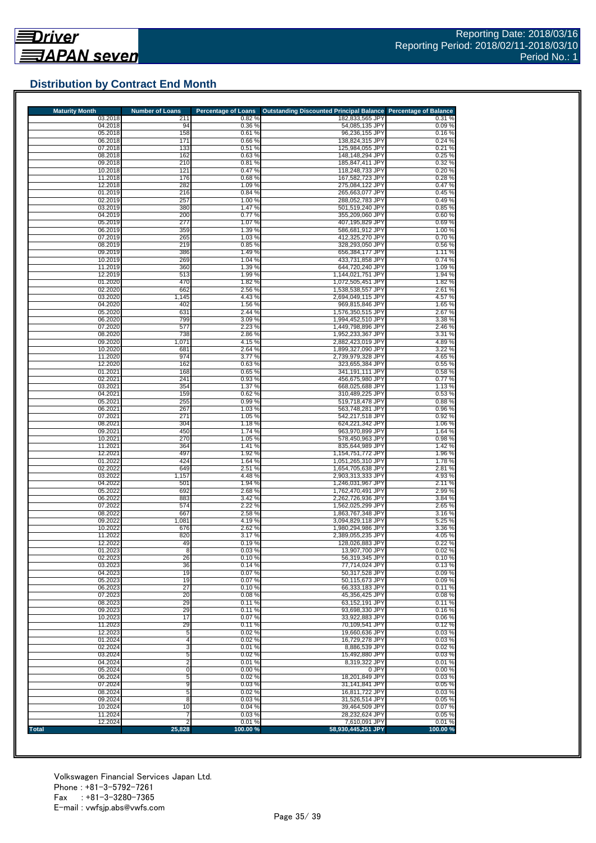## <span id="page-34-0"></span>**Distribution by Contract End Month**

| <b>Maturity Month</b> | <b>Number of Loans</b> | <b>Percentage of Loans</b> | Outstanding Discounted Principal Balance Percentage of Balance |                  |
|-----------------------|------------------------|----------------------------|----------------------------------------------------------------|------------------|
| 03.2018               | 211                    | 0.82%                      | 182,833,565 JPY                                                | 0.31%            |
| 04.2018<br>05.2018    | 94<br>158              | 0.36%<br>0.61%             | 54,085,135 JPY<br>96,236,155 JPY                               | 0.09%<br>0.16%   |
| 06.2018               | 171                    | 0.66%                      | 138,824,315 JPY                                                | 0.24%            |
| 07.2018               | 133                    | 0.51%                      | 125,984,055 JPY                                                | 0.21%            |
| 08.2018               | 162                    | 0.63%                      | 148,148,294 JPY                                                | 0.25%            |
| 09.2018               | 210                    | 0.81%                      | 185,847,411 JPY                                                | 0.32%            |
| 10.2018<br>11.2018    | 121<br>176             | 0.47%<br>0.68%             | 118,248,733 JPY<br>167,582,723 JPY                             | 0.20%<br>0.28%   |
| 12.2018               | 282                    | 1.09%                      | 275,084,122 JPY                                                | 0.47%            |
| 01.2019               | 216                    | 0.84%                      | 265,663,077 JPY                                                | 0.45%            |
| 02.2019               | 257                    | 1.00 %                     | 288,052,783 JPY                                                | 0.49%            |
| 03.2019               | 380                    | 1.47%                      | 501,519,240 JPY<br>355.209.060 JPY                             | 0.85%            |
| 04.2019<br>05.2019    | 200<br>277             | 0.77%<br>1.07%             | 407,195,829 JPY                                                | 0.60%<br>0.69%   |
| 06.2019               | 359                    | 1.39 %                     | 586,681,912 JPY                                                | 1.00%            |
| 07.2019               | 265                    | 1.03%                      | 412.325.270 JPY                                                | 0.70%            |
| 08.2019               | 219                    | 0.85%                      | 328,293,050 JPY                                                | 0.56%            |
| 09.2019<br>10.2019    | 386<br>269             | 1.49%<br>1.04 %            | 656,384,177 JPY<br>433,731,858 JPY                             | 1.11%<br>0.74%   |
| 11.2019               | 360                    | 1.39%                      | 644,720,240 JPY                                                | 1.09%            |
| 12.2019               | 513                    | 1.99%                      | 1,144,021,751 JPY                                              | 1.94 %           |
| 01.2020               | 470                    | 1.82 %                     | 1,072,505,451 JPY                                              | 1.82 %           |
| 02.2020               | 662                    | 2.56 %                     | 1,538,538,557 JPY                                              | 2.61%            |
| 03.2020               | 1,145                  | 4.43%                      | 2,694,049,115 JPY                                              | 4.57 %           |
| 04.2020<br>05.2020    | 402<br>631             | 1.56 %<br>2.44 %           | 969,815,846 JPY<br>1,576,350,515 JPY                           | 1.65 %<br>2.67%  |
| 06.2020               | 799                    | 3.09%                      | 1,994,452,510 JPY                                              | 3.38 %           |
| 07.2020               | 577                    | 2.23 %                     | 1,449,798,896 JPY                                              | 2.46 %           |
| 08.2020               | 738                    | 2.86 %                     | 1,952,233,367 JPY                                              | 3.31%            |
| 09.2020               | 1,071                  | 4.15%                      | 2,882,423,019 JPY                                              | 4.89%            |
| 10.2020<br>11.2020    | 681<br>974             | 2.64 %<br>3.77%            | 1,899,327,090 JPY<br>2,739,979,328 JPY                         | 3.22 %<br>4.65 % |
| 12.2020               | 162                    | 0.63%                      | 323,655,384 JPY                                                | 0.55 %           |
| 01.2021               | 168                    | 0.65%                      | 341.191.111 JPY                                                | 0.58%            |
| 02.2021               | 241                    | 0.93%                      | 456,675,980 JPY                                                | 0.77%            |
| 03.2021               | 354                    | 1.37%                      | 668,025,688 JPY                                                | 1.13%            |
| 04.2021<br>05.2021    | 159<br>255             | 0.62%<br>0.99%             | 310.489.225 JPY<br>519,718,478 JPY                             | 0.53 %<br>0.88%  |
| 06.2021               | 267                    | 1.03%                      | 563,748,281 JPY                                                | 0.96%            |
| 07.2021               | 271                    | 1.05 %                     | 542,217,518 JPY                                                | 0.92%            |
| 08.2021               | 304                    | 1.18%                      | 624,221,342 JPY                                                | 1.06 %           |
| 09.2021               | 450                    | 1.74 %                     | 963,970,899 JPY                                                | 1.64 %           |
| 10.2021<br>11.2021    | 270<br>364             | 1.05%<br>1.41%             | 578,450,963 JPY<br>835,644,989 JPY                             | 0.98%<br>1.42%   |
| 12.2021               | 497                    | 1.92%                      | 1,154,751,772 JPY                                              | 1.96 %           |
| 01.2022               | 424                    | 1.64%                      | 1,051,265,310 JPY                                              | 1.78%            |
| 02.2022               | 649                    | 2.51 %                     | 1,654,705,638 JPY                                              | 2.81 %           |
| 03.2022               | 1,157                  | 4.48%                      | 2,903,313,333 JPY                                              | 4.93%            |
| 04.2022<br>05.2022    | 501<br>692             | 1.94 %<br>2.68%            | 1,246,031,967 JPY<br>1,762,470,491 JPY                         | 2.11%<br>2.99%   |
| 06.2022               | 883                    | 3.42 %                     | 2,262,726,936 JPY                                              | 3.84 %           |
| 07.2022               | 574                    | 2.22 %                     | 1,562,025,299 JPY                                              | 2.65%            |
| 08.2022               | 667                    | 2.58%                      | 1,863,767,348 JPY                                              | 3.16 %           |
| 09.2022               | 1,081                  | 4.19%                      | 3,094,829,118 JPY                                              | 5.25 %           |
| 10.2022<br>11.2022    | 676<br>820             | 2.62%<br>3.17%             | 1,980,294,986 JPY<br>2,389,055,235 JPY                         | 3.36 %<br>4.05%  |
| 12.2022               | 49                     | 0.19%                      | 128,026,883 JPY                                                | 0.22%            |
| 01.2023               | 8                      | 0.03%                      | 13,907,700 JPY                                                 | 0.02%            |
| 02.2023               | 26                     | 0.10%                      | 56,319,345 JPY                                                 | 0.10%            |
| 03.2023               | 36                     | 0.14%                      | 77,714,024 JPY                                                 | 0.13%            |
| 04.2023<br>05.2023    | 19<br>19               | 0.07%<br>0.07%             | 50,317,528 JPY<br>50,115,673 JPY                               | 0.09%<br>0.09%   |
| 06.2023               | 27                     | 0.10%                      | 66,333,183 JPY                                                 | 0.11%            |
| 07.2023               | 20                     | 0.08%                      | 45,356,425 JPY                                                 | 0.08%            |
| 08.2023               | 29                     | 0.11%                      | 63,152,191 JPY                                                 | 0.11%            |
| 09.2023               | 29                     | 0.11%                      | 93.698.330 JPY                                                 | 0.16%            |
| 10.2023<br>11.2023    | 17<br>29               | 0.07%<br>0.11%             | 33.922.883 JPY<br>70,109,541 JPY                               | 0.06%<br>0.12%   |
| 12.2023               | 5                      | 0.02%                      | 19.660.636 JPY                                                 | 0.03%            |
| 01.2024               | $\overline{4}$         | 0.02%                      | 16.729.278 JPY                                                 | 0.03%            |
| 02.2024               | 3                      | 0.01%                      | 8,886,539 JPY                                                  | 0.02%            |
| 03.2024               | 5                      | 0.02%                      | 15.492.880 JPY                                                 | 0.03%            |
| 04.2024               | $\overline{2}$         | 0.01%                      | 8,319,322 JPY                                                  | 0.01%            |
| 05.2024<br>06.2024    | $\overline{0}$<br>5    | 0.00%<br>0.02%             | 0 JPY<br>18,201,849 JPY                                        | 0.00%<br>0.03%   |
| 07.2024               | 9                      | 0.03%                      | 31,141,841 JPY                                                 | 0.05%            |
| 08.2024               | 5                      | 0.02%                      | 16,811,722 JPY                                                 | 0.03%            |
| 09.2024               | 8                      | 0.03%                      | 31,526,514 JPY                                                 | 0.05%            |
|                       |                        |                            | 39,464,509 JPY                                                 | 0.07%            |
| 10.2024               | 10                     | 0.04%                      |                                                                |                  |
| 11.2024<br>12.2024    | 7                      | 0.03%<br>0.01%             | 28,232,624 JPY<br>7,610,091 JPY                                | 0.05%<br>0.01%   |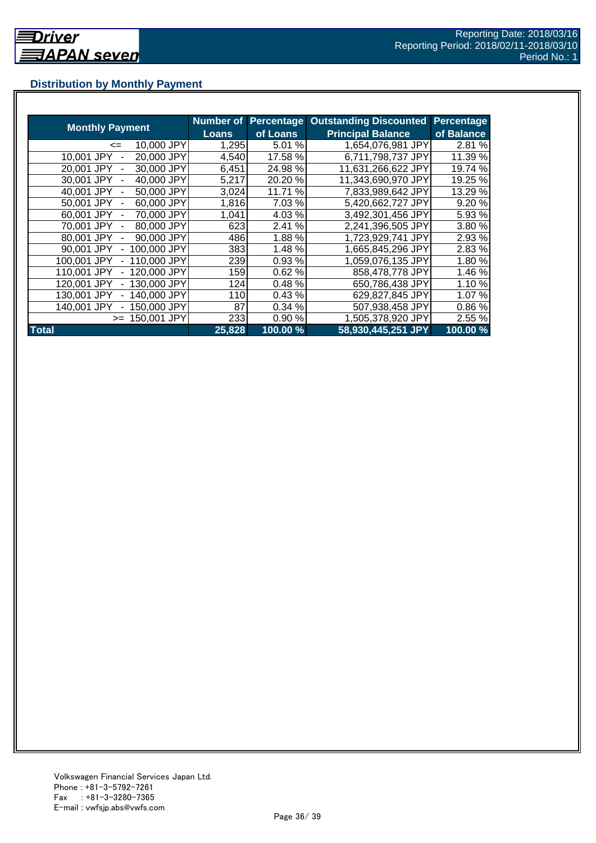## <span id="page-35-0"></span>**Distribution by Monthly Payment**

|                                            | <b>Number of</b> | <b>Percentage</b> | <b>Outstanding Discounted</b> | <b>Percentage</b> |
|--------------------------------------------|------------------|-------------------|-------------------------------|-------------------|
| <b>Monthly Payment</b>                     | Loans            | of Loans          | <b>Principal Balance</b>      | of Balance        |
| 10,000 JPY<br>$\leq$                       | 1,295            | 5.01 %            | 1,654,076,981 JPY             | 2.81%             |
| 20,000 JPY<br>10.001 JPY                   | 4,540            | 17.58 %           | 6,711,798,737 JPY             | 11.39 %           |
| 30,000 JPY<br>20.001 JPY                   | 6,451            | 24.98%            | 11,631,266,622 JPY            | 19.74 %           |
| 40,000 JPY<br>30.001 JPY                   | 5,217            | 20.20 %           | 11,343,690,970 JPY            | 19.25 %           |
| 50,000 JPY<br>40.001 JPY                   | 3,024            | 11.71 %           | 7,833,989,642 JPY             | 13.29 %           |
| 60,000 JPY<br>50,001 JPY                   | 1,816            | 7.03 %            | 5,420,662,727 JPY             | 9.20%             |
| 70,000 JPY<br>60.001 JPY                   | 1,041            | 4.03%             | 3,492,301,456 JPY             | 5.93 %            |
| 80,000 JPY<br>70,001 JPY<br>$\overline{a}$ | 623              | 2.41 %            | 2,241,396,505 JPY             | 3.80%             |
| 90,000 JPY<br>80.001 JPY                   | 486              | 1.88%             | 1,723,929,741 JPY             | 2.93 %            |
| 100,000 JPY<br>90,001 JPY                  | 383              | 1.48 %            | 1,665,845,296 JPY             | 2.83%             |
| 110,000 JPY<br>100.001 JPY                 | 239              | 0.93%             | 1,059,076,135 JPY             | 1.80%             |
| 120,000 JPY<br>110.001 JPY                 | 159              | 0.62%             | 858,478,778 JPY               | 1.46 %            |
| 130,000 JPY<br>120.001 JPY                 | 124              | 0.48%             | 650,786,438 JPY               | 1.10%             |
| 140,000 JPY<br>130.001 JPY                 | 110              | 0.43%             | 629,827,845 JPY               | 1.07%             |
| 140.001 JPY<br>50,000 JPY                  | 87               | 0.34%             | 507,938,458 JPY               | 0.86%             |
| 150,001 JPY<br>$>=$                        | 233              | 0.90%             | 1,505,378,920 JPY             | 2.55 %            |
| <b>Total</b>                               | 25,828           | 100.00 %          | 58,930,445,251 JPY            | 100.00%           |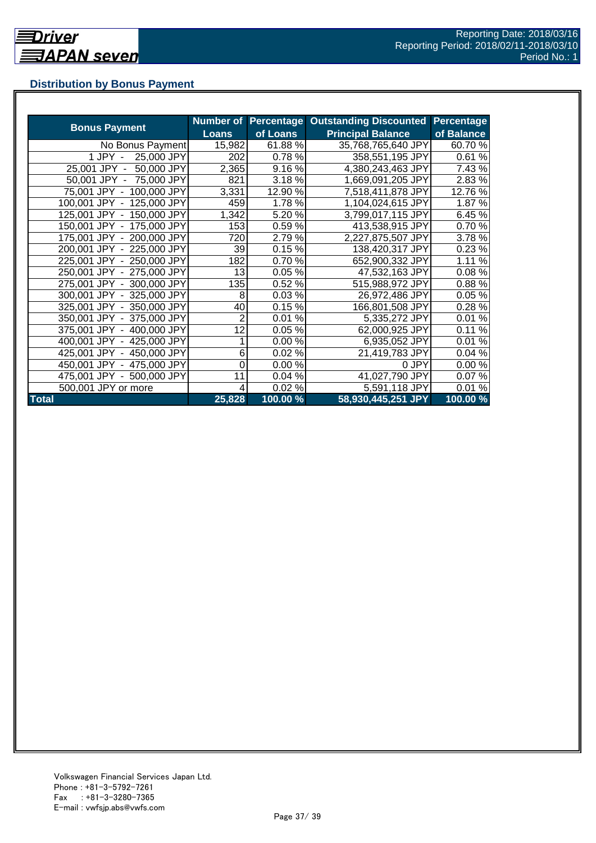## <span id="page-36-0"></span>**Distribution by Bonus Payment**

| <b>Bonus Payment</b>       | Number of<br>Loans | Percentage<br>of Loans | <b>Outstanding Discounted</b><br><b>Principal Balance</b> | Percentage<br>of Balance |
|----------------------------|--------------------|------------------------|-----------------------------------------------------------|--------------------------|
| No Bonus Payment           | 15,982             | 61.88 %                | 35,768,765,640 JPY                                        | 60.70 %                  |
| 25,000 JPY<br>$1$ JPY $-$  | 202                | 0.78%                  | 358,551,195 JPY                                           | 0.61%                    |
| 50,000 JPY<br>25,001 JPY - | 2,365              | 9.16%                  | 4,380,243,463 JPY                                         | 7.43 %                   |
| 50,001 JPY - 75,000 JPY    | 821                | 3.18%                  | 1,669,091,205 JPY                                         | 2.83 %                   |
| 75,001 JPY - 100,000 JPY   | 3,331              | 12.90 %                | 7,518,411,878 JPY                                         | 12.76 %                  |
| 100,001 JPY - 125,000 JPY  | 459                | 1.78%                  | 1,104,024,615 JPY                                         | 1.87%                    |
| 125,001 JPY - 150,000 JPY  | 1,342              | 5.20 %                 | 3,799,017,115 JPY                                         | 6.45 %                   |
| 150,001 JPY - 175,000 JPY  | 153                | 0.59%                  | 413,538,915 JPY                                           | 0.70%                    |
| 175,001 JPY - 200,000 JPY  | 720                | 2.79%                  | 2,227,875,507 JPY                                         | 3.78 %                   |
| 200,001 JPY - 225,000 JPY  | 39                 | 0.15%                  | 138,420,317 JPY                                           | 0.23%                    |
| 225,001 JPY - 250,000 JPY  | 182                | 0.70%                  | 652,900,332 JPY                                           | 1.11 %                   |
| 250,001 JPY - 275,000 JPY  | 13                 | 0.05%                  | 47,532,163 JPY                                            | 0.08%                    |
| 275,001 JPY - 300,000 JPY  | 135                | 0.52 %                 | 515,988,972 JPY                                           | 0.88%                    |
| 300,001 JPY - 325,000 JPY  | 8                  | 0.03%                  | 26,972,486 JPY                                            | 0.05%                    |
| 325,001 JPY - 350,000 JPY  | 40                 | 0.15%                  | 166,801,508 JPY                                           | 0.28%                    |
| 350,001 JPY - 375,000 JPY  | 2                  | 0.01%                  | 5,335,272 JPY                                             | 0.01%                    |
| 375,001 JPY - 400,000 JPY  | 12                 | 0.05%                  | 62,000,925 JPY                                            | 0.11%                    |
| 400,001 JPY - 425,000 JPY  |                    | 0.00%                  | 6,935,052 JPY                                             | 0.01%                    |
| 425,001 JPY - 450,000 JPY  | 6                  | 0.02%                  | 21,419,783 JPY                                            | 0.04%                    |
| 450,001 JPY - 475,000 JPY  | 0                  | 0.00%                  | 0 JPY                                                     | 0.00%                    |
| 475,001 JPY - 500,000 JPY  | 11                 | 0.04%                  | 41,027,790 JPY                                            | 0.07%                    |
| 500,001 JPY or more        | 4                  | 0.02%                  | 5,591,118 JPY                                             | 0.01%                    |
| <b>Total</b>               | 25,828             | 100.00 %               | 58,930,445,251 JPY                                        | 100.00 %                 |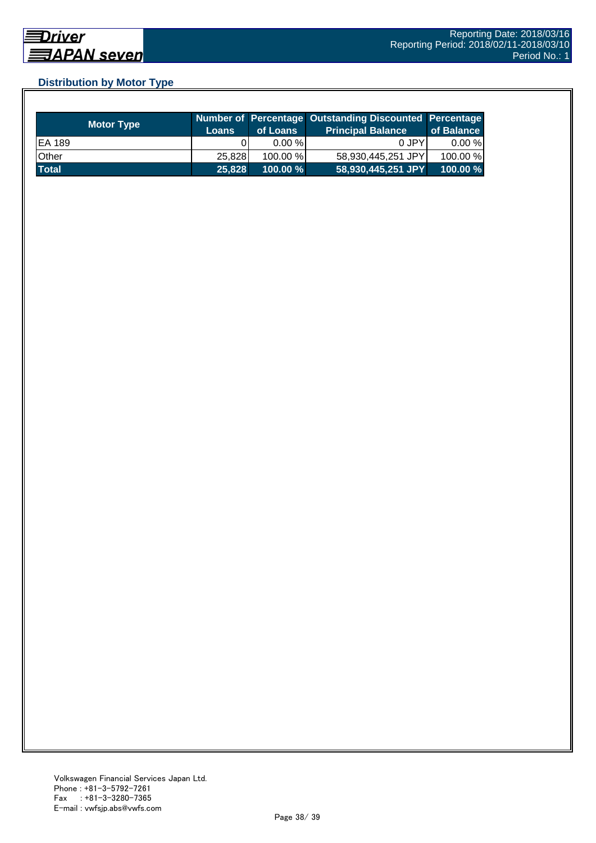## <span id="page-37-0"></span>**Distribution by Motor Type**

| <b>Motor Type</b> | <b>Loans</b> | of Loans    | Number of Percentage Outstanding Discounted Percentage<br><b>Principal Balance</b> | of Balance |
|-------------------|--------------|-------------|------------------------------------------------------------------------------------|------------|
| EA 189            |              | $0.00 \%$   | 0 JPY                                                                              | $0.00 \%$  |
| Other             | 25.828       | 100.00 %    | 58,930,445,251 JPY                                                                 | 100.00 %   |
| <b>Total</b>      | 25,828       | $100.00 \%$ | 58,930,445,251 JPY                                                                 | $100.00\%$ |